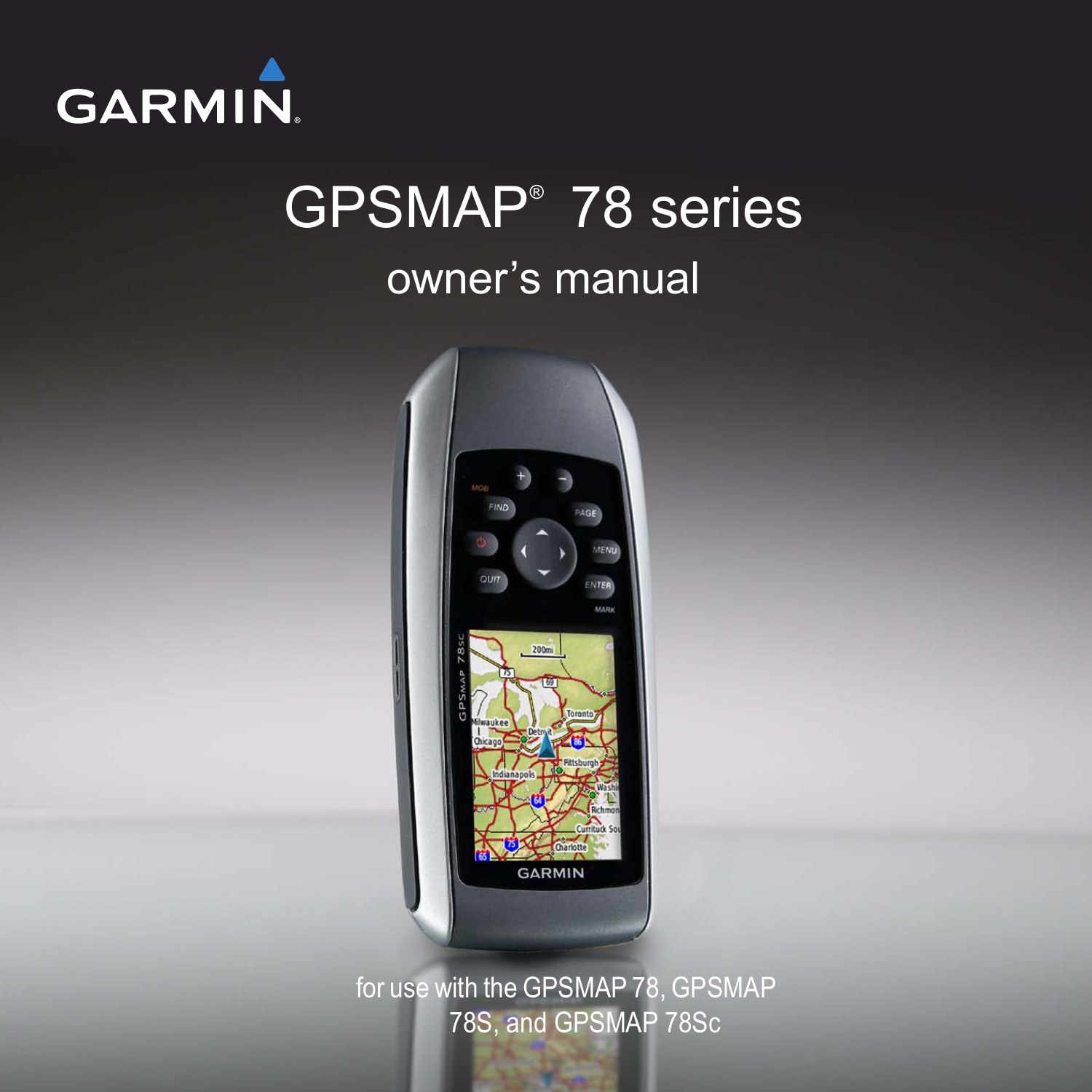

# GPSMAP® 78 series owner's manual



for use with the GPSMAP 78, GPSMAP 78S, and GPSMAP 78Sc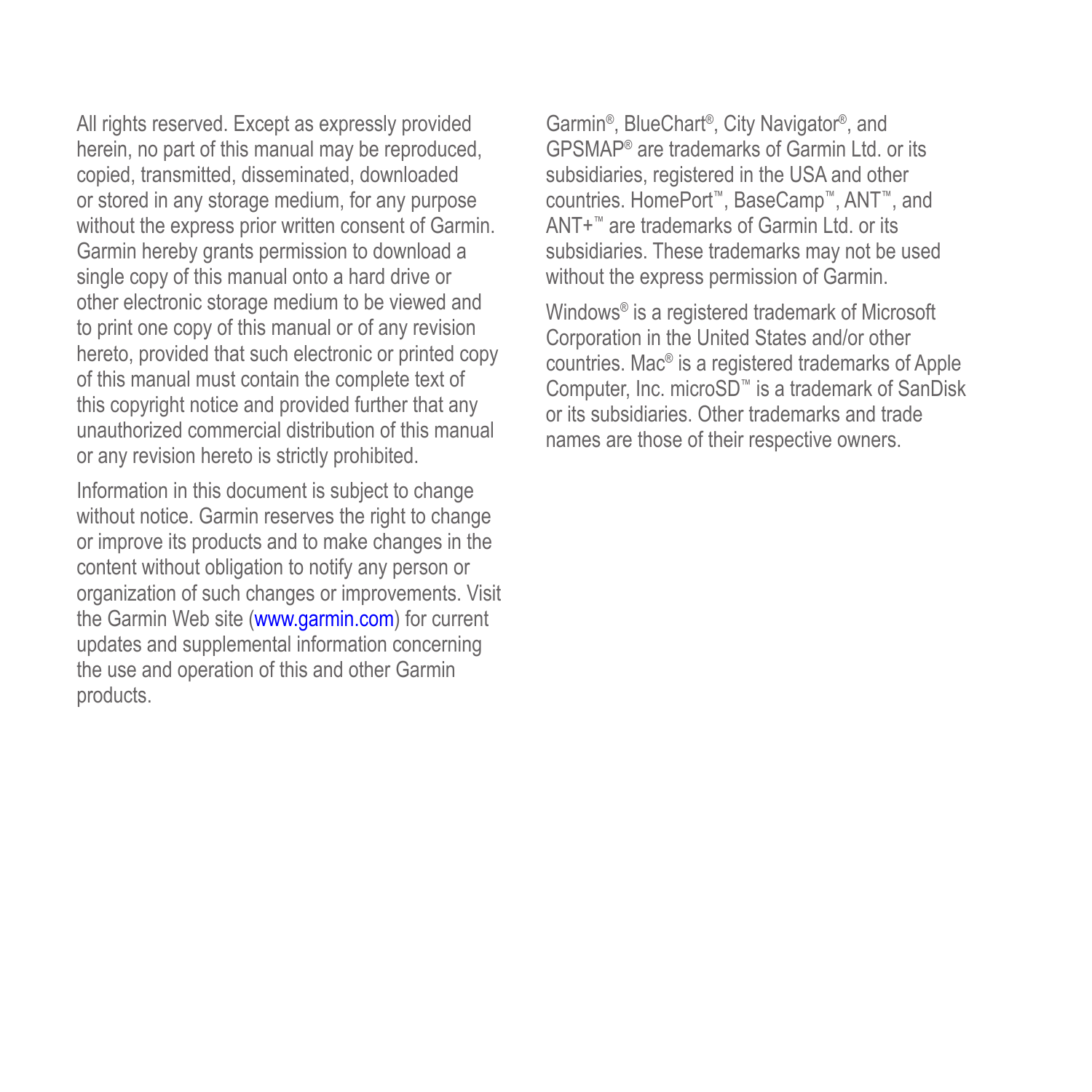All rights reserved. Except as expressly provided herein, no part of this manual may be reproduced, copied, transmitted, disseminated, downloaded or stored in any storage medium, for any purpose without the express prior written consent of Garmin. Garmin hereby grants permission to download a single copy of this manual onto a hard drive or other electronic storage medium to be viewed and to print one copy of this manual or of any revision hereto, provided that such electronic or printed copy of this manual must contain the complete text of this copyright notice and provided further that any unauthorized commercial distribution of this manual or any revision hereto is strictly prohibited.

Information in this document is subject to change without notice. Garmin reserves the right to change or improve its products and to make changes in the content without obligation to notify any person or organization of such changes or improvements. Visit the Garmin Web site (<www.garmin.com>) for current updates and supplemental information concerning the use and operation of this and other Garmin products.

Garmin®, BlueChart®, City Navigator®, and GPSMAP® are trademarks of Garmin Ltd. or its subsidiaries, registered in the USA and other countries. HomePort™, BaseCamp™, ANT™, and ANT+™ are trademarks of Garmin Ltd. or its subsidiaries. These trademarks may not be used without the express permission of Garmin.

Windows® is a registered trademark of Microsoft Corporation in the United States and/or other countries. Mac® is a registered trademarks of Apple Computer, Inc. microSD™ is a trademark of SanDisk or its subsidiaries. Other trademarks and trade names are those of their respective owners.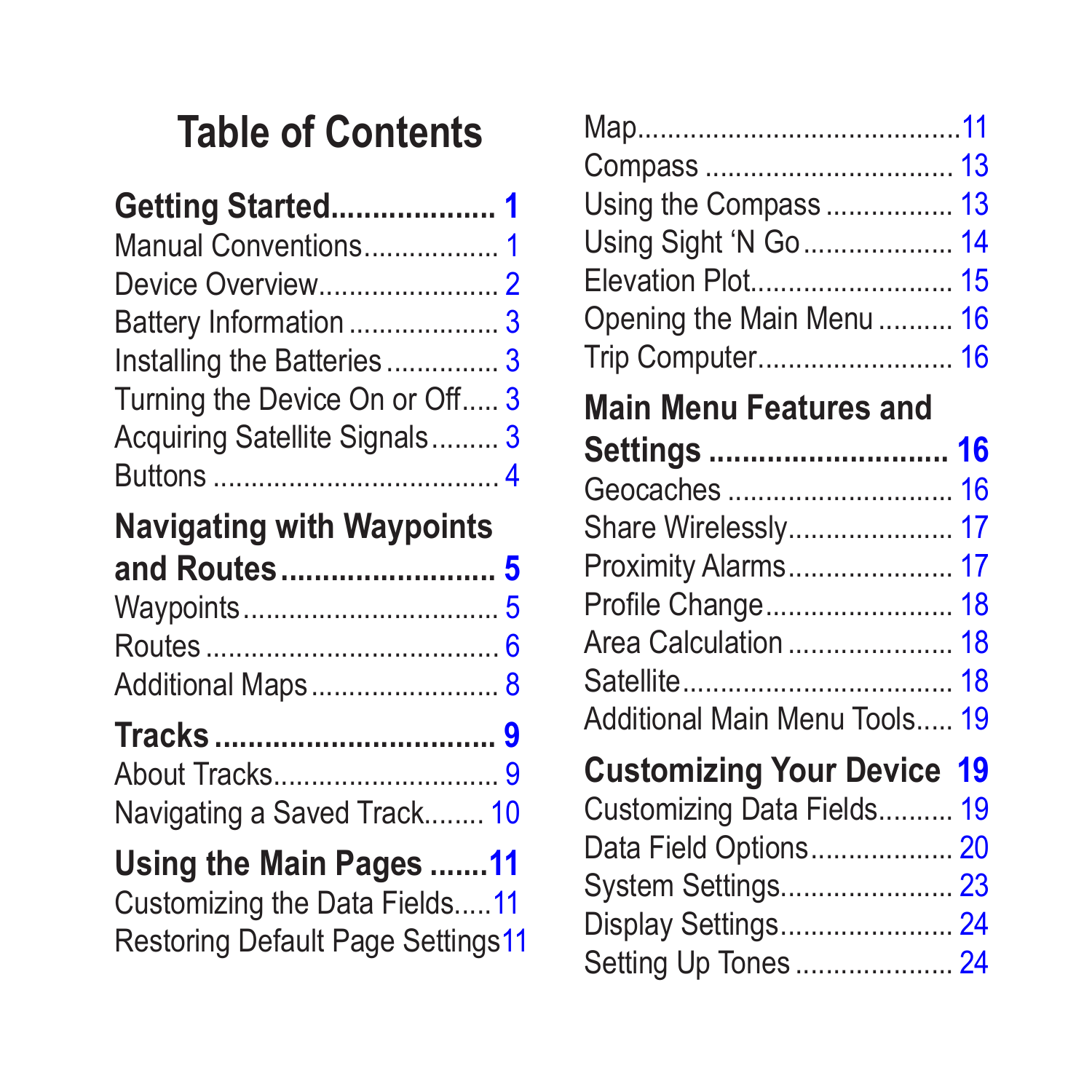# **Table of Contents**

| Getting Started 1              |  |
|--------------------------------|--|
| Manual Conventions 1           |  |
|                                |  |
| Battery Information 3          |  |
| Installing the Batteries 3     |  |
| Turning the Device On or Off 3 |  |
| Acquiring Satellite Signals 3  |  |
|                                |  |
|                                |  |

### **[Navigating with Waypoints](#page-8-0)  [and Routes..........................](#page-8-0) 5**

| Additional Maps 8 |  |
|-------------------|--|

# **Tracks [..................................](#page-12-0) 9**

| Navigating a Saved Track 10 |  |
|-----------------------------|--|

## **[Using the Main Pages](#page-14-0) .......11**

[Customizing the Data Fields.....11](#page-14-0) [Restoring Default Page Settings11](#page-14-0)

| Using the Compass  13<br>Using Sight 'N Go  14<br>Elevation Plot 15<br>Opening the Main Menu  16<br>Trip Computer 16                                          |  |
|---------------------------------------------------------------------------------------------------------------------------------------------------------------|--|
| <b>Main Menu Features and</b>                                                                                                                                 |  |
| Settings  16<br>Geocaches  16<br>Share Wirelessly 17<br>Proximity Alarms 17<br>Profile Change 18<br>Area Calculation  18<br>Additional Main Menu Tools 19     |  |
| <b>Customizing Your Device 19</b><br>Customizing Data Fields 19<br>Data Field Options 20<br>System Settings 23<br>Display Settings 24<br>Setting Up Tones  24 |  |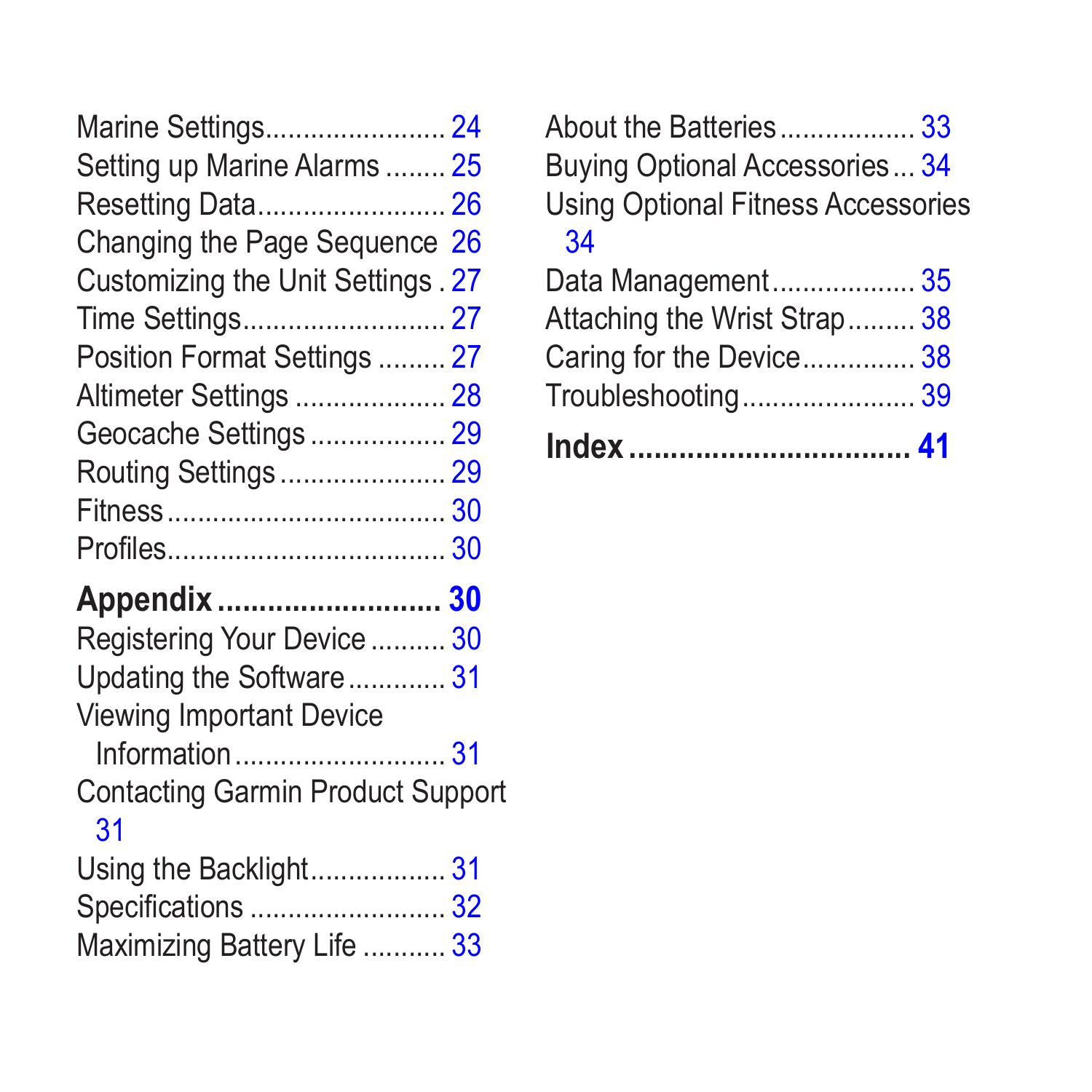| Marine Settings 24                 |  |
|------------------------------------|--|
| Setting up Marine Alarms  25       |  |
| Resetting Data 26                  |  |
| Changing the Page Sequence 26      |  |
| Customizing the Unit Settings . 27 |  |
|                                    |  |
| Position Format Settings  27       |  |
| Altimeter Settings  28             |  |
| Geocache Settings 29               |  |
| Routing Settings  29               |  |
|                                    |  |
|                                    |  |
| Appendix  30                       |  |
| Registering Your Device  30        |  |
| Updating the Software 31           |  |
| <b>Viewing Important Device</b>    |  |

[Information............................](#page-34-0) 31

[Contacting Garmin Product Support](#page-34-0)

### [31](#page-34-0)

| Using the Backlight 31      |  |
|-----------------------------|--|
|                             |  |
| Maximizing Battery Life  33 |  |

[About the Batteries..................](#page-36-0)......33 [Buying Optional Accessories...](#page-37-0) 34 [Using Optional Fitness Accessories](#page-37-0) [34](#page-37-0)

| Troubleshooting 39           |
|------------------------------|
| Caring for the Device 38     |
| Attaching the Wrist Strap 38 |
| Data Management 35           |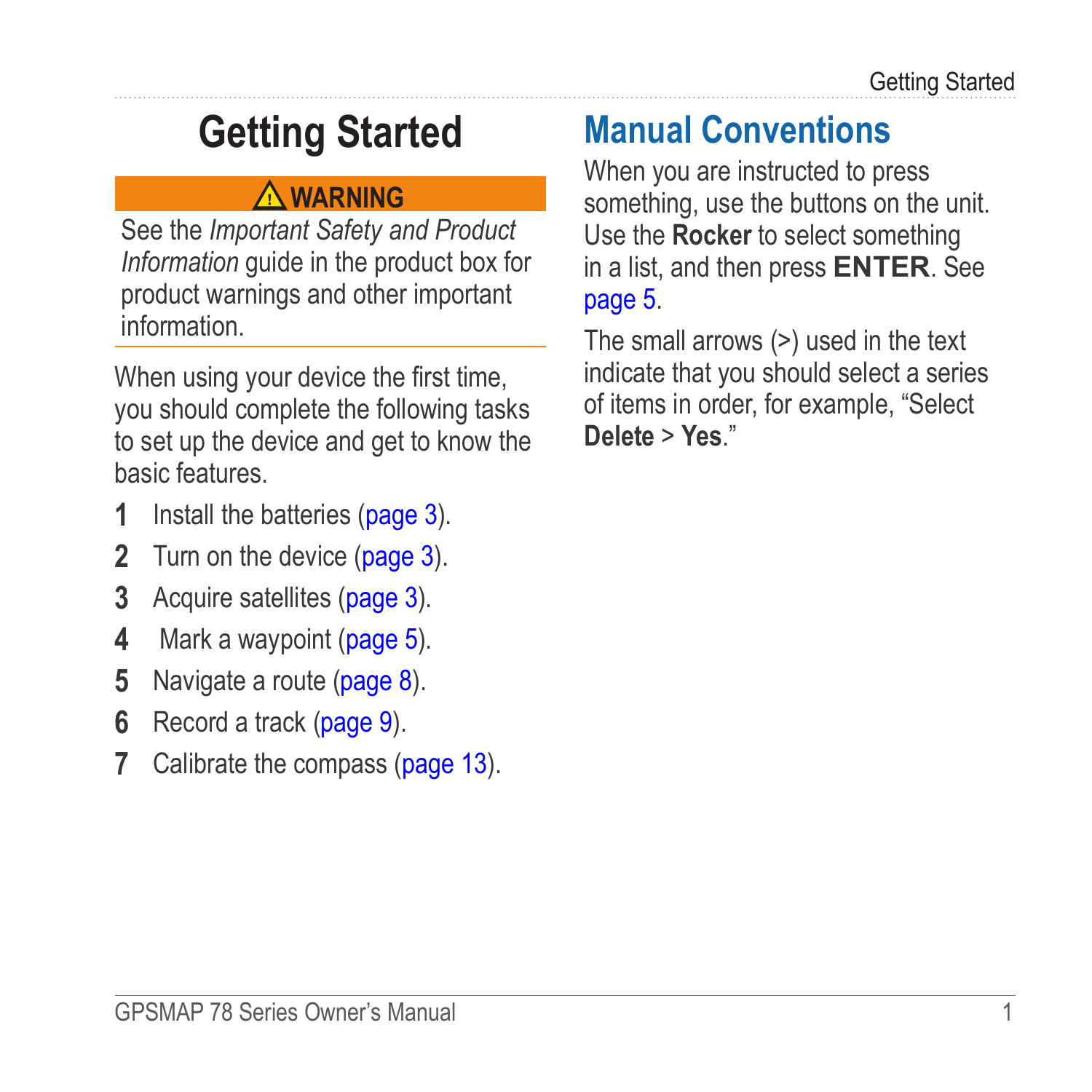# <span id="page-4-0"></span>**Getting Started**

### **warning**

See the *Important Safety and Product Information* guide in the product box for product warnings and other important information.

When using your device the first time, you should complete the following tasks to set up the device and get to know the basic features.

- **1** Install the batteries [\(page 3](#page-6-1)).
- **2** Turn on the device [\(page 3\)](#page-6-2).
- **3** Acquire satellites [\(page 3\)](#page-6-3).
- **4** Mark a waypoint [\(page 5\)](#page-8-1).
- **5** Navigate a route ([page 8](#page-11-1)).
- **6** Record a track ([page 9](#page-12-1)).
- **7** Calibrate the compass ([page 13\)](#page-16-1).

## **Manual Conventions**

When you are instructed to press something, use the buttons on the unit. Use the **Rocker** to select something in a list, and then press **ENTER**. See [page 5.](#page-8-2)

The small arrows (>) used in the text indicate that you should select a series of items in order, for example, "Select **Delete** > **Yes**."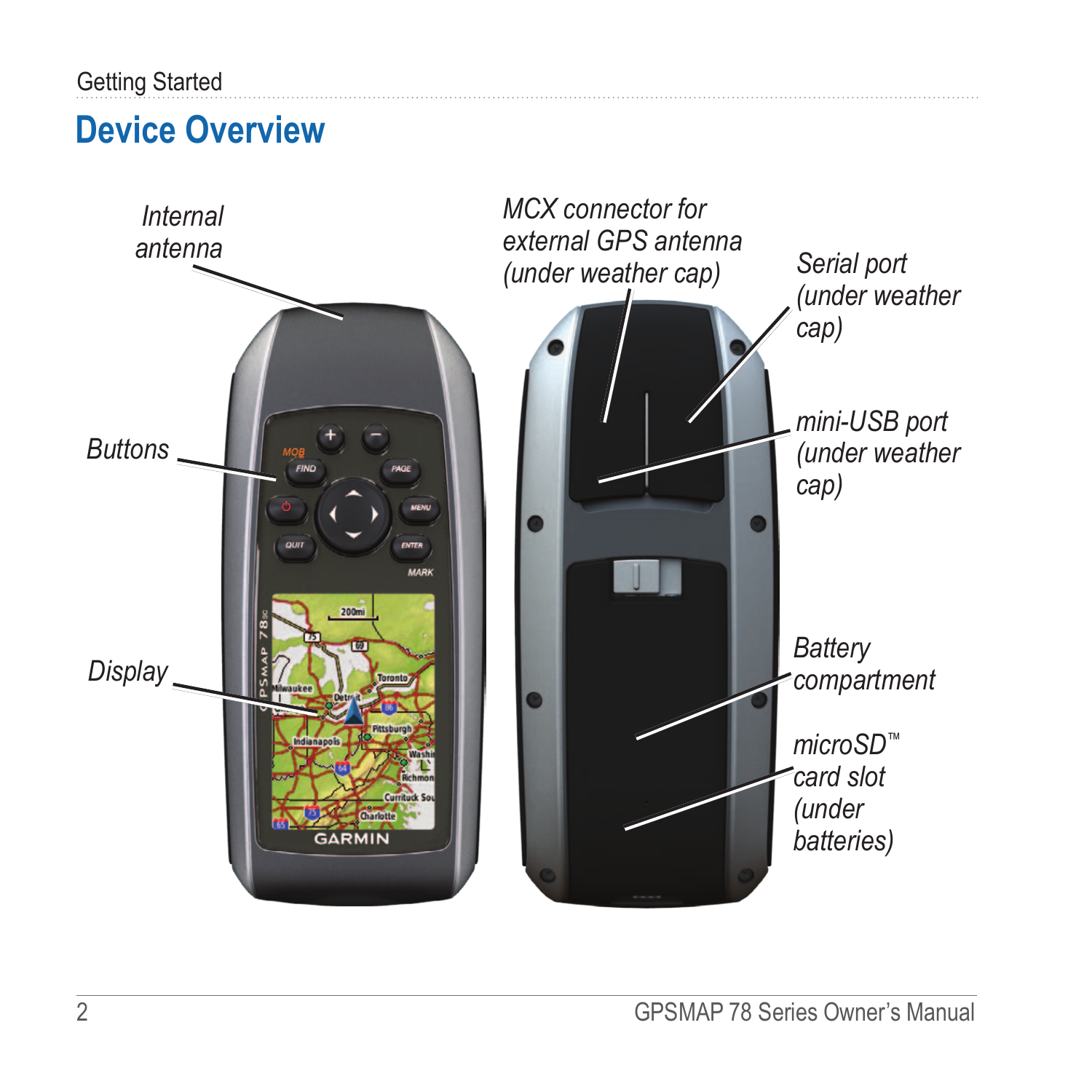#### <span id="page-5-0"></span>Getting Started

### **Device Overview**

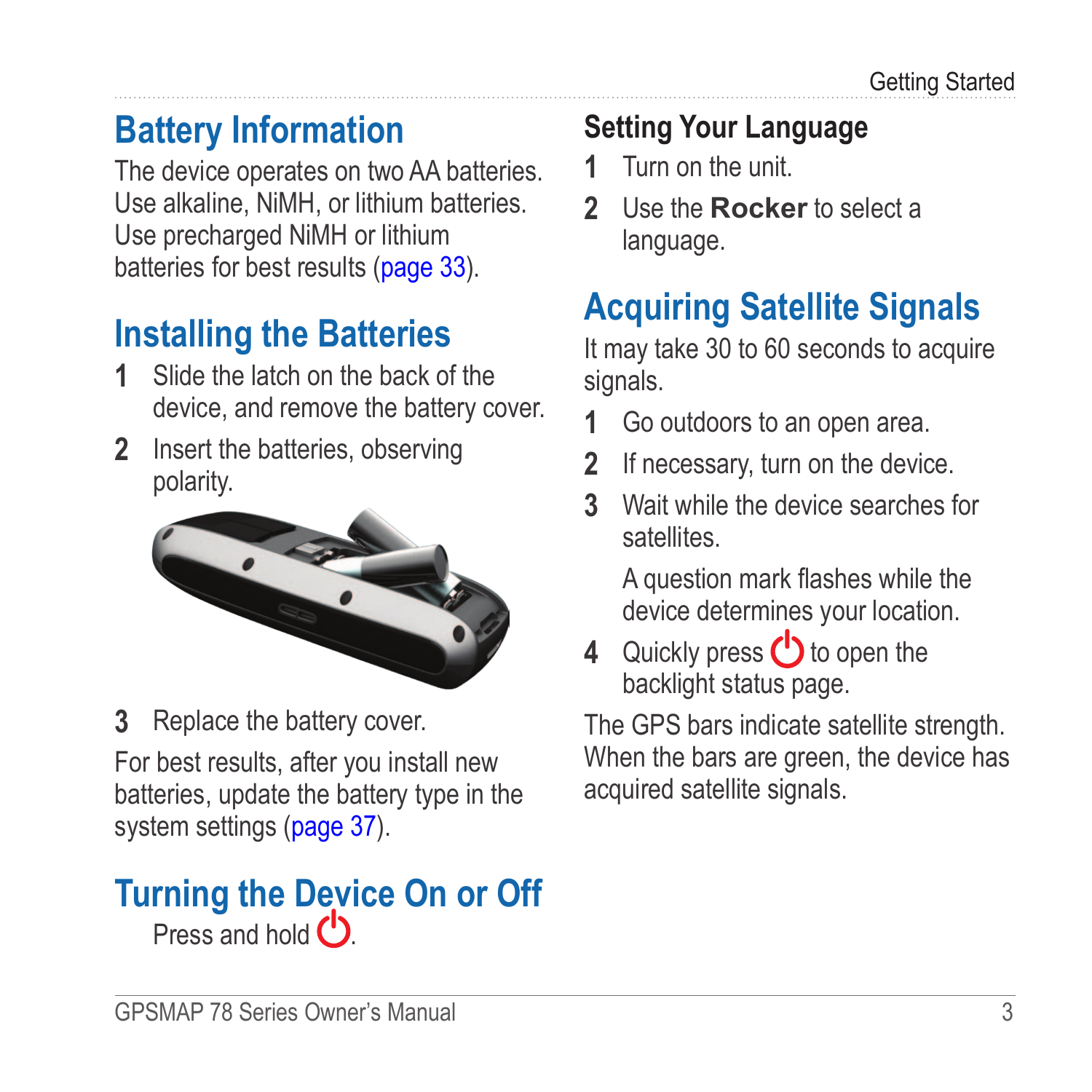# <span id="page-6-0"></span>**Battery Information**

The device operates on two AA batteries. Use alkaline, NiMH, or lithium batteries. Use precharged NiMH or lithium batteries for best results [\(page 33\)](#page-36-1).

## <span id="page-6-1"></span>**Installing the Batteries**

- **1** Slide the latch on the back of the device, and remove the battery cover.
- **2** Insert the batteries, observing polarity.



**3** Replace the battery cover.

For best results, after you install new batteries, update the battery type in the system settings [\(page 37](#page-37-1)).

### <span id="page-6-2"></span>**Turning the Device On or Off** Press and hold  $()$

## **Setting Your Language**

- **1** Turn on the unit.
- **2** Use the **Rocker** to select a language.

# <span id="page-6-3"></span>**Acquiring Satellite Signals**

It may take 30 to 60 seconds to acquire signals.

- **1** Go outdoors to an open area.
- **2** If necessary, turn on the device.
- **3** Wait while the device searches for satellites.

A question mark flashes while the device determines your location.

**4** Quickly press **b** to open the backlight status page.

The GPS bars indicate satellite strength. When the bars are green, the device has acquired satellite signals.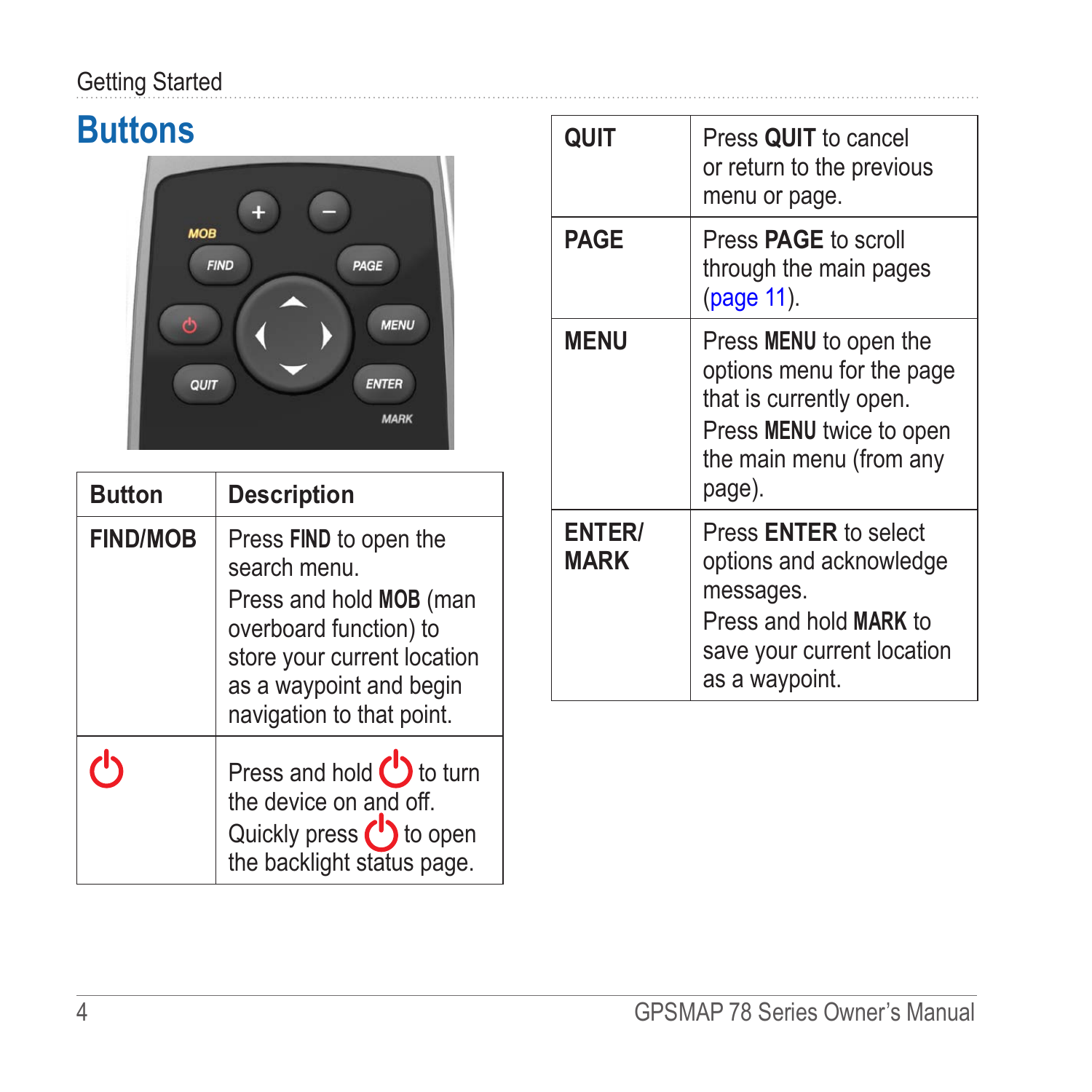### <span id="page-7-0"></span>Getting Started

## **Buttons**



| <b>Button</b>   | <b>Description</b>                                                                                                                                                                |
|-----------------|-----------------------------------------------------------------------------------------------------------------------------------------------------------------------------------|
| <b>FIND/MOB</b> | Press FIND to open the<br>search menu<br>Press and hold MOB (man<br>overboard function) to<br>store your current location<br>as a waypoint and begin<br>navigation to that point. |
|                 | Press and hold $\bigcup$ to turn<br>the device on and off.<br>Quickly press (1) to open<br>the backlight status page.                                                             |

| QUIT                         | Press QUIT to cancel<br>or return to the previous<br>menu or page.                                                                              |
|------------------------------|-------------------------------------------------------------------------------------------------------------------------------------------------|
| <b>PAGE</b>                  | Press <b>PAGE</b> to scroll<br>through the main pages<br>(page 11).                                                                             |
| <b>MENU</b>                  | Press MENU to open the<br>options menu for the page<br>that is currently open.<br>Press MENU twice to open<br>the main menu (from any<br>page). |
| <b>ENTER/</b><br><b>MARK</b> | Press <b>ENTER</b> to select<br>options and acknowledge<br>messages.<br>Press and hold MARK to<br>save your current location<br>as a waypoint.  |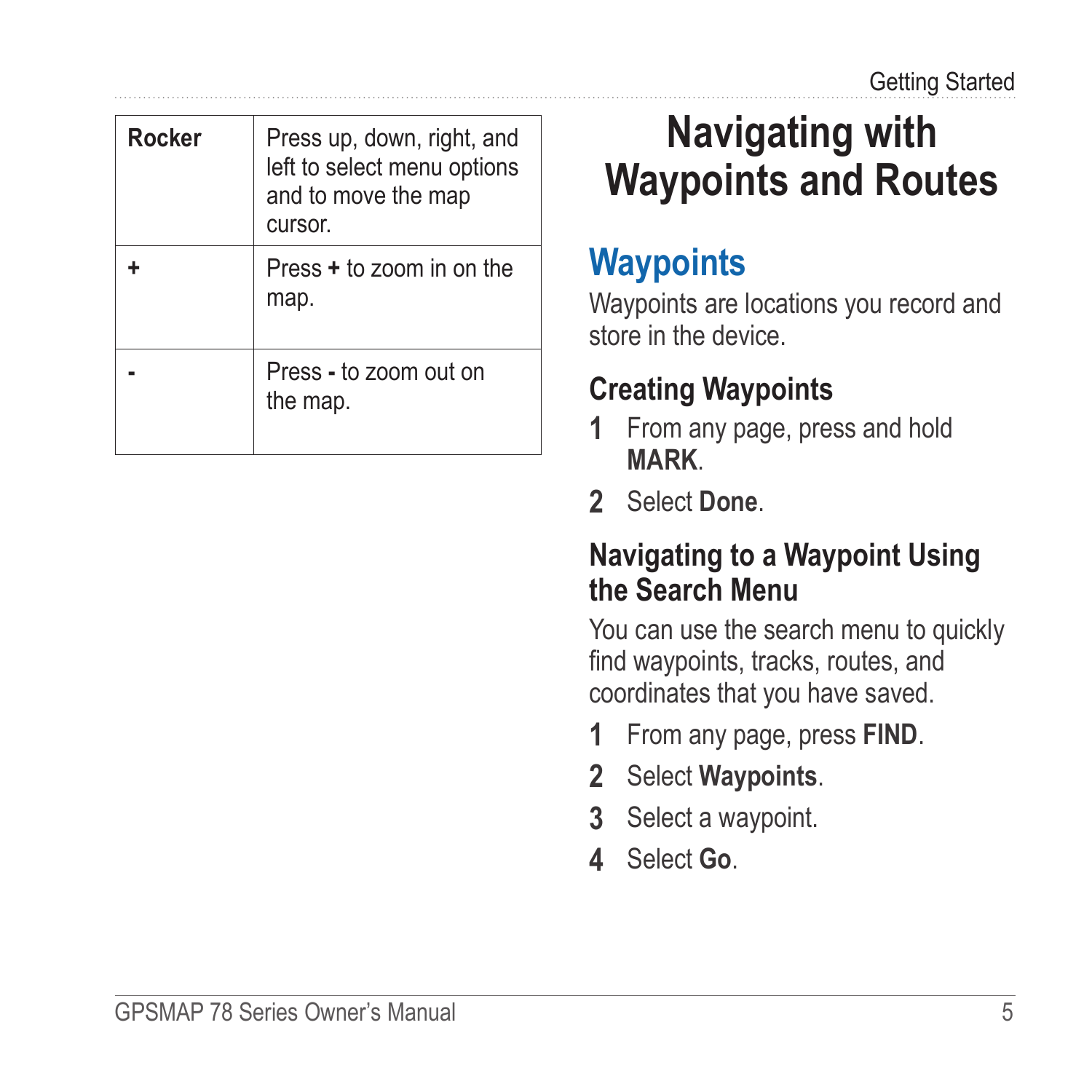<span id="page-8-2"></span><span id="page-8-0"></span>

| Rocker | Press up, down, right, and<br>left to select menu options<br>and to move the map<br>cursor. |
|--------|---------------------------------------------------------------------------------------------|
|        | Press + to zoom in on the<br>map.                                                           |
|        | Press - to zoom out on<br>the map.                                                          |

# **Navigating with Waypoints and Routes**

## **Waypoints**

Waypoints are locations you record and store in the device.

### <span id="page-8-1"></span>**Creating Waypoints**

- **1** From any page, press and hold **MARK**.
- **2** Select **Done**.

### **Navigating to a Waypoint Using the Search Menu**

You can use the search menu to quickly find waypoints, tracks, routes, and coordinates that you have saved.

- **1** From any page, press **FIND**.
- **2** Select **Waypoints**.
- **3** Select a waypoint.
- **4** Select **Go**.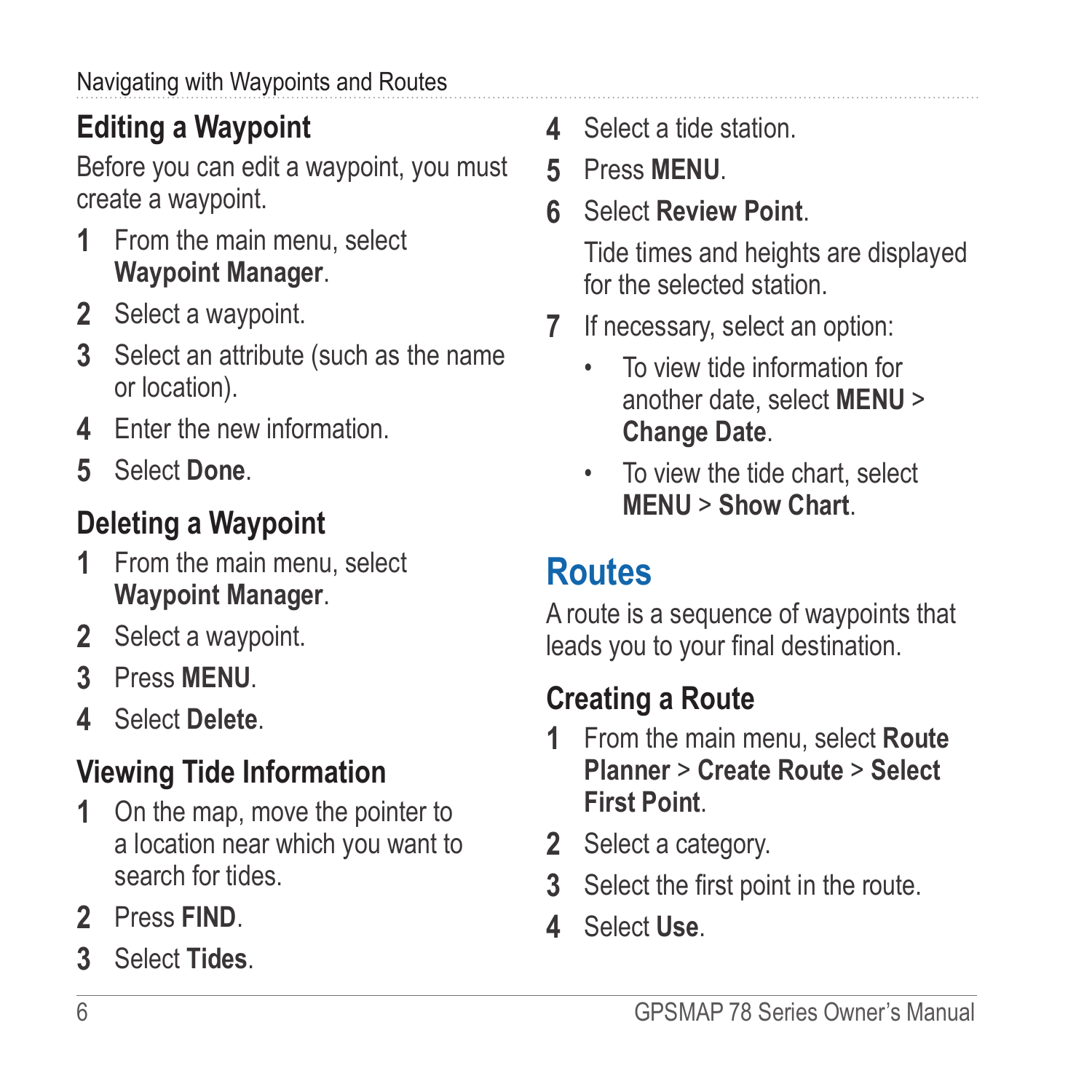## <span id="page-9-0"></span>**Editing a Waypoint**

Before you can edit a waypoint, you must create a waypoint.

- **1** From the main menu, select **Waypoint Manager**.
- **2** Select a waypoint.
- **3** Select an attribute (such as the name or location).
- **4** Enter the new information.
- **5** Select **Done**.

## **Deleting a Waypoint**

- **1** From the main menu, select **Waypoint Manager**.
- **2** Select a waypoint.
- **3** Press **Menu**.
- **4** Select **Delete**.

## **Viewing Tide Information**

- **1** On the map, move the pointer to a location near which you want to search for tides.
- **2** Press **FIND**.
- **3** Select **Tides**.
- **4** Select a tide station.
- **5** Press **MENU**.
- **6** Select **Review Point**.

Tide times and heights are displayed for the selected station.

- **7** If necessary, select an option:
	- To view tide information for another date, select **MENU** > **Change Date**.
	- To view the tide chart, select **MENU** > **Show Chart**.

## **Routes**

A route is a sequence of waypoints that leads you to your final destination.

## **Creating a Route**

- **1** From the main menu, select **Route Planner** > **Create Route** > **Select First Point**.
- **2** Select a category.
- **3** Select the first point in the route.
- **4** Select **Use**.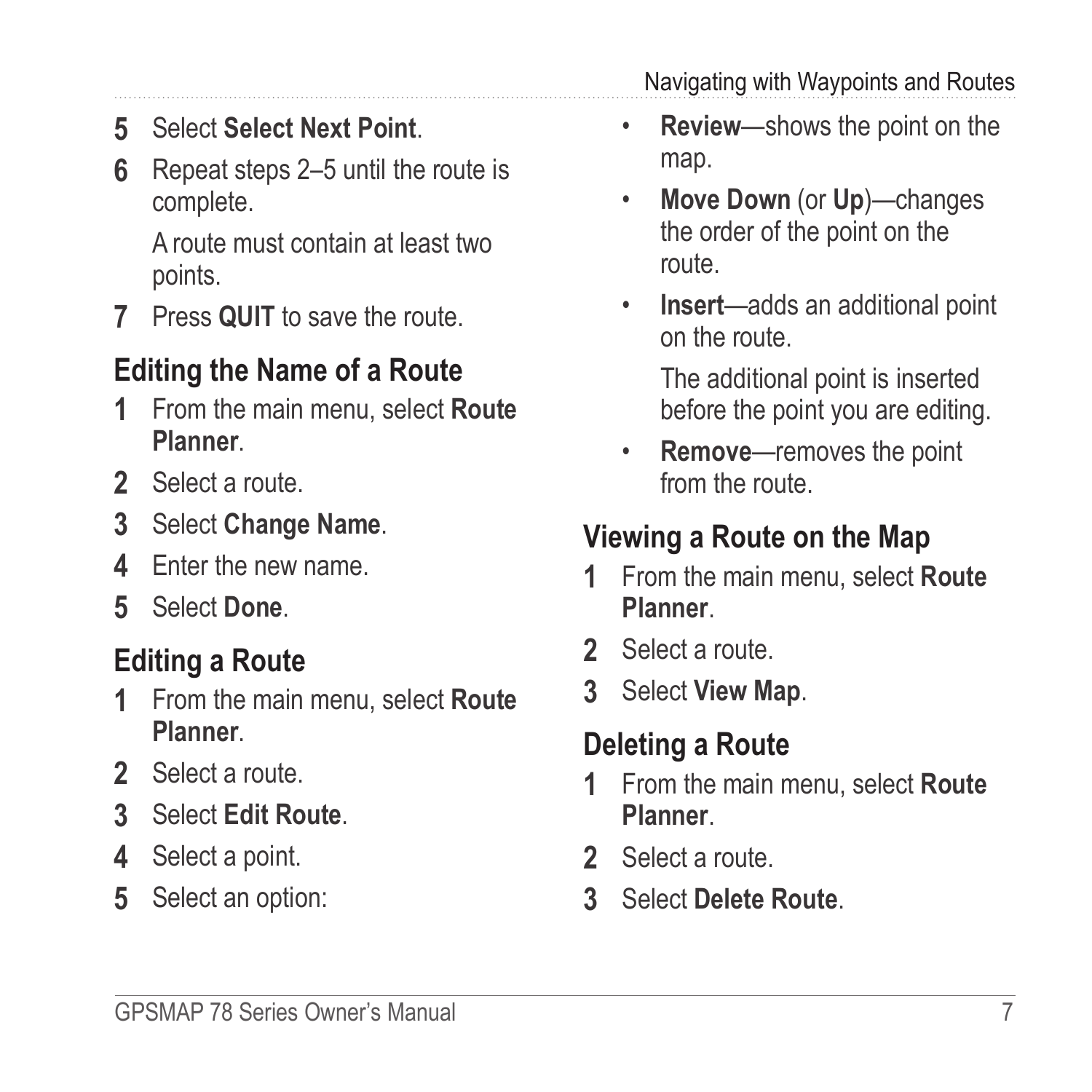<span id="page-10-0"></span>**5** Select **Select Next Point**.

**6** Repeat steps 2–5 until the route is complete.

A route must contain at least two points.

**7** Press **quit** to save the route.

### **Editing the Name of a Route**

- **1** From the main menu, select **Route Planner**.
- **2** Select a route.
- **3** Select **Change Name**.
- **4** Enter the new name.
- **5** Select **Done**.

## **Editing a Route**

- **1** From the main menu, select **Route Planner**.
- **2** Select a route.
- **3** Select **Edit Route**.
- **4** Select a point.
- **5** Select an option:

Navigating with Waypoints and Routes

- **Review**—shows the point on the map.
- **Move Down** (or **Up**)—changes the order of the point on the route.
- **Insert**—adds an additional point on the route.

The additional point is inserted before the point you are editing.

• **Remove**—removes the point from the route.

### **Viewing a Route on the Map**

- **1** From the main menu, select **Route Planner**.
- **2** Select a route.
- **3** Select **View Map**.

## **Deleting a Route**

- **1** From the main menu, select **Route Planner**.
- **2** Select a route.
- **3** Select **Delete Route**.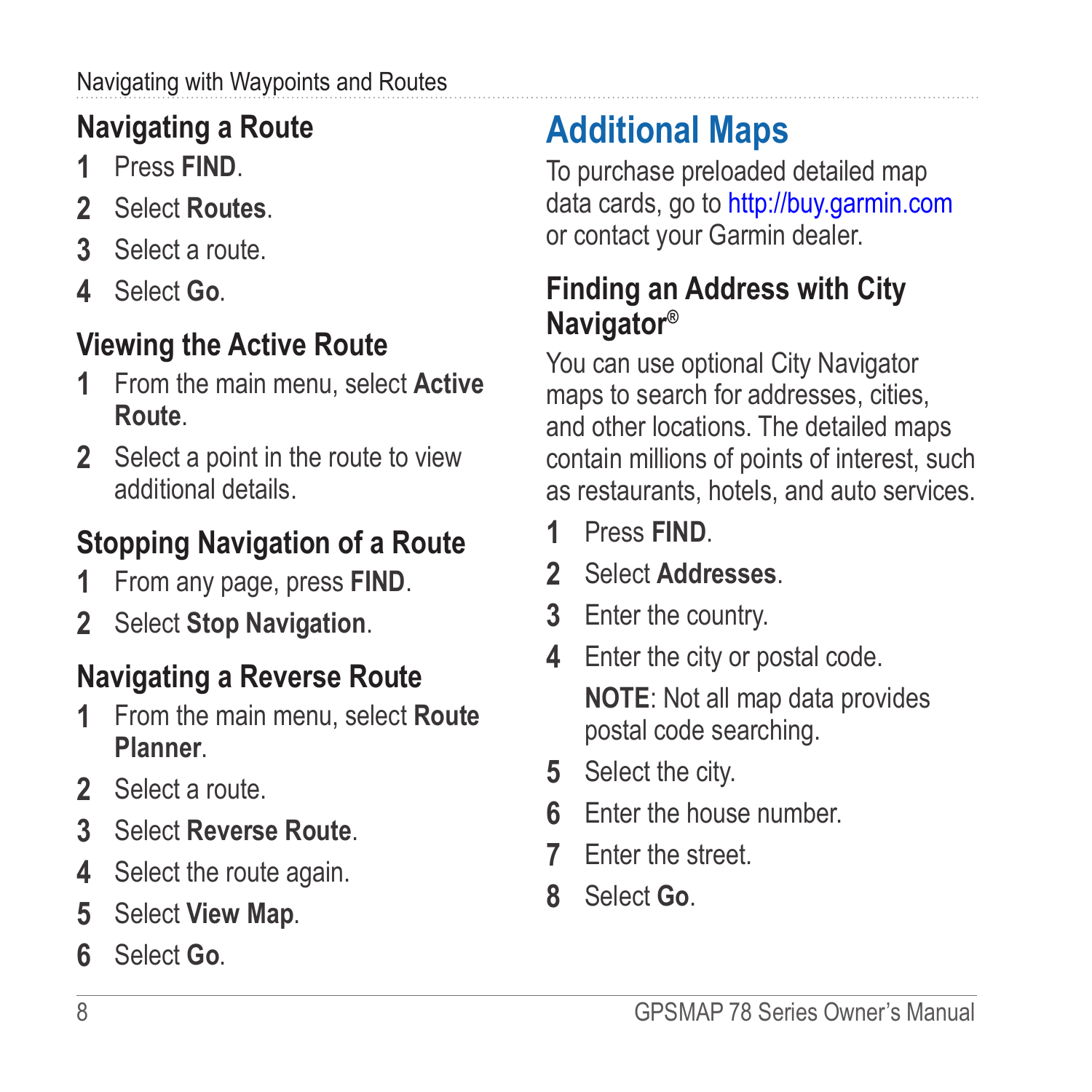#### <span id="page-11-0"></span>Navigating with Waypoints and Routes

## <span id="page-11-1"></span>**Navigating a Route**

- **1** Press **FIND**.
- **2** Select **Routes**.
- **3** Select a route.
- **4** Select **Go**.

## **Viewing the Active Route**

- **1** From the main menu, select **Active Route**.
- **2** Select a point in the route to view additional details.

## **Stopping Navigation of a Route**

- **1** From any page, press **FIND**.
- **2** Select **Stop Navigation**.

## **Navigating a Reverse Route**

- **1** From the main menu, select **Route Planner**.
- **2** Select a route.
- **3** Select **Reverse Route**.
- **4** Select the route again.
- **5** Select **View Map**.
- **6** Select **Go**.

# **Additional Maps**

To purchase preloaded detailed map data cards, go to<http://buy.garmin.com> or contact your Garmin dealer.

### **Finding an Address with City Navigator®**

You can use optional City Navigator maps to search for addresses, cities, and other locations. The detailed maps contain millions of points of interest, such as restaurants, hotels, and auto services.

- **1** Press **FIND**.
- **2** Select **Addresses**.
- **3** Enter the country.
- **4** Enter the city or postal code.

**NOTE**: Not all map data provides postal code searching.

- **5** Select the city.
- **6** Enter the house number.
- **7** Enter the street.
- **8** Select **Go**.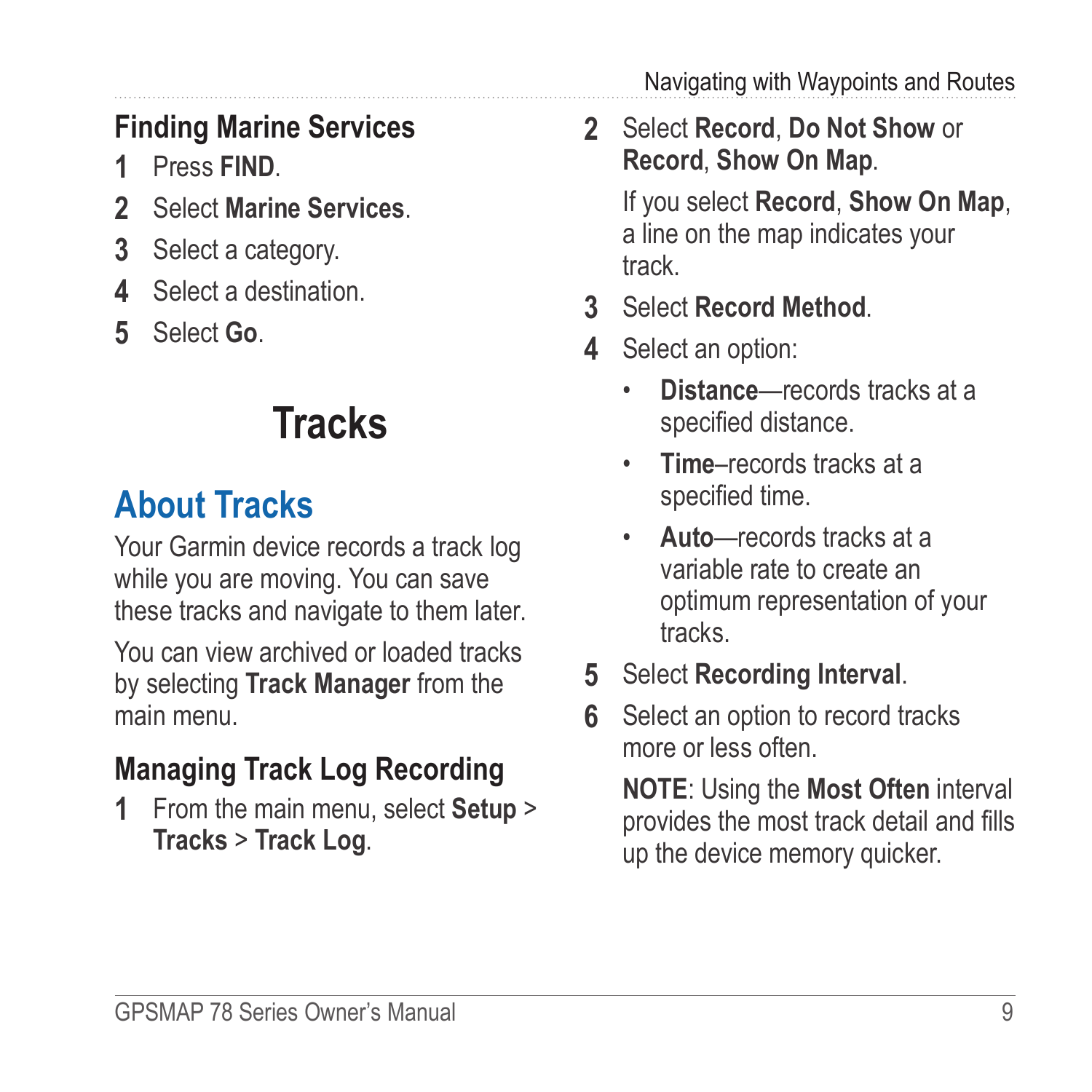Navigating with Waypoints and Routes

## <span id="page-12-0"></span>**Finding Marine Services**

- **1** Press **FIND**.
- **2** Select **Marine Services**.
- **3** Select a category.
- **4** Select a destination.
- **5** Select **Go**.

# **Tracks**

## <span id="page-12-1"></span>**About Tracks**

Your Garmin device records a track log while you are moving. You can save these tracks and navigate to them later.

You can view archived or loaded tracks by selecting **Track Manager** from the main menu.

## **Managing Track Log Recording**

**1** From the main menu, select **Setup** > **Tracks** > **Track Log**.

**2** Select **Record**, **Do Not Show** or **Record**, **Show On Map**.

> If you select **Record**, **Show On Map**, a line on the map indicates your track.

- **3** Select **Record Method**.
- **4** Select an option:
	- **Distance**—records tracks at a specified distance.
	- **Time**–records tracks at a specified time.
	- **Auto**—records tracks at a variable rate to create an optimum representation of your tracks.
- **5** Select **Recording Interval**.
- **6** Select an option to record tracks more or less often

**NOTE**: Using the **Most Often** interval provides the most track detail and fills up the device memory quicker.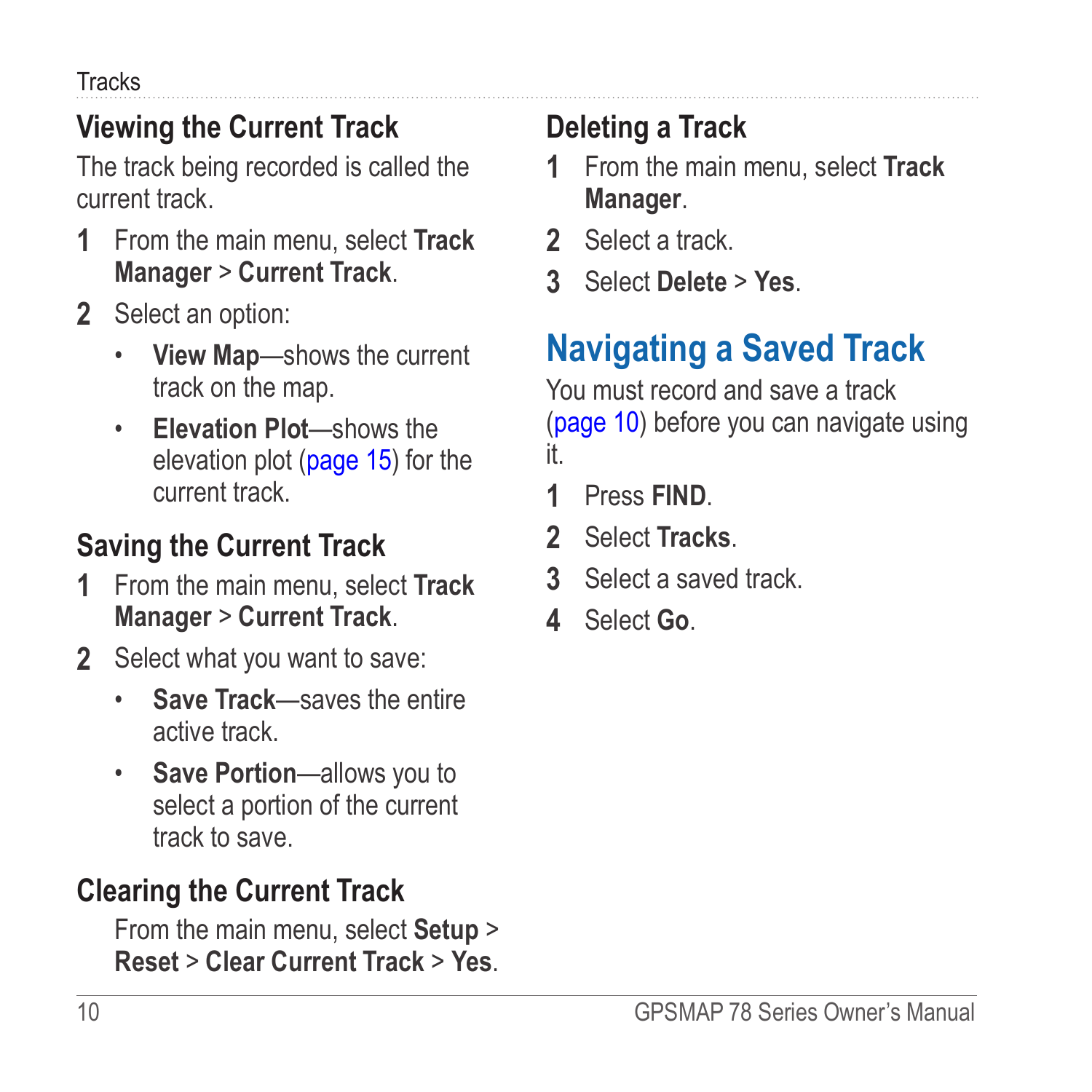<span id="page-13-0"></span>**Tracks** 

### **Viewing the Current Track**

The track being recorded is called the current track.

- **1** From the main menu, select **Track Manager** > **Current Track**.
- **2** Select an option:
	- **View Map**—shows the current track on the map.
	- **Elevation Plot**—shows the elevation plot ([page 15\)](#page-18-1) for the current track.

## <span id="page-13-1"></span>**Saving the Current Track**

- **1** From the main menu, select **Track Manager** > **Current Track**.
- **2** Select what you want to save:
	- **Save Track**—saves the entire active track.
	- **Save Portion**—allows you to select a portion of the current track to save.

### **Clearing the Current Track**

From the main menu, select **Setup** > **Reset** > **Clear Current Track** > **Yes**.

## **Deleting a Track**

- **1** From the main menu, select **Track Manager**.
- **2** Select a track.
- **3** Select **Delete** > **Yes**.

## **Navigating a Saved Track**

You must record and save a track ([page 10](#page-13-1)) before you can navigate using it.

- **1** Press **FIND**.
- **2** Select **Tracks**.
- **3** Select a saved track.
- **4** Select **Go**.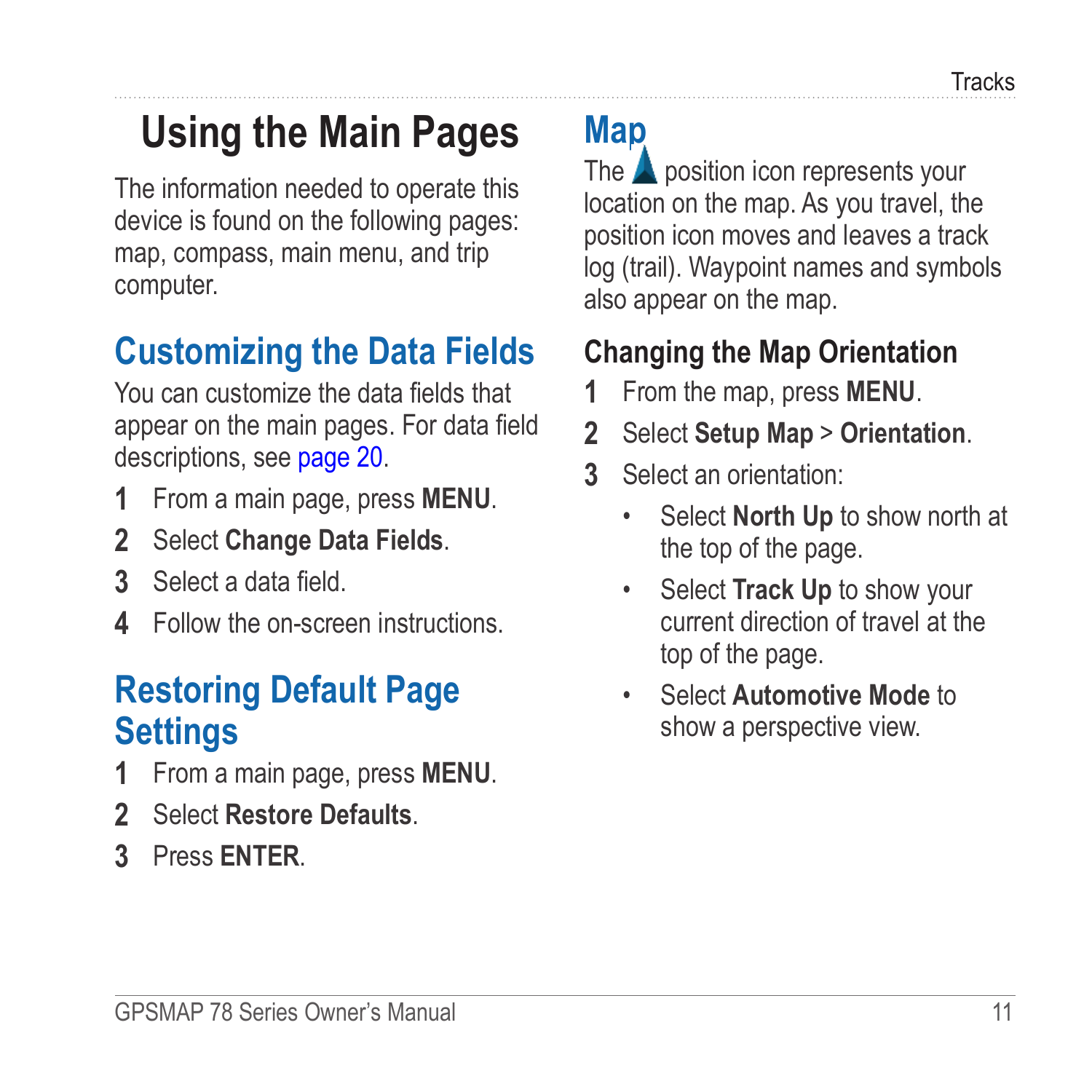# <span id="page-14-1"></span><span id="page-14-0"></span>**Using the Main Pages**

The information needed to operate this device is found on the following pages: map, compass, main menu, and trip computer.

## **Customizing the Data Fields**

You can customize the data fields that appear on the main pages. For data field descriptions, see [page 20](#page-23-1).

- **1** From a main page, press **meNu**.
- **2** Select **Change Data Fields**.
- **3** Select a data field.
- **4** Follow the on-screen instructions.

## **Restoring Default Page Settings**

- **1** From a main page, press **meNu**.
- **2** Select **Restore Defaults**.
- **3** Press **enter**.

# **Map**

The  $\triangle$  position icon represents your location on the map. As you travel, the position icon moves and leaves a track log (trail). Waypoint names and symbols also appear on the map.

### <span id="page-14-2"></span>**Changing the Map Orientation**

- **1** From the map, press **MENU**.
- **2** Select **Setup Map** > **Orientation**.
- **3** Select an orientation:
	- Select **North Up** to show north at the top of the page.
	- Select **Track Up** to show your current direction of travel at the top of the page.
	- Select **Automotive Mode** to show a perspective view.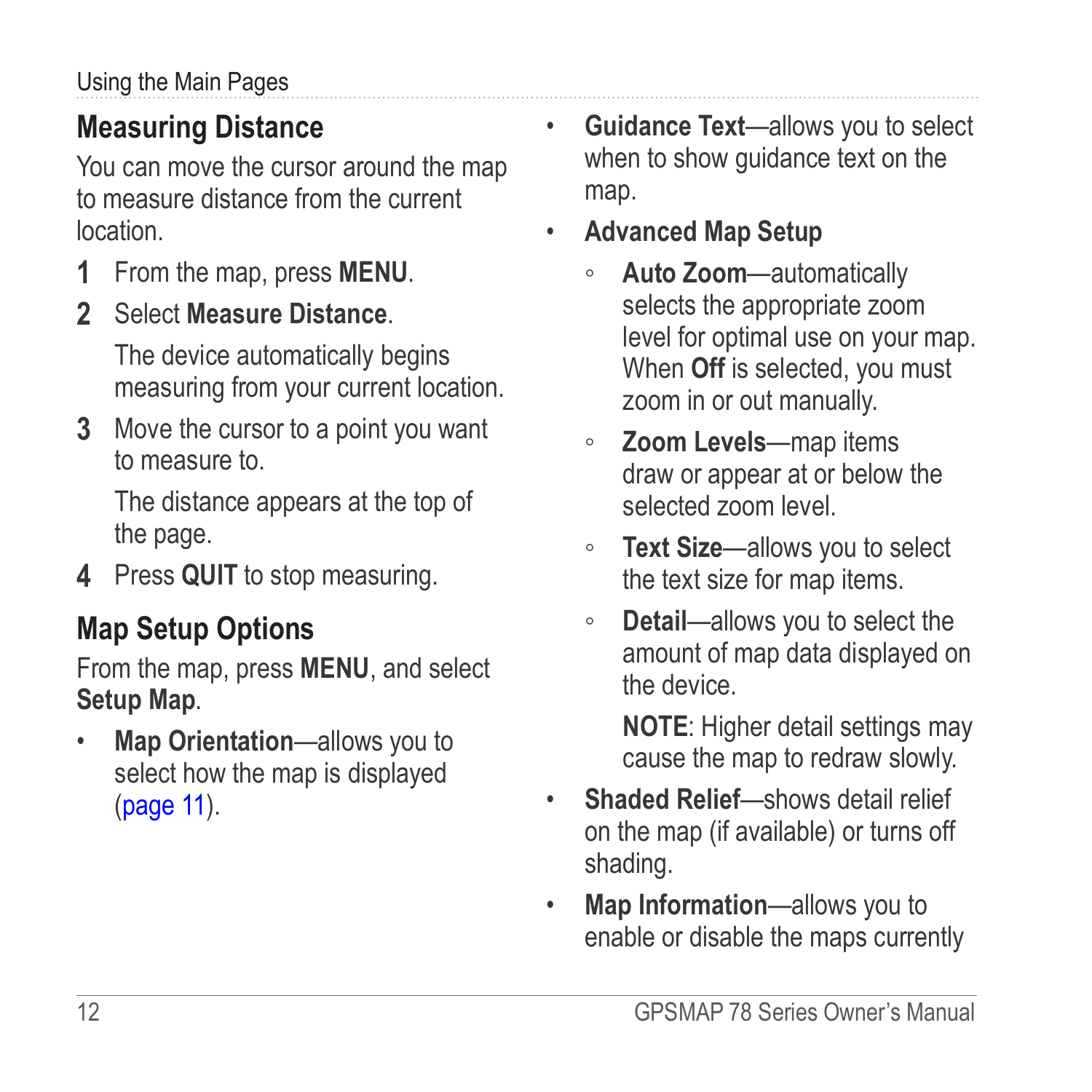### <span id="page-15-0"></span>**Measuring Distance**

You can move the cursor around the map to measure distance from the current location.

- **1** From the map, press **MENU**.
- **2** Select **Measure Distance**.

The device automatically begins measuring from your current location.

**3** Move the cursor to a point you want to measure to.

The distance appears at the top of the page.

**4** Press **quit** to stop measuring.

### **Map Setup Options**

From the map, press **menu**, and select **Setup Map**.

• **Map Orientation**—allows you to select how the map is displayed [\(page 11\)](#page-14-2).

- **Guidance Text**—allows you to select when to show guidance text on the map.
- **Advanced Map Setup**
	- **Auto Zoom**—automatically selects the appropriate zoom level for optimal use on your map. When **Off** is selected, you must zoom in or out manually.
	- **Zoom Levels**—map items draw or appear at or below the selected zoom level.
	- **Text Size**—allows you to select the text size for map items.
	- **Detail**—allows you to select the amount of map data displayed on the device.

**NOTE:** Higher detail settings may cause the map to redraw slowly.

- **Shaded Relief**—shows detail relief on the map (if available) or turns off shading.
- **Map Information**—allows you to enable or disable the maps currently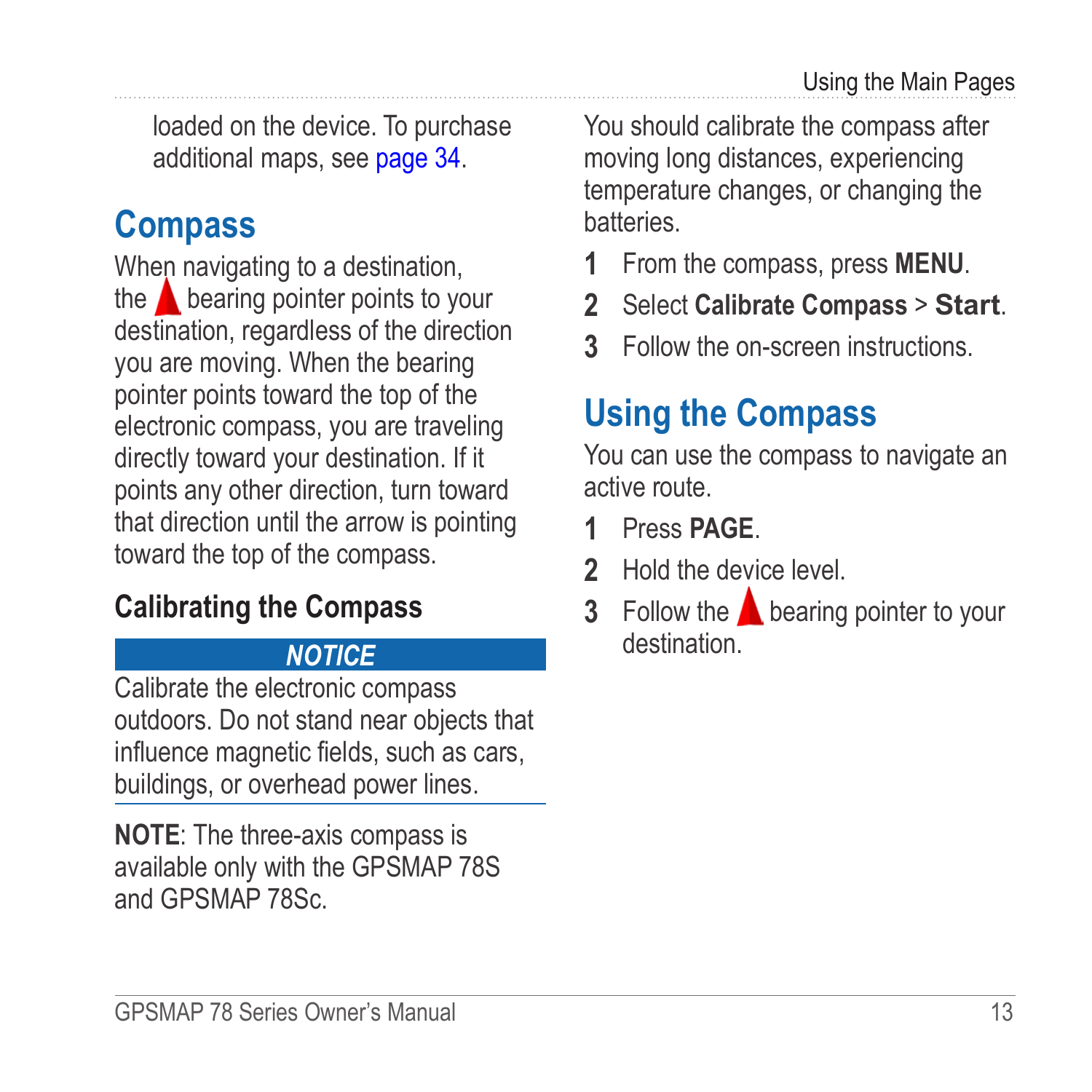<span id="page-16-0"></span>loaded on the device. To purchase additional maps, see [page 34](#page-37-2).

## **Compass**

When navigating to a destination, the  $\triangle$  bearing pointer points to your destination, regardless of the direction you are moving. When the bearing pointer points toward the top of the electronic compass, you are traveling directly toward your destination. If it points any other direction, turn toward that direction until the arrow is pointing toward the top of the compass.

### <span id="page-16-1"></span>**Calibrating the Compass**

### *notice*

Calibrate the electronic compass outdoors. Do not stand near objects that influence magnetic fields, such as cars, buildings, or overhead power lines.

**NOTE:** The three-axis compass is available only with the GPSMAP 78S and GPSMAP 78Sc.

You should calibrate the compass after moving long distances, experiencing temperature changes, or changing the batteries.

- **1** From the compass, press **MENU**.
- **2** Select **Calibrate Compass** > **Start**.
- **3** Follow the on-screen instructions.

## **Using the Compass**

You can use the compass to navigate an active route.

- **1** Press **page**.
- **2** Hold the device level.
- **3** Follow the **b**earing pointer to your destination.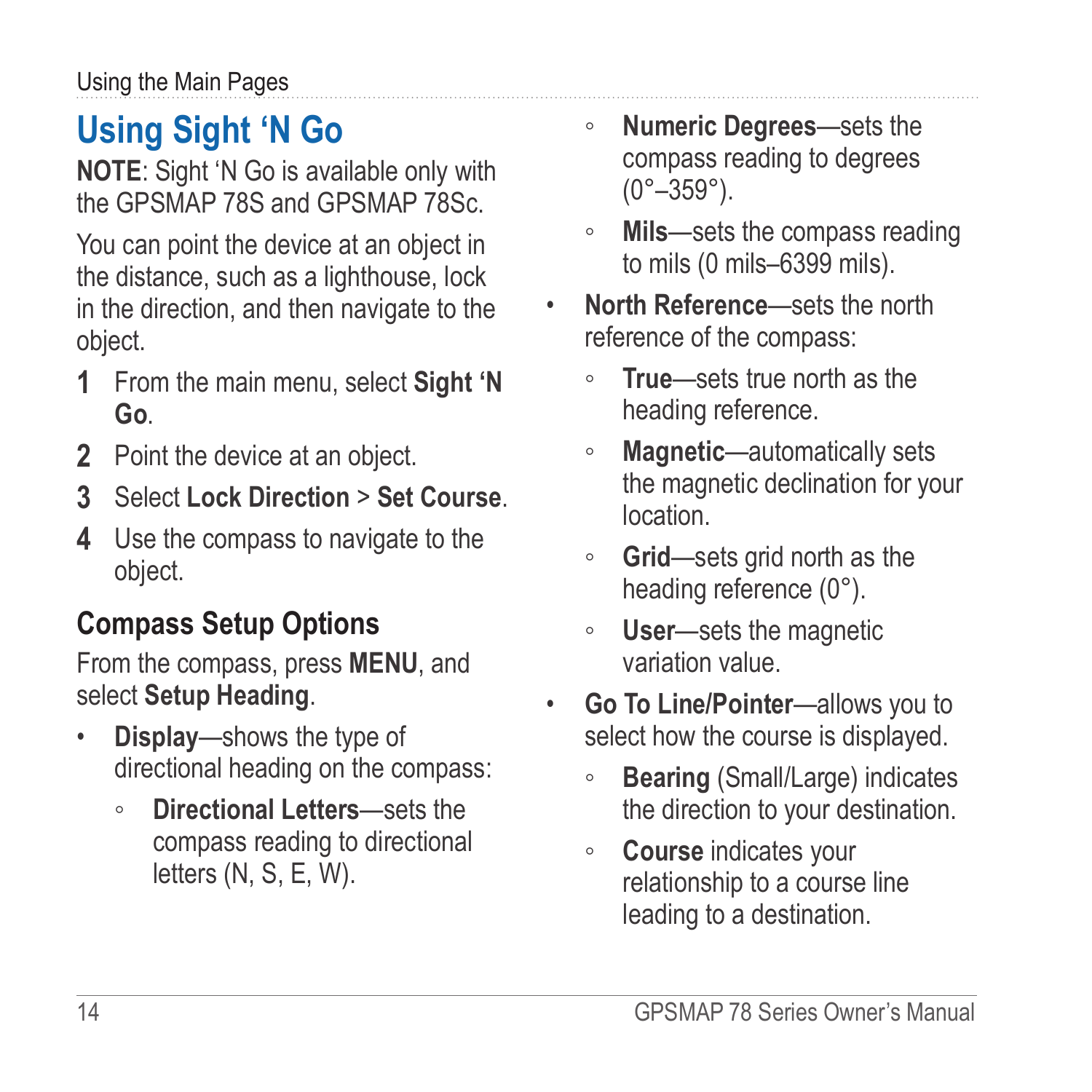# <span id="page-17-0"></span>**Using Sight 'N Go**

**NOTE**: Sight 'N Go is available only with the GPSMAP 78S and GPSMAP 78Sc.

You can point the device at an object in the distance, such as a lighthouse, lock in the direction, and then navigate to the object.

- **1** From the main menu, select **Sight 'N Go**.
- **2** Point the device at an object.
- **3** Select **Lock Direction** > **Set Course**.
- **4** Use the compass to navigate to the object.

## **Compass Setup Options**

From the compass, press **menu**, and select **Setup Heading**.

- **Display**—shows the type of directional heading on the compass:
	- **Directional Letters**—sets the compass reading to directional letters (N, S, E, W).
- **Numeric Degrees**—sets the compass reading to degrees  $(0^{\circ} - 359^{\circ})$ .
- **Mils**—sets the compass reading to mils (0 mils–6399 mils).
- **North Reference**—sets the north reference of the compass:
	- **True**—sets true north as the heading reference.
	- **Magnetic**—automatically sets the magnetic declination for your location.
	- **Grid**—sets grid north as the heading reference (0°).
	- **User**—sets the magnetic variation value.
- **Go To Line/Pointer**—allows you to select how the course is displayed.
	- **Bearing** (Small/Large) indicates the direction to your destination.
	- **Course** indicates your relationship to a course line leading to a destination.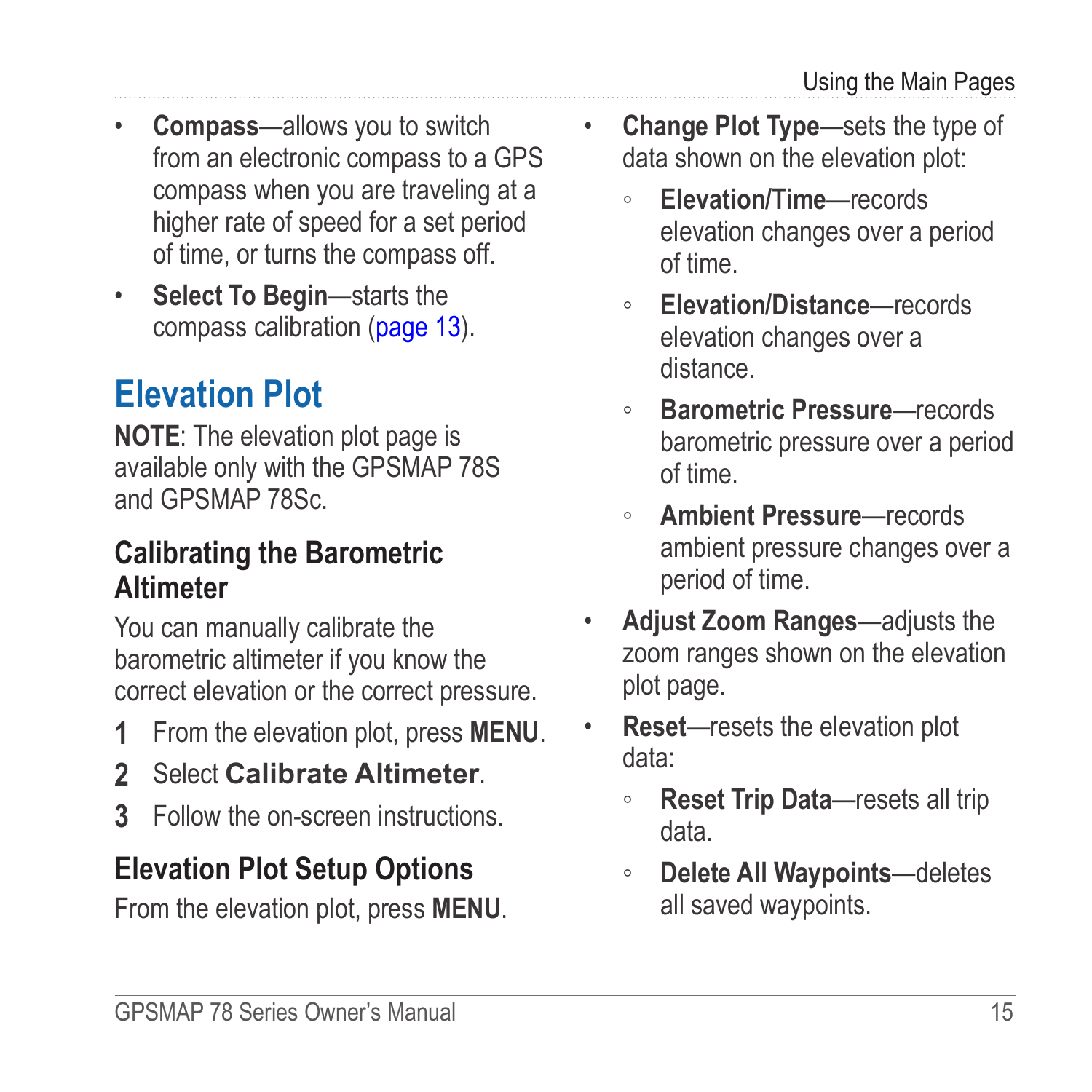- <span id="page-18-0"></span>• **Compass**—allows you to switch from an electronic compass to a GPS compass when you are traveling at a higher rate of speed for a set period of time, or turns the compass off.
- **Select To Begin**—starts the compass calibration ([page 13](#page-16-1)).

## <span id="page-18-1"></span>**Elevation Plot**

**NOTE:** The elevation plot page is available only with the GPSMAP 78S and GPSMAP 78Sc.

### <span id="page-18-2"></span>**Calibrating the Barometric Altimeter**

You can manually calibrate the barometric altimeter if you know the correct elevation or the correct pressure.

- **1** From the elevation plot, press **menu**.
- **2** Select **Calibrate Altimeter**.
- **3** Follow the on-screen instructions.

### **Elevation Plot Setup Options**

From the elevation plot, press **menu**.

- **Change Plot Type**—sets the type of data shown on the elevation plot:
	- **Elevation/Time**—records elevation changes over a period of time.
	- **Elevation/Distance**—records elevation changes over a distance.
	- **Barometric Pressure**—records barometric pressure over a period of time.
	- **Ambient Pressure**—records ambient pressure changes over a period of time.
- **Adjust Zoom Ranges**—adjusts the zoom ranges shown on the elevation plot page.
- **Reset**—resets the elevation plot data:
	- **Reset Trip Data**—resets all trip data.
	- **Delete All Waypoints**—deletes all saved waypoints.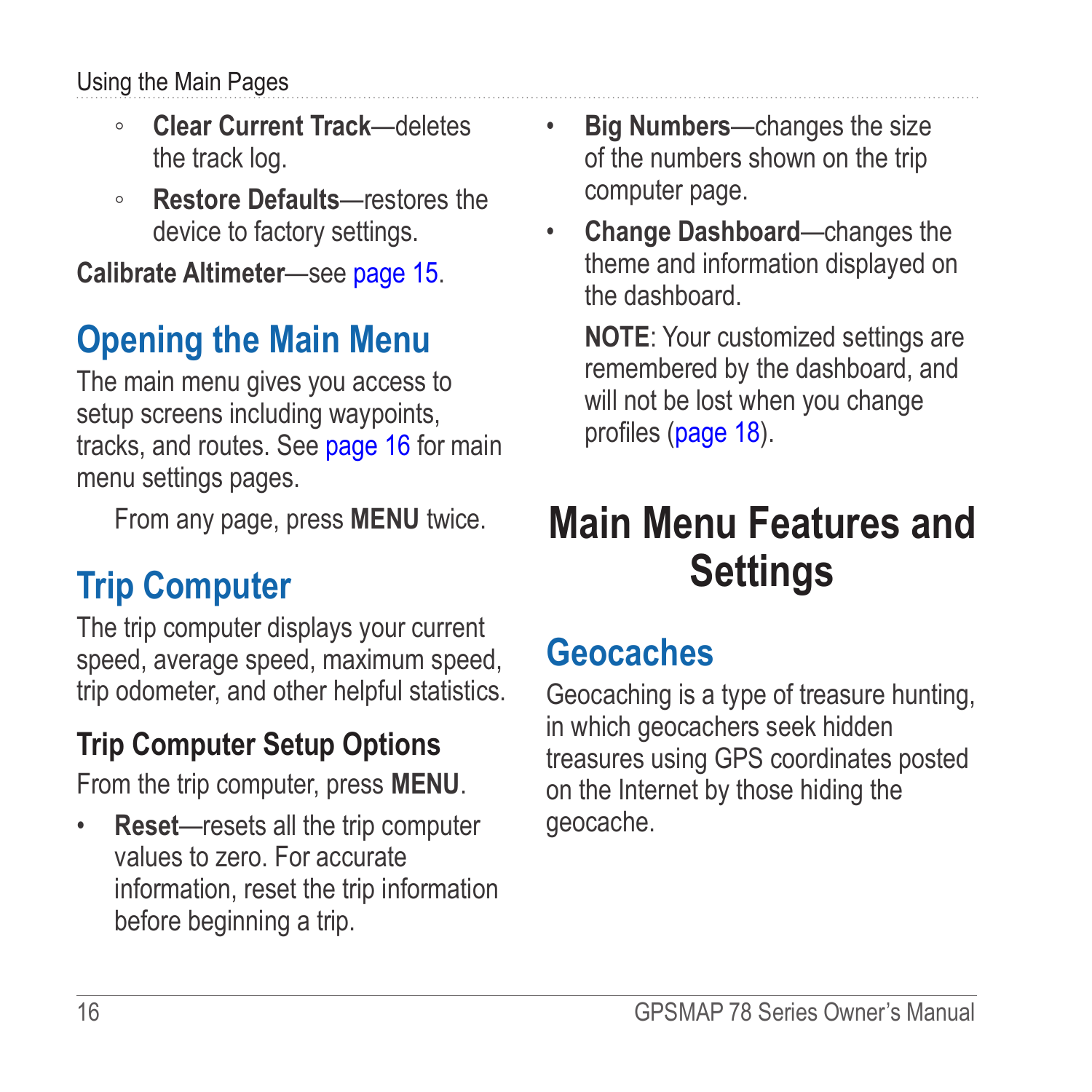#### <span id="page-19-0"></span>Using the Main Pages

- **Clear Current Track**—deletes the track log.
- **Restore Defaults**—restores the device to factory settings.

**Calibrate Altimeter**—see [page 15](#page-18-2).

## **Opening the Main Menu**

The main menu gives you access to setup screens including waypoints, tracks, and routes. See [page 16](#page-19-1) for main menu settings pages.

From any page, press **MENU** twice.

## **Trip Computer**

The trip computer displays your current speed, average speed, maximum speed, trip odometer, and other helpful statistics.

## **Trip Computer Setup Options**

From the trip computer, press **menu**.

• **Reset**—resets all the trip computer values to zero. For accurate information, reset the trip information before beginning a trip.

- **Big Numbers**—changes the size of the numbers shown on the trip computer page.
- **Change Dashboard**—changes the theme and information displayed on the dashboard.

**NOTE:** Your customized settings are remembered by the dashboard, and will not be lost when you change profiles [\(page 18](#page-21-1)).

# <span id="page-19-1"></span>**Main Menu Features and Settings**

## **Geocaches**

Geocaching is a type of treasure hunting, in which geocachers seek hidden treasures using GPS coordinates posted on the Internet by those hiding the geocache.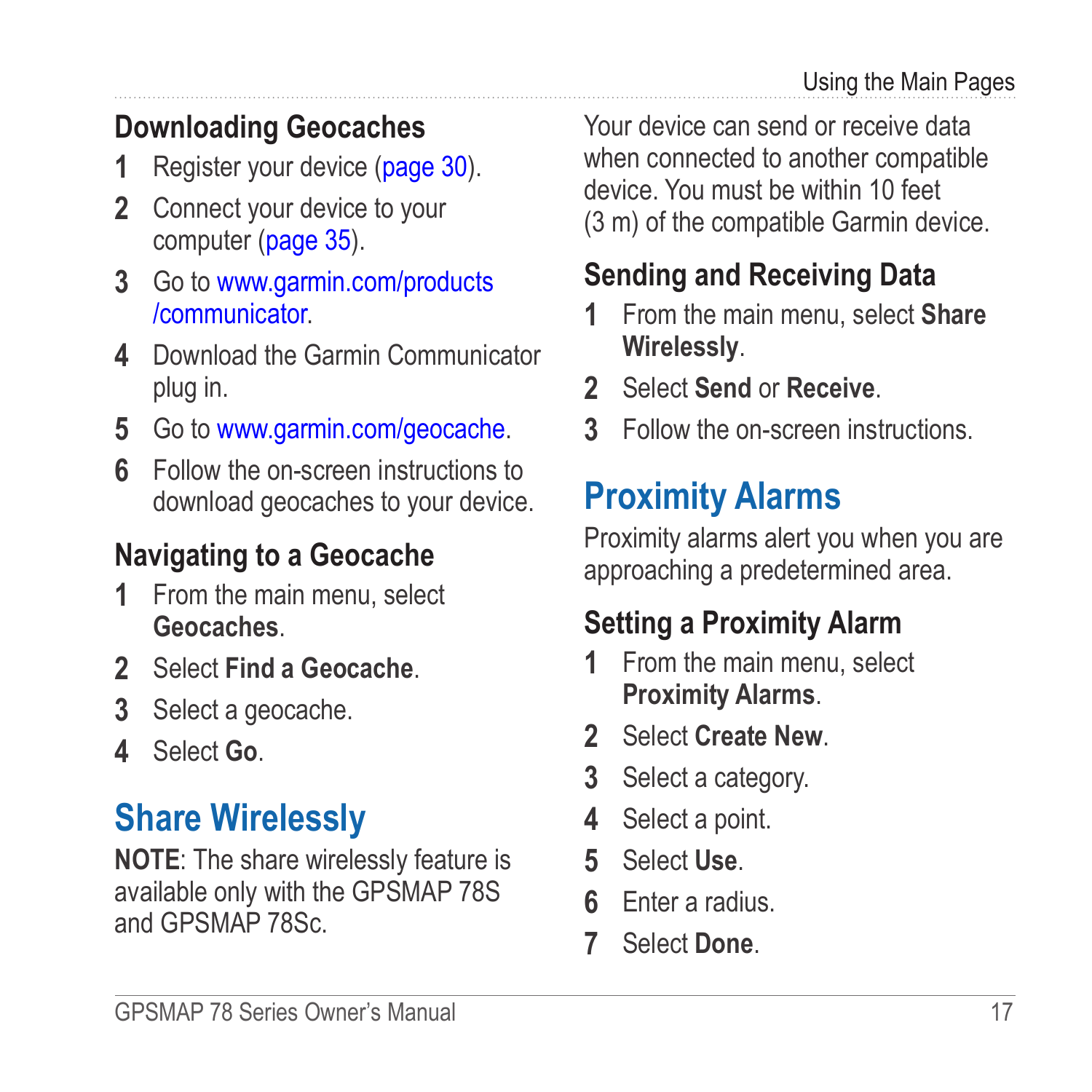## <span id="page-20-0"></span>**Downloading Geocaches**

- **1** Register your device ([page 30](#page-33-1)).
- **2** Connect your device to your computer [\(page 35\)](#page-38-1).
- **3** Go to [www.garmin.com/products](www.garmin.com/products/communicator) [/communicator.](www.garmin.com/products/communicator)
- **4** Download the Garmin Communicator plug in.
- **5** Go to<www.garmin.com/geocache>.
- **6** Follow the on-screen instructions to download geocaches to your device.

### **Navigating to a Geocache**

- **1** From the main menu, select **Geocaches**.
- **2** Select **Find a Geocache**.
- **3** Select a geocache.
- **4** Select **Go**.

## **Share Wirelessly**

**NOTE:** The share wirelessly feature is available only with the GPSMAP 78S and GPSMAP 78Sc.

Your device can send or receive data when connected to another compatible device. You must be within 10 feet (3 m) of the compatible Garmin device.

## **Sending and Receiving Data**

- **1** From the main menu, select **Share Wirelessly**.
- **2** Select **Send** or **Receive**.
- **3** Follow the on-screen instructions.

# **Proximity Alarms**

Proximity alarms alert you when you are approaching a predetermined area.

### **Setting a Proximity Alarm**

- **1** From the main menu, select **Proximity Alarms**.
- **2** Select **Create New**.
- **3** Select a category.
- **4** Select a point.
- **5** Select **Use**.
- **6** Enter a radius.
- **7** Select **Done**.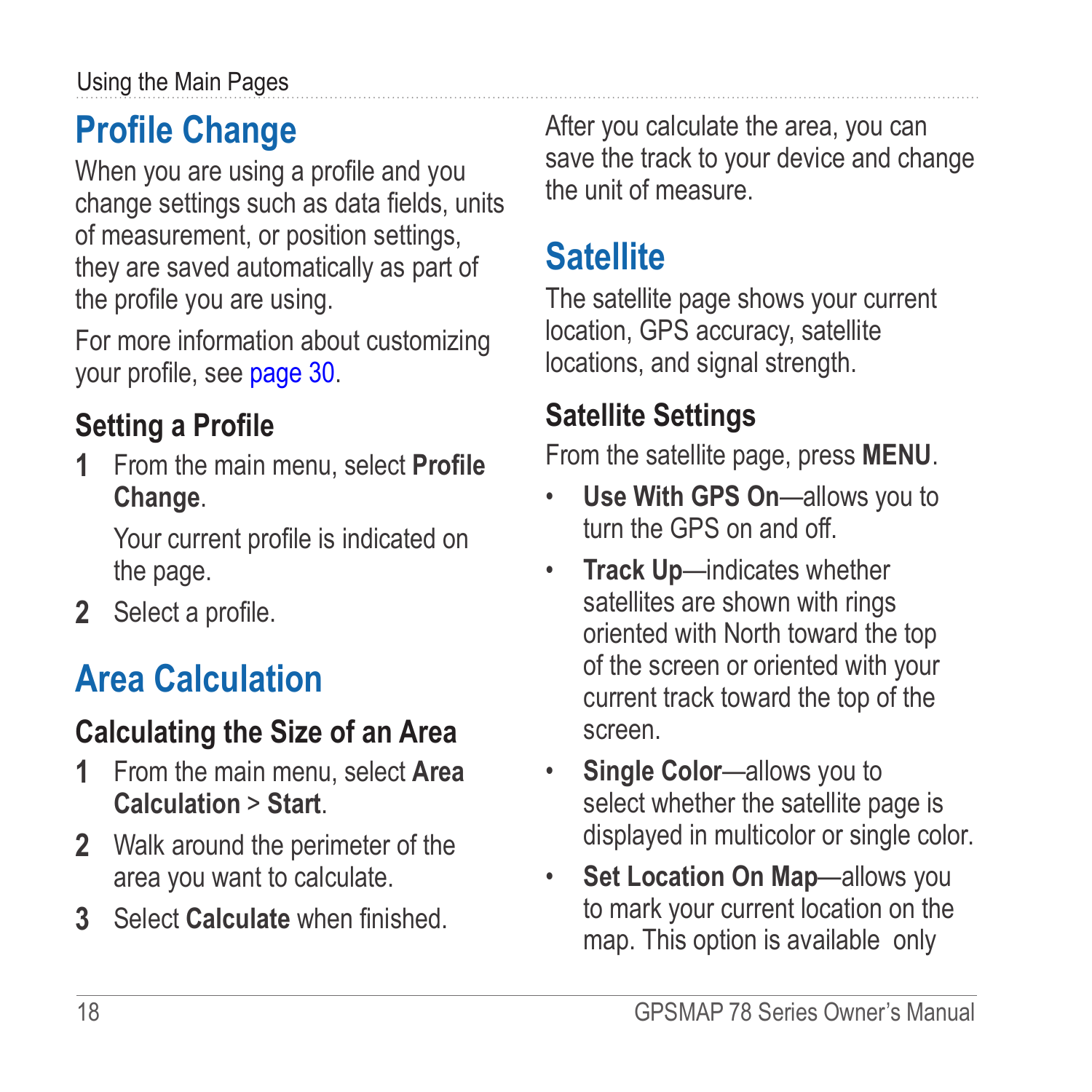# <span id="page-21-1"></span><span id="page-21-0"></span>**Profile Change**

When you are using a profile and you change settings such as data fields, units of measurement, or position settings, they are saved automatically as part of the profile you are using.

For more information about customizing your profile, see page 30.

## **Setting a Profile**

**1** From the main menu, select **Profile Change**.

Your current profile is indicated on the page.

**2** Select a profile.

# **Area Calculation**

## **Calculating the Size of an Area**

- **1** From the main menu, select **Area Calculation** > **Start**.
- **2** Walk around the perimeter of the area you want to calculate.
- **3** Select **Calculate** when finished.

After you calculate the area, you can save the track to your device and change the unit of measure.

## **Satellite**

The satellite page shows your current location, GPS accuracy, satellite locations, and signal strength.

### **Satellite Settings**

From the satellite page, press **menu**.

- **Use With GPS On**—allows you to turn the GPS on and off.
- **Track Up**—indicates whether satellites are shown with rings oriented with North toward the top of the screen or oriented with your current track toward the top of the screen.
- **Single Color**—allows you to select whether the satellite page is displayed in multicolor or single color.
- **Set Location On Map**—allows you to mark your current location on the map. This option is available only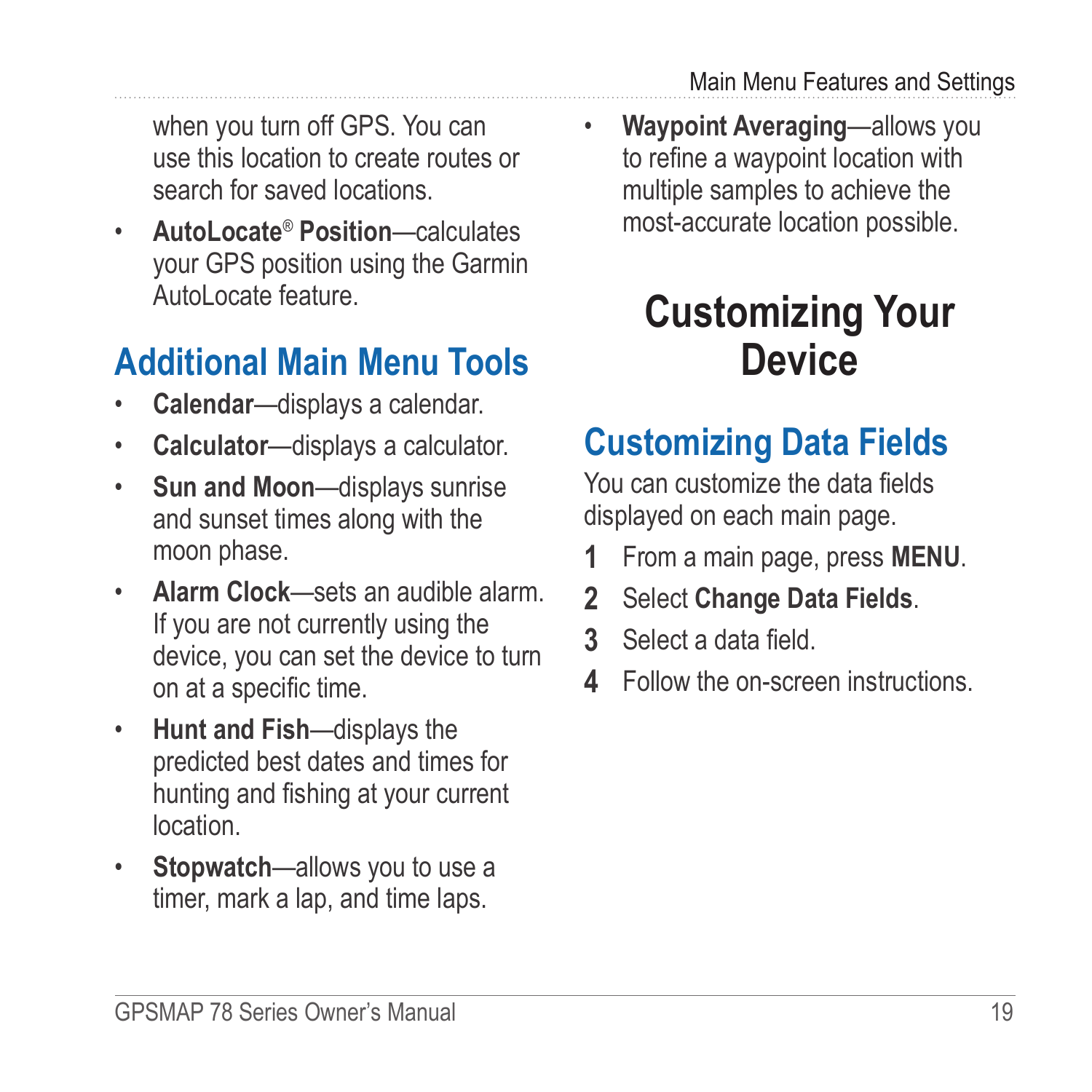<span id="page-22-0"></span>when you turn off GPS. You can use this location to create routes or search for saved locations.

• **AutoLocate**® **Position**—calculates your GPS position using the Garmin AutoLocate feature

# **Additional Main Menu Tools**

- **Calendar**—displays a calendar.
- **Calculator**—displays a calculator.
- **Sun and Moon**—displays sunrise and sunset times along with the moon phase.
- **Alarm Clock**—sets an audible alarm. If you are not currently using the device, you can set the device to turn on at a specific time.
- **Hunt and Fish**—displays the predicted best dates and times for hunting and fishing at your current location.
- **Stopwatch**—allows you to use a timer, mark a lap, and time laps.

• **Waypoint Averaging**—allows you to refine a waypoint location with multiple samples to achieve the most-accurate location possible.

# **Customizing Your Device**

# **Customizing Data Fields**

You can customize the data fields displayed on each main page.

- **1** From a main page, press **meNu**.
- **2** Select **Change Data Fields**.
- **3** Select a data field.
- **4** Follow the on-screen instructions.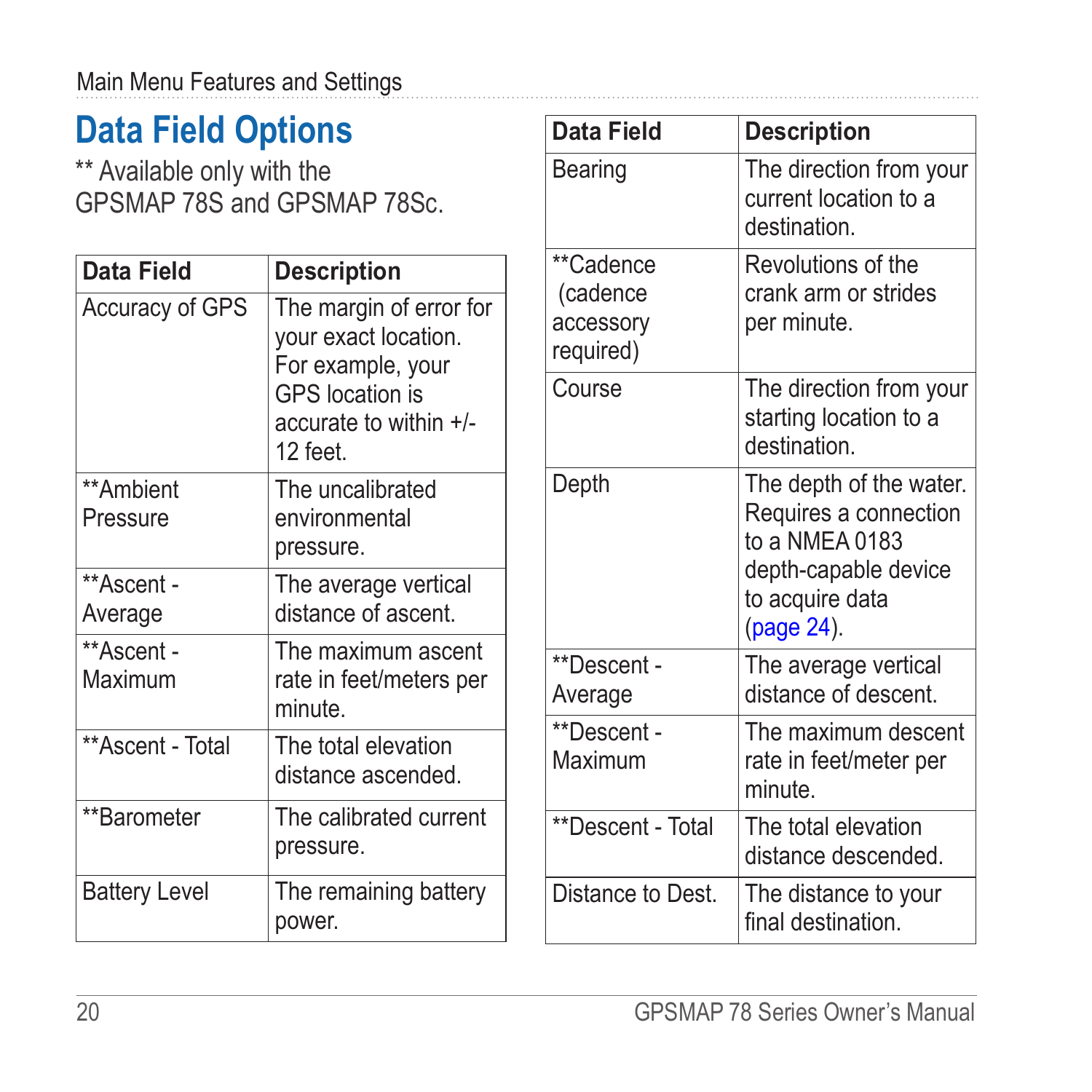## <span id="page-23-1"></span><span id="page-23-0"></span>**Data Field Options**

\*\* Available only with the GPSMAP 78S and GPSMAP 78Sc.

| Data Field            | <b>Description</b>                                                                                                            |
|-----------------------|-------------------------------------------------------------------------------------------------------------------------------|
| Accuracy of GPS       | The margin of error for<br>your exact location.<br>For example, your<br>GPS location is<br>accurate to within +/-<br>12 feet. |
| **Ambient<br>Pressure | The uncalibrated<br>environmental<br>pressure.                                                                                |
| **Ascent -<br>Average | The average vertical<br>distance of ascent.                                                                                   |
| **Ascent -<br>Maximum | The maximum ascent<br>rate in feet/meters per<br>minute.                                                                      |
| **Ascent - Total      | The total elevation<br>distance ascended.                                                                                     |
| **Barometer           | The calibrated current<br>pressure.                                                                                           |
| <b>Battery Level</b>  | The remaining battery<br>power.                                                                                               |

| Data Field                                      | <b>Description</b>                                                                                                          |
|-------------------------------------------------|-----------------------------------------------------------------------------------------------------------------------------|
| Bearing                                         | The direction from your<br>current location to a<br>destination.                                                            |
| **Cadence<br>(cadence<br>accessory<br>required) | Revolutions of the<br>crank arm or strides<br>per minute.                                                                   |
| Course                                          | The direction from your<br>starting location to a<br>destination                                                            |
| Depth                                           | The depth of the water.<br>Requires a connection<br>to a NMEA 0183<br>depth-capable device<br>to acquire data<br>(page 24). |
| **Descent -<br>Average                          | The average vertical<br>distance of descent.                                                                                |
| **Descent -<br>Maximum                          | The maximum descent<br>rate in feet/meter per<br>minute                                                                     |
| **Descent - Total                               | The total elevation<br>distance descended.                                                                                  |
| Distance to Dest.                               | The distance to your<br>final destination                                                                                   |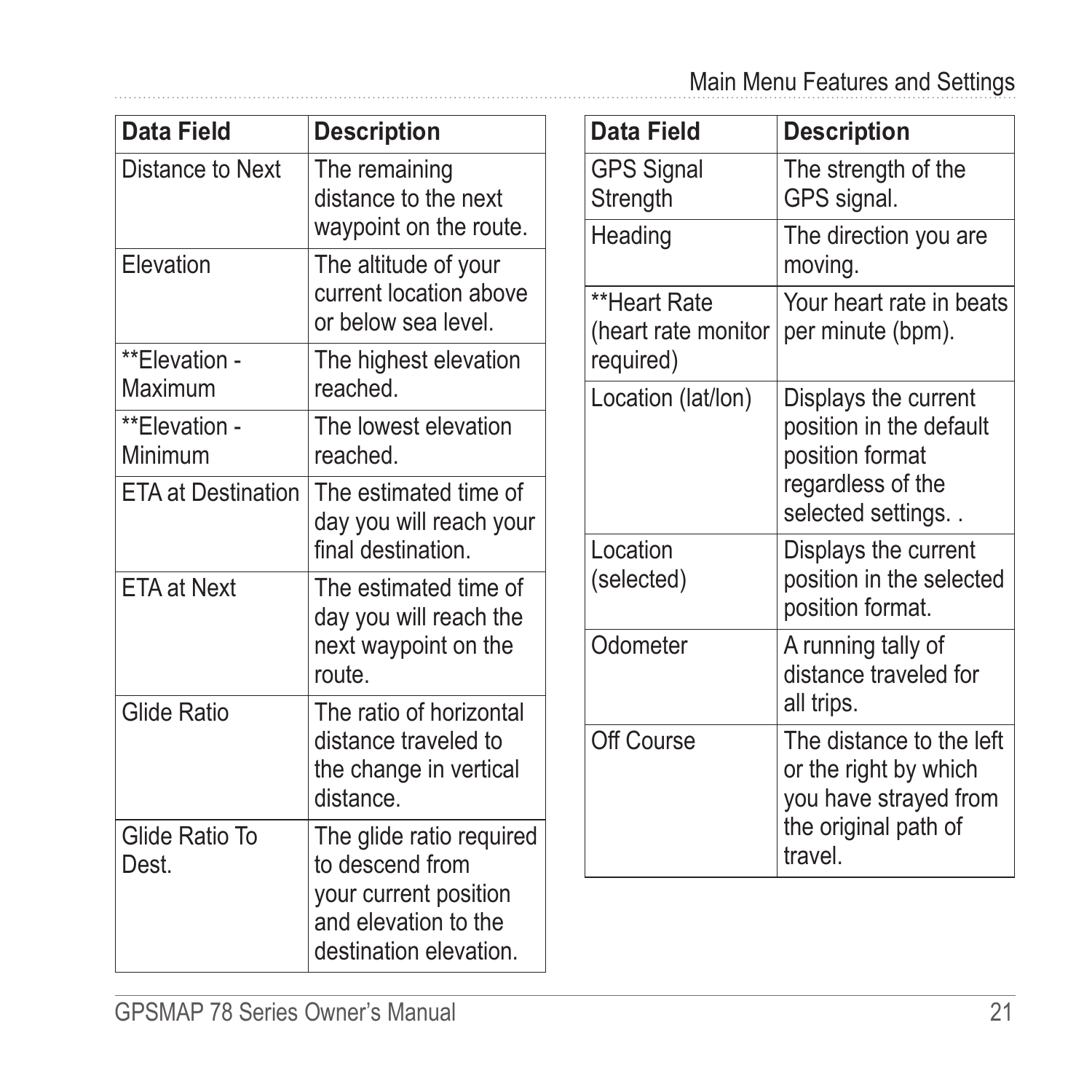| Data Field                | <b>Description</b>                                                                                                     |
|---------------------------|------------------------------------------------------------------------------------------------------------------------|
| Distance to Next          | The remaining<br>distance to the next<br>waypoint on the route.                                                        |
| Elevation                 | The altitude of your<br>current location above<br>or below sea level.                                                  |
| **Elevation -<br>Maximum  | The highest elevation<br>reached                                                                                       |
| **Elevation -<br>Minimum  | The lowest elevation<br>reached                                                                                        |
| <b>ETA at Destination</b> | The estimated time of<br>day you will reach your<br>final destination                                                  |
| <b>ETA at Next</b>        | The estimated time of<br>day you will reach the<br>next waypoint on the<br>route                                       |
| Glide Ratio               | The ratio of horizontal<br>distance traveled to<br>the change in vertical<br>distance                                  |
| Glide Ratio To<br>Dest    | The glide ratio required<br>to descend from<br>your current position<br>and elevation to the<br>destination elevation. |

<span id="page-24-0"></span>. . . . . . . . . . . . . . . . . . . .

| Data Field                                       | <b>Description</b>                                                                                            |
|--------------------------------------------------|---------------------------------------------------------------------------------------------------------------|
| <b>GPS Signal</b><br>Strength                    | The strength of the<br>GPS signal.                                                                            |
| Heading                                          | The direction you are<br>moving.                                                                              |
| **Heart Rate<br>(heart rate monitor<br>required) | Your heart rate in beats<br>per minute (bpm).                                                                 |
| Location (lat/lon)                               | Displays the current<br>position in the default<br>position format<br>regardless of the<br>selected settings  |
| I ocation<br>(selected)                          | Displays the current<br>position in the selected<br>position format.                                          |
| Odometer                                         | A running tally of<br>distance traveled for<br>all trips.                                                     |
| Off Course                                       | The distance to the left<br>or the right by which<br>you have strayed from<br>the original path of<br>travel. |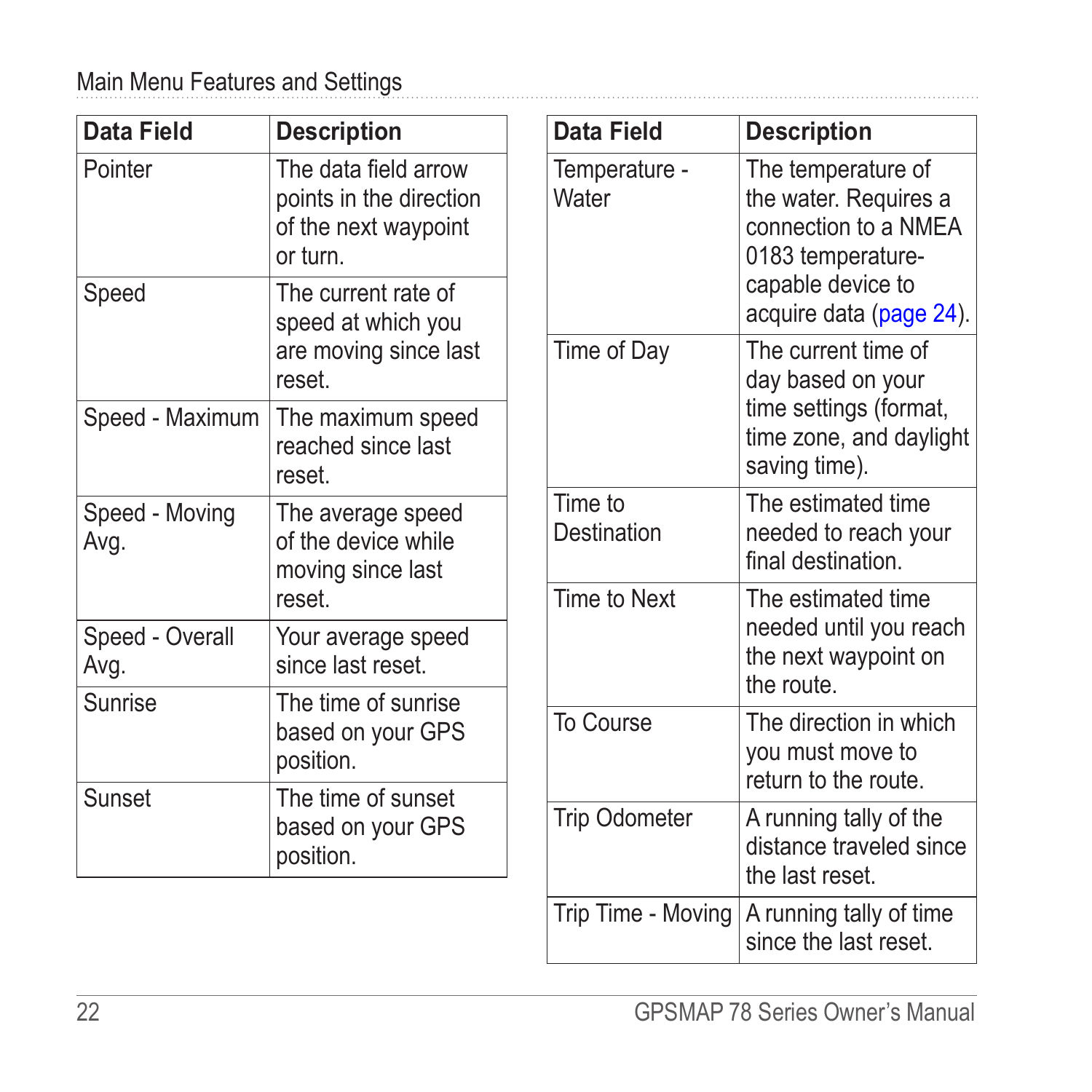<span id="page-25-0"></span>

| Data Field              | <b>Description</b>                                                                  | Data          |
|-------------------------|-------------------------------------------------------------------------------------|---------------|
| Pointer                 | The data field arrow<br>points in the direction<br>of the next waypoint<br>or turn. | Temr<br>Wate  |
| Speed                   | The current rate of<br>speed at which you                                           |               |
|                         | are moving since last<br>reset                                                      | Time          |
| Speed - Maximum         | The maximum speed<br>reached since last<br>reset                                    |               |
| Speed - Moving<br>Avg.  | The average speed<br>of the device while<br>moving since last                       | Time<br>Desti |
|                         | reset                                                                               | Time          |
| Speed - Overall<br>Avg. | Your average speed<br>since last reset.                                             |               |
| Sunrise                 | The time of sunrise<br>based on your GPS<br>position.                               | To C          |
| Sunset                  | The time of sunset<br>based on your GPS<br>position.                                | Trip (        |

| Data Field             | <b>Description</b>                                                                                                                       |
|------------------------|------------------------------------------------------------------------------------------------------------------------------------------|
| Temperature -<br>Water | The temperature of<br>the water. Requires a<br>connection to a NMEA<br>0183 temperature-<br>capable device to<br>acquire data (page 24). |
| Time of Day            | The current time of<br>day based on your<br>time settings (format,<br>time zone, and daylight<br>saving time).                           |
| Time to<br>Destination | The estimated time<br>needed to reach your<br>final destination.                                                                         |
| Time to Next           | The estimated time<br>needed until you reach<br>the next waypoint on<br>the route.                                                       |
| To Course              | The direction in which<br>you must move to<br>return to the route.                                                                       |
| Trip Odometer          | A running tally of the<br>distance traveled since<br>the last reset.                                                                     |
| Trip Time - Moving     | A running tally of time<br>since the last reset.                                                                                         |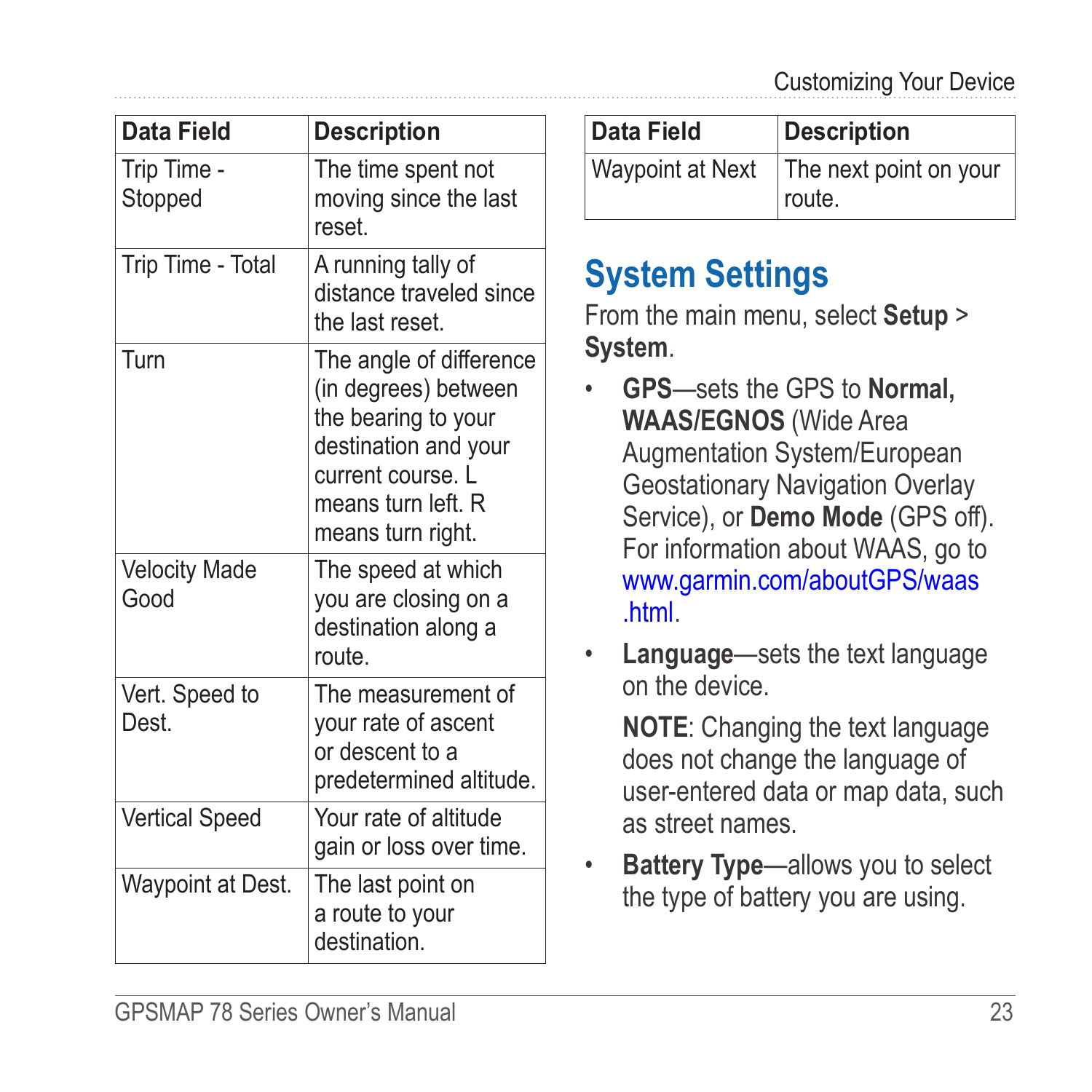<span id="page-26-0"></span>

| Data Field                   | <b>Description</b>                                                                                                                                             |
|------------------------------|----------------------------------------------------------------------------------------------------------------------------------------------------------------|
| Trip Time -<br>Stopped       | The time spent not<br>moving since the last<br>reset                                                                                                           |
| Trip Time - Total            | A running tally of<br>distance traveled since<br>the last reset                                                                                                |
| Turn                         | The angle of difference<br>(in degrees) between<br>the bearing to your<br>destination and your<br>current course. L<br>means turn left. R<br>means turn right. |
| <b>Velocity Made</b><br>Good | The speed at which<br>you are closing on a<br>destination along a<br>route                                                                                     |
| Vert. Speed to<br>Dest.      | The measurement of<br>your rate of ascent<br>or descent to a<br>predetermined altitude.                                                                        |
| <b>Vertical Speed</b>        | Your rate of altitude<br>gain or loss over time.                                                                                                               |
| Waypoint at Dest.            | The last point on<br>a route to your<br>destination.                                                                                                           |

| Data Field       | Description                      |
|------------------|----------------------------------|
| Waypoint at Next | The next point on your<br>route. |

## **System Settings**

From the main menu, select **Setup** > **System**.

- **GPS**—sets the GPS to **Normal, WAAS/EGNOS** (Wide Area Augmentation System/European Geostationary Navigation Overlay Service), or **Demo Mode** (GPS off). For information about WAAS, go to [www.garmin.com/aboutGPS/waas](www.garmin.com/aboutGPS/waas.html) [.html](www.garmin.com/aboutGPS/waas.html).
- **Language**—sets the text language on the device.

**NOTE:** Changing the text language does not change the language of user-entered data or map data, such as street names.

**Battery Type**—allows you to select the type of battery you are using.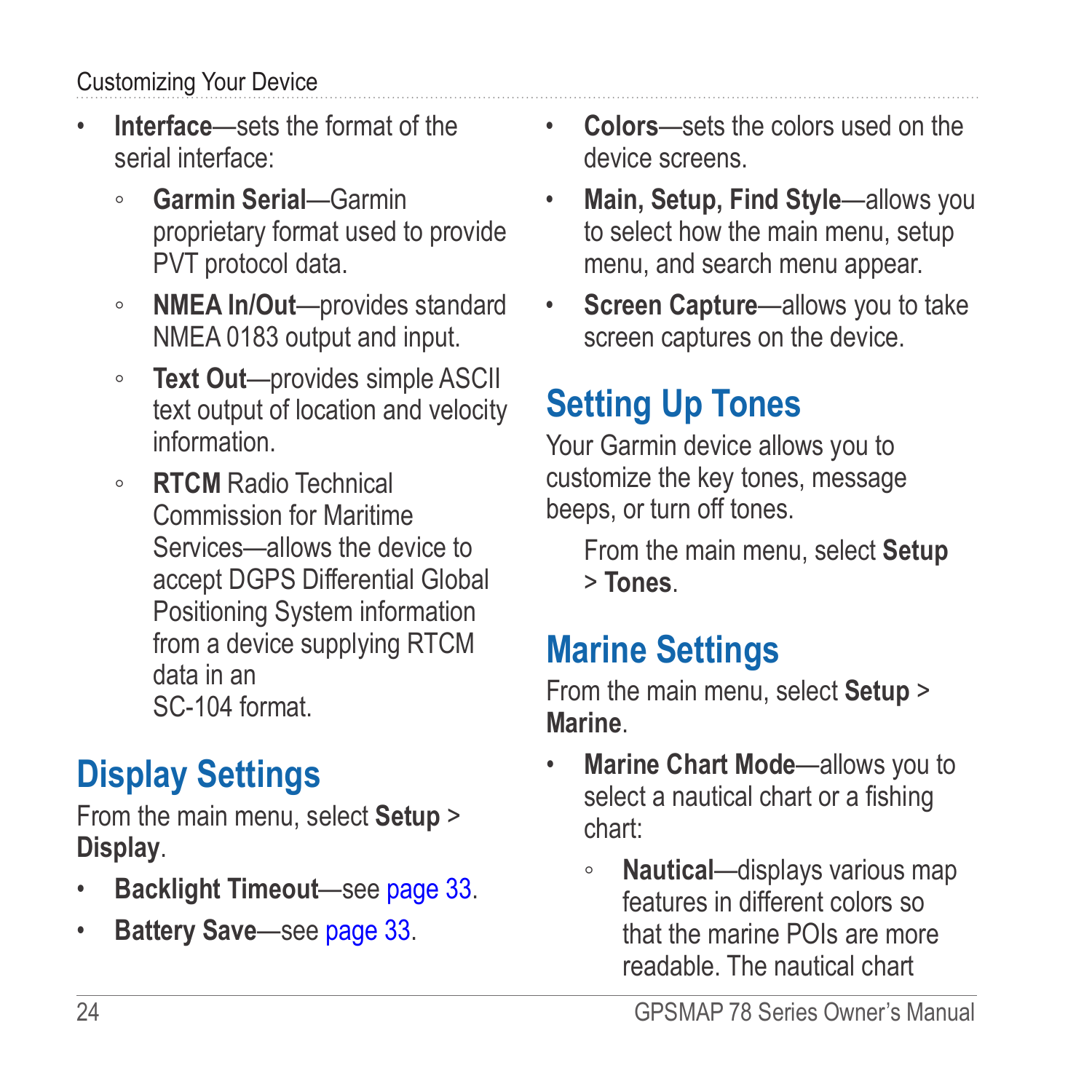#### <span id="page-27-0"></span>Customizing Your Device

- **Interface**—sets the format of the serial interface:
	- **Garmin Serial**—Garmin proprietary format used to provide PVT protocol data.
	- **NMEA In/Out**—provides standard NMEA 0183 output and input.
	- **Text Out**—provides simple ASCII text output of location and velocity information.
	- **RTCM** Radio Technical Commission for Maritime Services—allows the device to accept DGPS Differential Global Positioning System information from a device supplying RTCM data in an SC-104 format.

## **Display Settings**

From the main menu, select **Setup** > **Display**.

- **Backlight Timeout**—see [page 33.](#page-36-2)
- **Battery Save**—see [page 33.](#page-36-3)
- **Colors**—sets the colors used on the device screens.
- **Main, Setup, Find Style**—allows you to select how the main menu, setup menu, and search menu appear.
- **Screen Capture**—allows you to take screen captures on the device.

## **Setting Up Tones**

Your Garmin device allows you to customize the key tones, message beeps, or turn off tones.

From the main menu, select **Setup** > **Tones**.

## **Marine Settings**

From the main menu, select **Setup** > **Marine**.

- **Marine Chart Mode**—allows you to select a nautical chart or a fishing chart:
	- **Nautical**—displays various map features in different colors so that the marine POIs are more readable. The nautical chart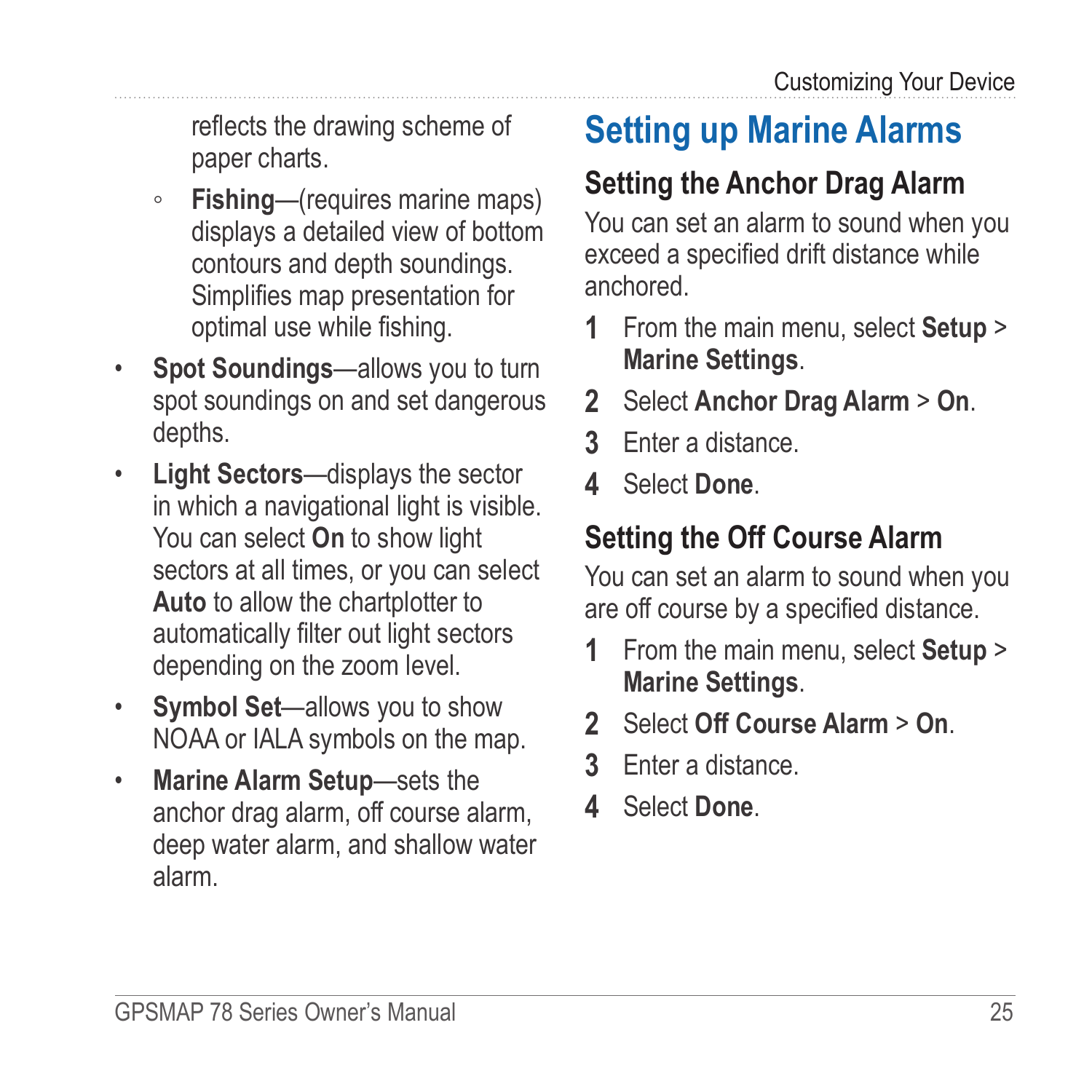<span id="page-28-0"></span>reflects the drawing scheme of paper charts.

- **Fishing**—(requires marine maps) displays a detailed view of bottom contours and depth soundings. Simplifies map presentation for optimal use while fishing.
- **Spot Soundings—allows you to turn** spot soundings on and set dangerous depths.
- **Light Sectors**—displays the sector in which a navigational light is visible. You can select **On** to show light sectors at all times, or you can select **Auto** to allow the chartplotter to automatically filter out light sectors depending on the zoom level.
- **Symbol Set**—allows you to show NOAA or IALA symbols on the map.
- **Marine Alarm Setup**—sets the anchor drag alarm, off course alarm, deep water alarm, and shallow water alarm.

## **Setting up Marine Alarms**

## **Setting the Anchor Drag Alarm**

You can set an alarm to sound when you exceed a specified drift distance while anchored.

- **1** From the main menu, select **Setup** > **Marine Settings**.
- **2** Select **Anchor Drag Alarm** > **On**.
- **3** Enter a distance.
- **4** Select **Done**.

### **Setting the Off Course Alarm**

You can set an alarm to sound when you are off course by a specified distance.

- **1** From the main menu, select **Setup** > **Marine Settings**.
- **2** Select **Off Course Alarm** > **On**.
- **3** Enter a distance.
- **4** Select **Done**.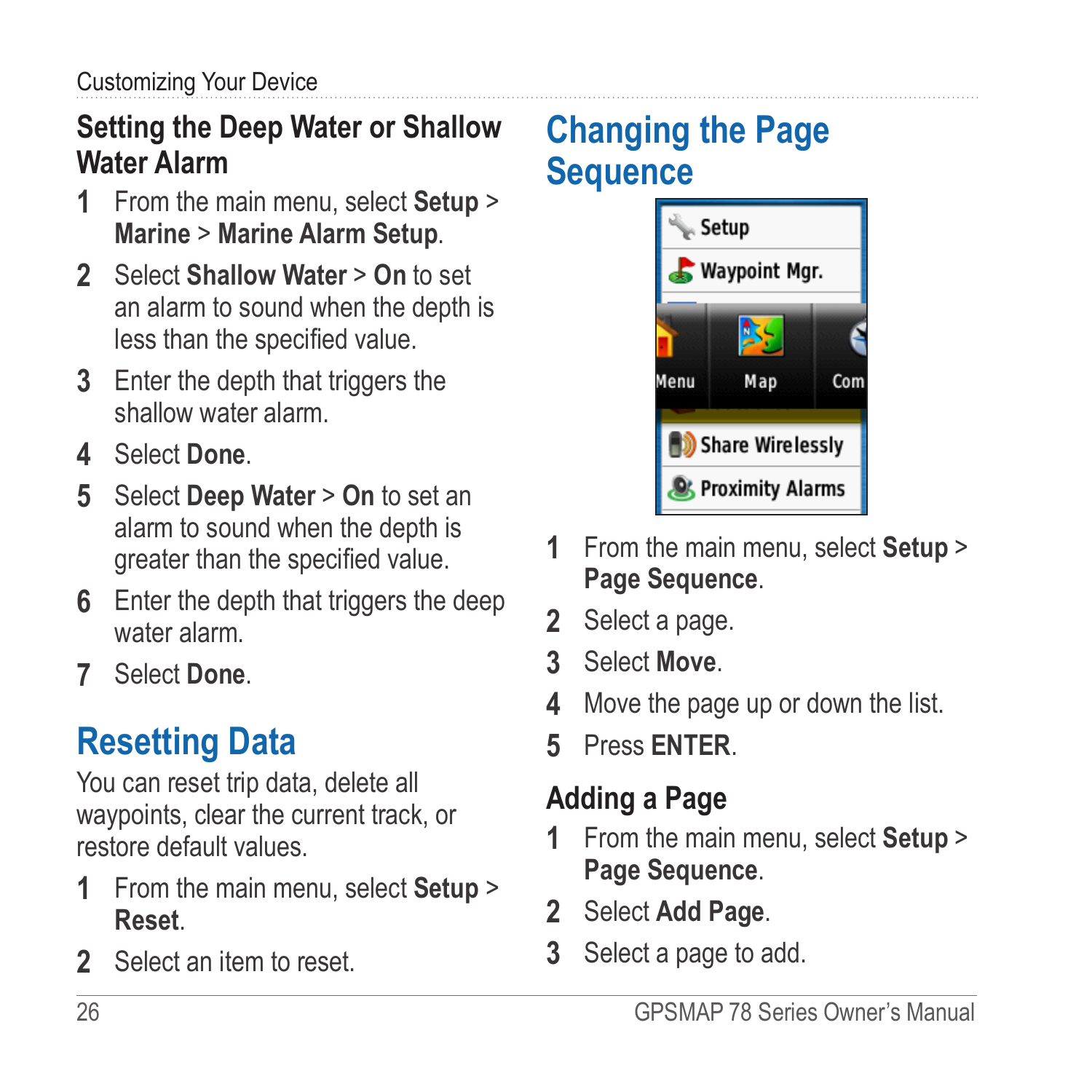### <span id="page-29-0"></span>**Setting the Deep Water or Shallow Water Alarm**

- **1** From the main menu, select **Setup** > **Marine** > **Marine Alarm Setup**.
- **2** Select **Shallow Water** > **On** to set an alarm to sound when the depth is less than the specified value.
- **3** Enter the depth that triggers the shallow water alarm.
- **4** Select **Done**.
- **5** Select **Deep Water** > **On** to set an alarm to sound when the depth is greater than the specified value.
- **6** Enter the depth that triggers the deep water alarm.
- **7** Select **Done**.

## **Resetting Data**

You can reset trip data, delete all waypoints, clear the current track, or restore default values.

- **1** From the main menu, select **Setup** > **Reset**.
- **2** Select an item to reset.

## **Changing the Page Sequence**



- **1** From the main menu, select **Setup** > **Page Sequence**.
- **2** Select a page.
- **3** Select **Move**.
- **4** Move the page up or down the list.
- **5** Press **Enter**.

### **Adding a Page**

- **1** From the main menu, select **Setup** > **Page Sequence**.
- **2** Select **Add Page**.
- **3** Select a page to add.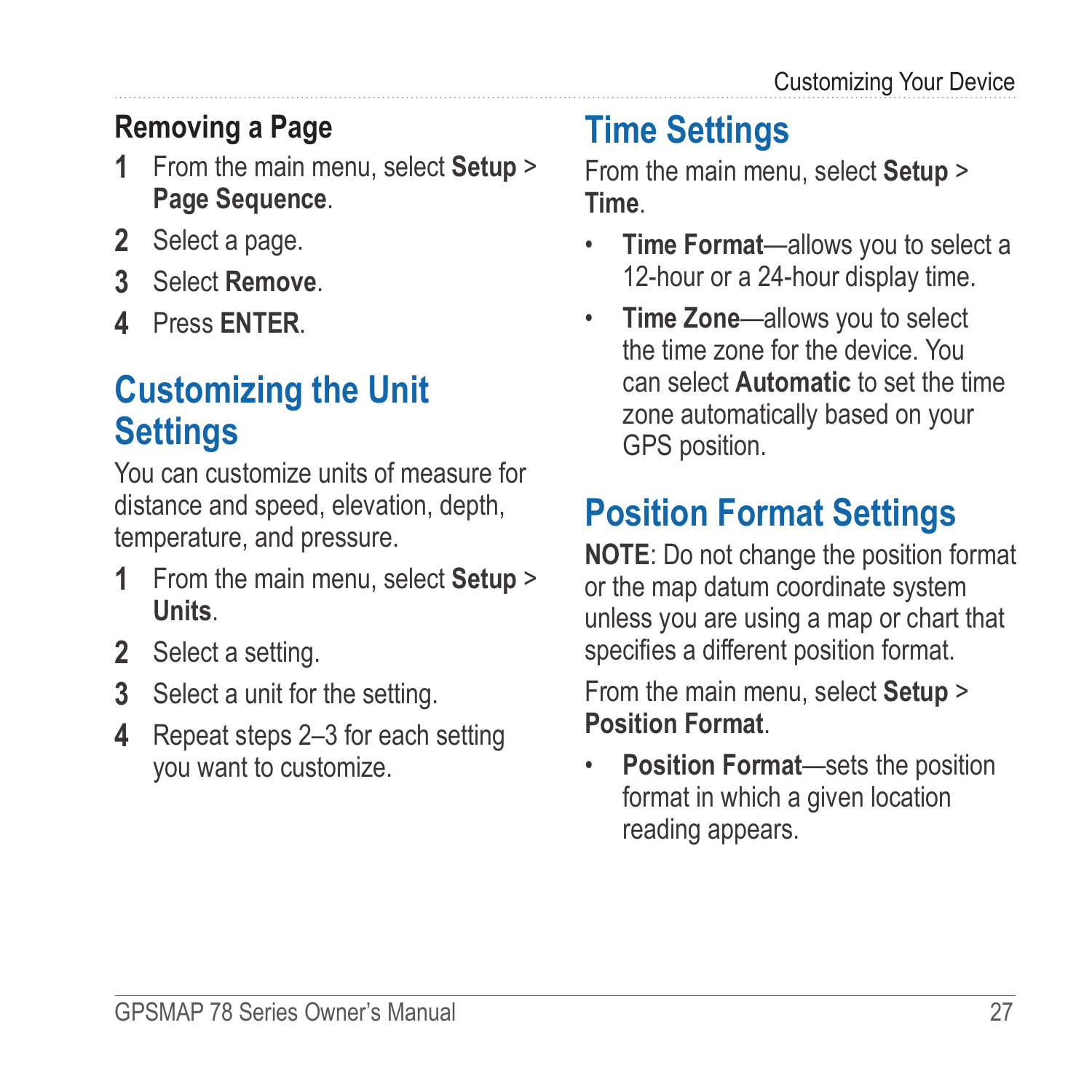### <span id="page-30-0"></span>**Removing a Page**

- **1** From the main menu, select **Setup** > **Page Sequence**.
- **2** Select a page.
- **3** Select **Remove**.
- **4** Press **Enter**.

## **Customizing the Unit Settings**

You can customize units of measure for distance and speed, elevation, depth, temperature, and pressure.

- **1** From the main menu, select **Setup** > **Units**.
- **2** Select a setting.
- **3** Select a unit for the setting.
- **4** Repeat steps 2–3 for each setting you want to customize.

## **Time Settings**

From the main menu, select **Setup** > **Time**.

- **Time Format**—allows you to select a 12-hour or a 24-hour display time.
- **Time Zone**—allows you to select the time zone for the device. You can select **Automatic** to set the time zone automatically based on your GPS position.

## **Position Format Settings**

**NOTE:** Do not change the position format or the map datum coordinate system unless you are using a map or chart that specifies a different position format.

From the main menu, select **Setup** > **Position Format**.

• **Position Format**—sets the position format in which a given location reading appears.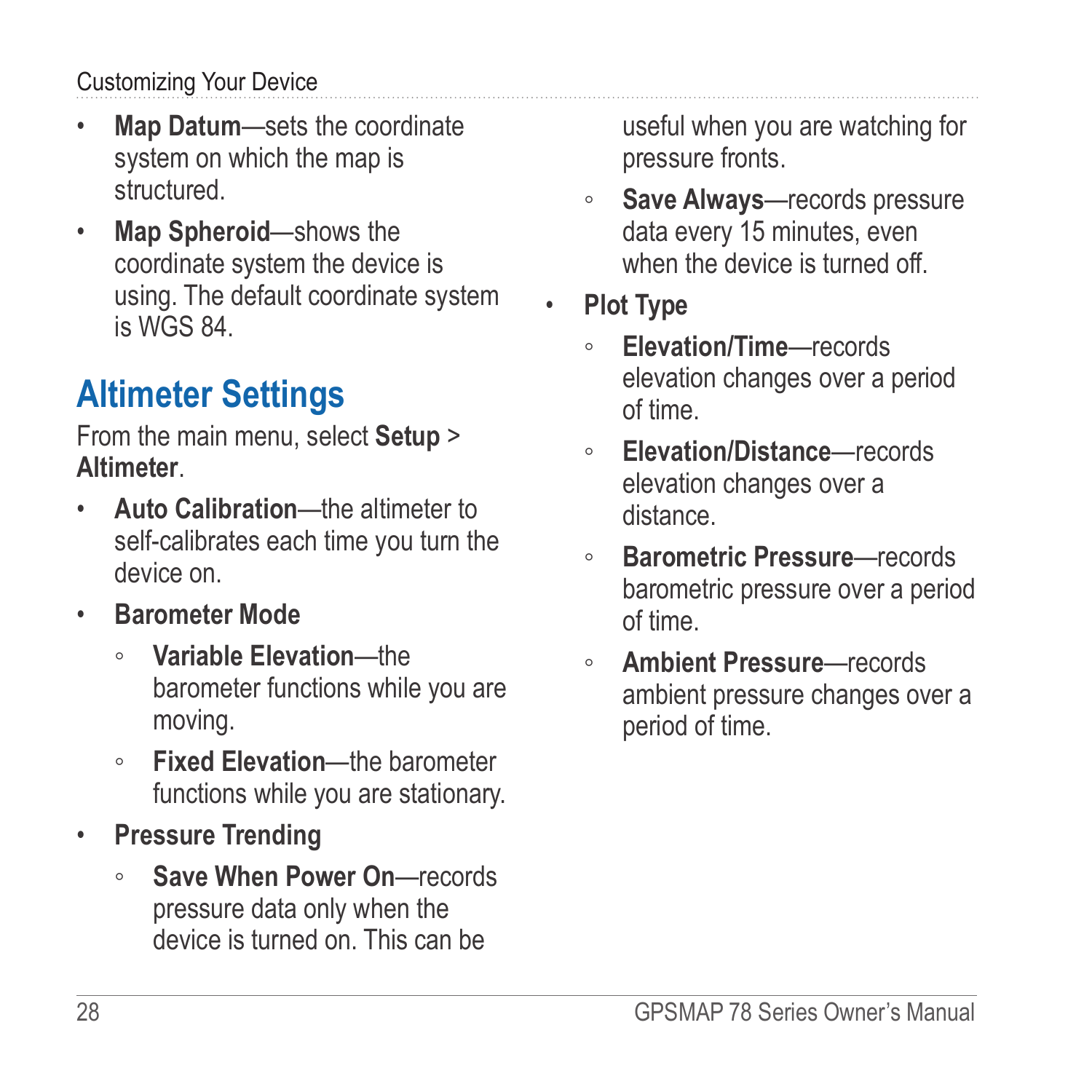#### <span id="page-31-0"></span>Customizing Your Device

- **Map Datum**—sets the coordinate system on which the map is structured.
- **Map Spheroid**—shows the coordinate system the device is using. The default coordinate system is WGS 84.

## **Altimeter Settings**

From the main menu, select **Setup** > **Altimeter**.

- **Auto Calibration**—the altimeter to self-calibrates each time you turn the device on.
- **Barometer Mode**
	- **Variable Elevation**—the barometer functions while you are moving.
	- **Fixed Elevation**—the barometer functions while you are stationary.
- **Pressure Trending**
	- **Save When Power On**—records pressure data only when the device is turned on. This can be

useful when you are watching for pressure fronts.

- **Save Always**—records pressure data every 15 minutes, even when the device is turned off.
- **Plot Type**
	- **Elevation/Time**—records elevation changes over a period of time.
	- **Elevation/Distance**—records elevation changes over a distance.
	- **Barometric Pressure**—records barometric pressure over a period of time.
	- **Ambient Pressure**—records ambient pressure changes over a period of time.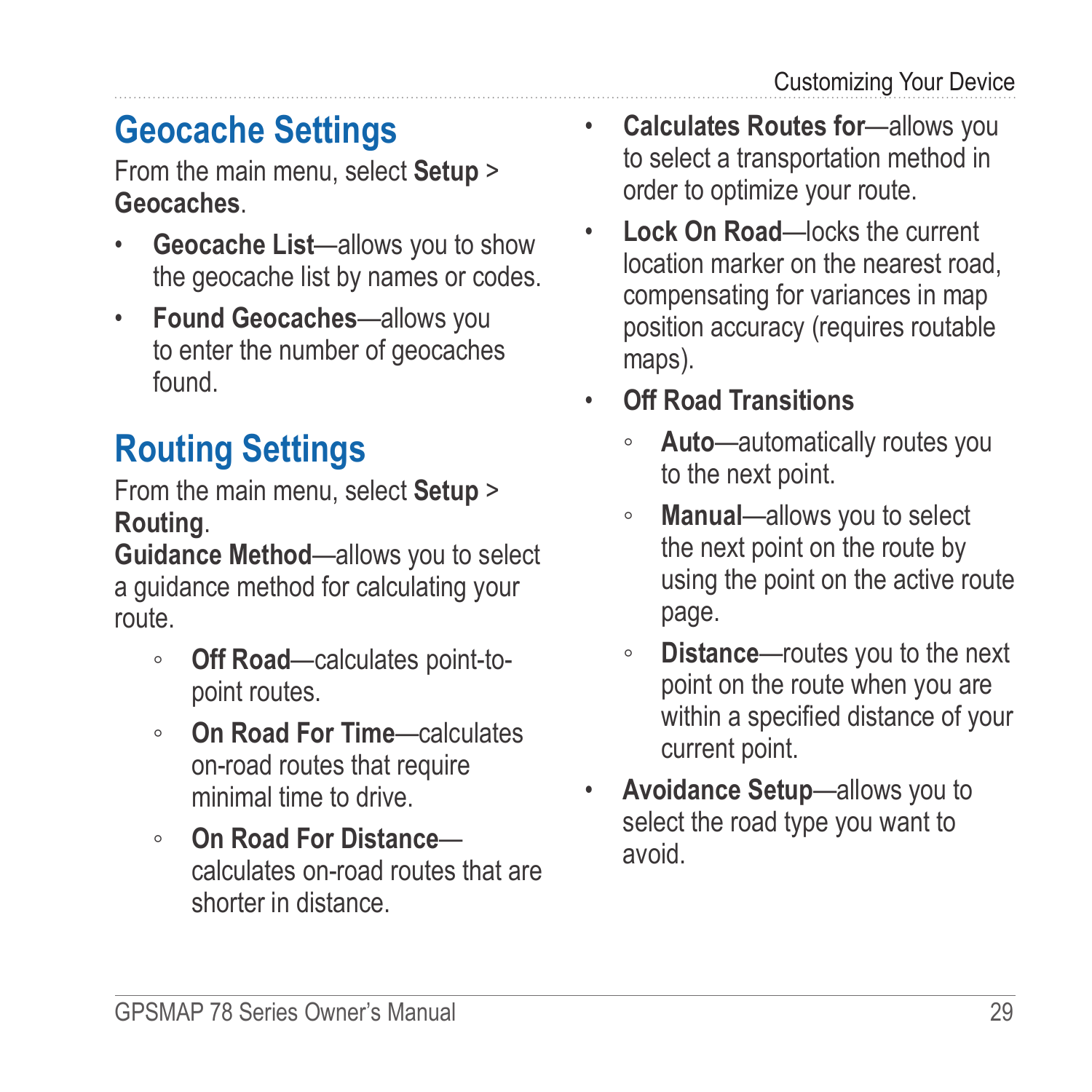## <span id="page-32-0"></span>**Geocache Settings**

From the main menu, select **Setup** > **Geocaches**.

- **Geocache List**—allows you to show the geocache list by names or codes.
- **Found Geocaches**—allows you to enter the number of geocaches found.

## **Routing Settings**

From the main menu, select **Setup** > **Routing**.

**Guidance Method**—allows you to select a guidance method for calculating your route.

- **Off Road**—calculates point-topoint routes.
- **On Road For Time**—calculates on-road routes that require minimal time to drive.
- **On Road For Distance** calculates on-road routes that are shorter in distance.
- **Calculates Routes for**—allows you to select a transportation method in order to optimize your route.
- **Lock On Road**—locks the current location marker on the nearest road, compensating for variances in map position accuracy (requires routable maps).
- **Off Road Transitions**
	- **Auto**—automatically routes you to the next point.
	- **Manual**—allows you to select the next point on the route by using the point on the active route page.
	- **Distance**—routes you to the next point on the route when you are within a specified distance of your current point.
- **Avoidance Setup**—allows you to select the road type you want to avoid.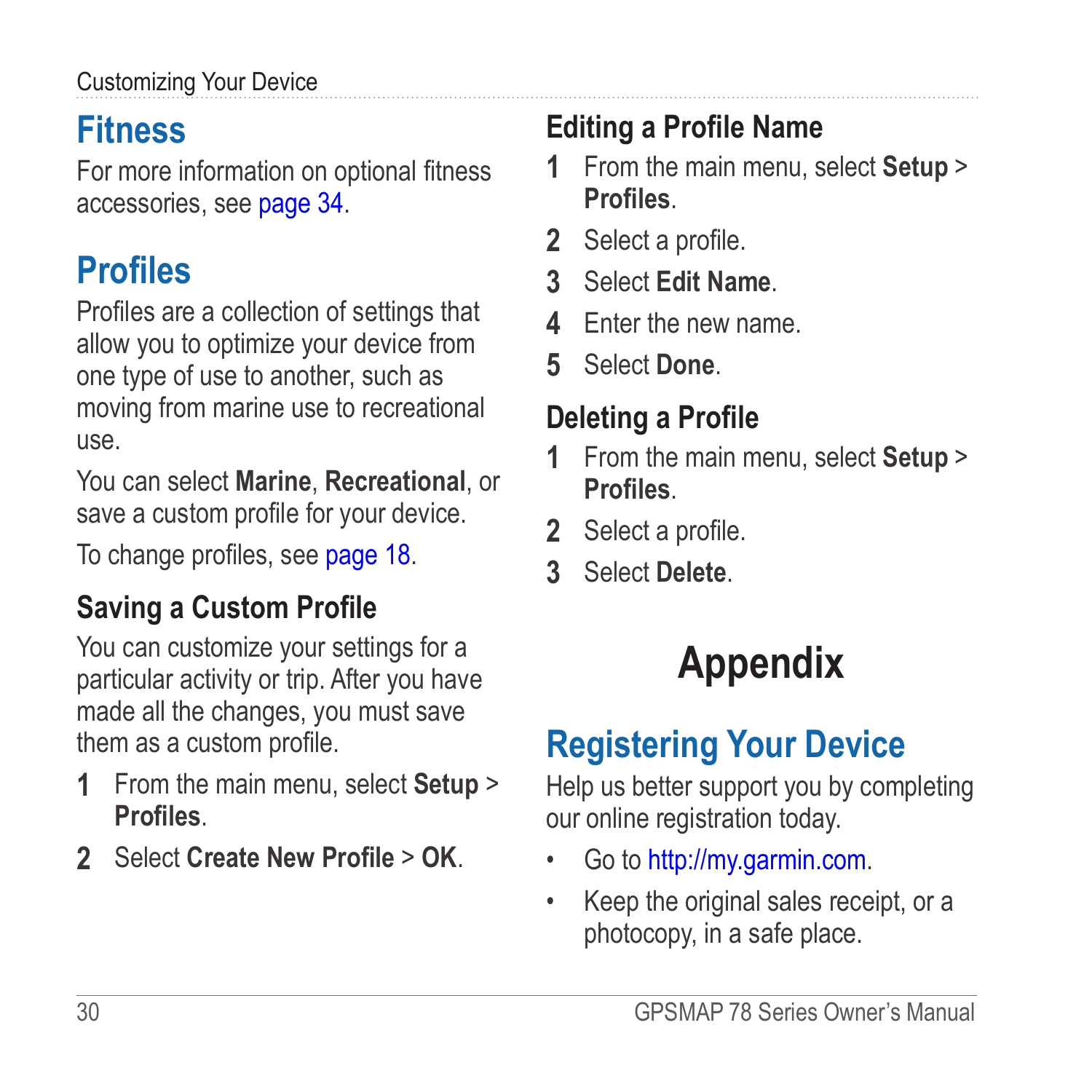### <span id="page-33-0"></span>Customizing Your Device

## **Fitness**

For more information on optional fitness accessories, see [page 34.](#page-37-3)

## **Profiles**

Profiles are a collection of settings that allow you to optimize your device from one type of use to another, such as moving from marine use to recreational use.

You can select **Marine**, **Recreational**, or save a custom profile for your device.

To change profiles, see [page 18.](#page-21-1)

### **Saving a Custom Profile**

You can customize your settings for a particular activity or trip. After you have made all the changes, you must save them as a custom profile.

- **1** From the main menu, select **Setup** > **Profiles**.
- **2** Select **Create New Profile** > **OK**.

## **Editing a Profile Name**

- **1** From the main menu, select **Setup** > **Profiles**.
- **2** Select a profile.
- **3** Select **Edit Name**.
- **4** Enter the new name.
- **5** Select **Done**.

### **Deleting a Profile**

- **1** From the main menu, select **Setup** > **Profiles**.
- **2** Select a profile.
- **3** Select **Delete**.

# **Appendix**

## <span id="page-33-1"></span>**Registering Your Device**

Help us better support you by completing our online registration today.

- Go to<http://my.garmin.com>.
- Keep the original sales receipt, or a photocopy, in a safe place.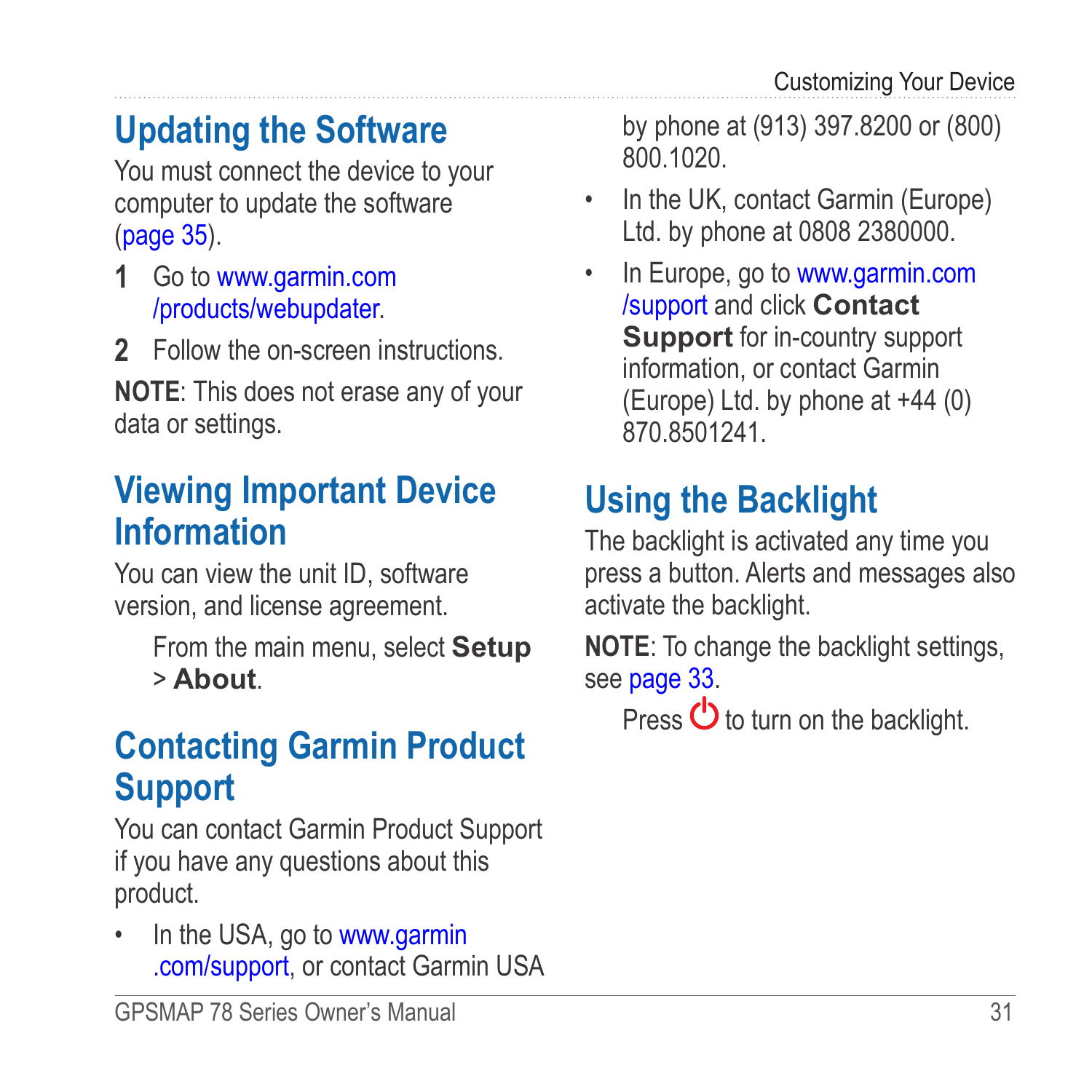## <span id="page-34-0"></span>**Updating the Software**

You must connect the device to your computer to update the software [\(page 35](#page-38-1)).

- **1** Go to [www.garmin.com](www.garmin.com/products/webupdater/) [/products/webupdater.](www.garmin.com/products/webupdater/)
- **2** Follow the on-screen instructions.

**NOTE:** This does not erase any of your data or settings.

## **Viewing Important Device Information**

You can view the unit ID, software version, and license agreement.

> From the main menu, select **Setup** > **About**.

## **Contacting Garmin Product Support**

You can contact Garmin Product Support if you have any questions about this product.

In the USA, go to [www.garmin](www.garmin.com/support) [.com/support,](www.garmin.com/support) or contact Garmin USA

by phone at (913) 397.8200 or (800) 800.1020.

- In the UK, contact Garmin (Europe) Ltd. by phone at 0808 2380000.
- In Europe, go to [www.garmin.com](www.garmin.com/support) [/support](www.garmin.com/support) and click **Contact Support** for in-country support information, or contact Garmin (Europe) Ltd. by phone at +44 (0) 870.8501241.

## **Using the Backlight**

The backlight is activated any time you press a button. Alerts and messages also activate the backlight.

**NOTE**: To change the backlight settings, see [page 33.](#page-36-2)

Press  $\bigcirc$  to turn on the backlight.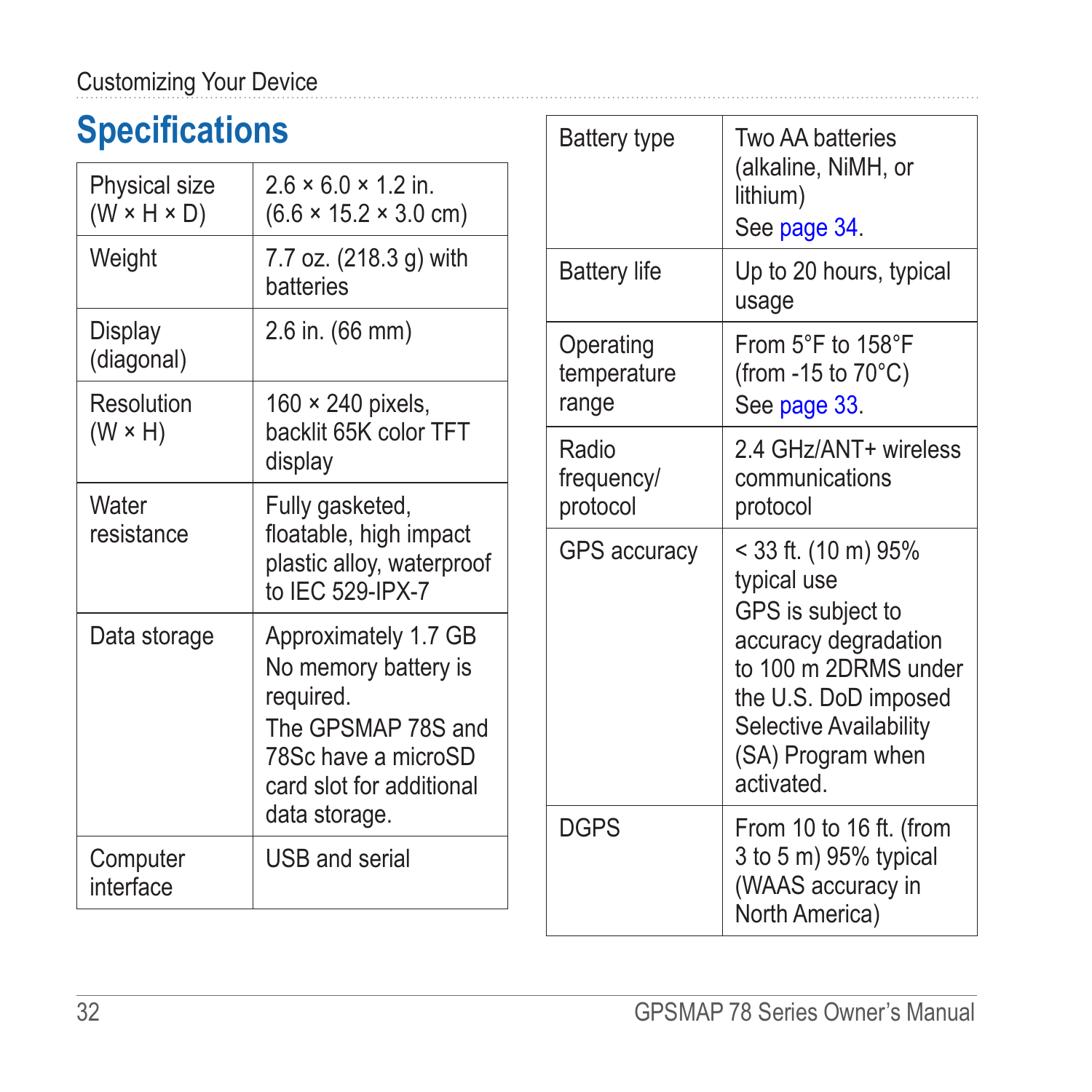## <span id="page-35-0"></span>**Specifications**

| <b>Physical size</b><br>$(W \times H \times D)$ | $26 \times 6.0 \times 1.2$ in.<br>$(6.6 \times 15.2 \times 3.0 \text{ cm})$                                                                         |
|-------------------------------------------------|-----------------------------------------------------------------------------------------------------------------------------------------------------|
| Weight                                          | 7.7 oz. (218.3 g) with<br>batteries                                                                                                                 |
| Display<br>(diagonal)                           | 2.6 in. (66 mm)                                                                                                                                     |
| Resolution<br>$(W \times H)$                    | $160 \times 240$ pixels,<br>backlit 65K color TFT<br>display                                                                                        |
| Water<br>resistance                             | Fully gasketed,<br>floatable, high impact<br>plastic alloy, waterproof<br>to IEC 529-IPX-7                                                          |
| Data storage                                    | Approximately 1.7 GB<br>No memory battery is<br>required.<br>The GPSMAP 78S and<br>78Sc have a microSD<br>card slot for additional<br>data storage. |
| Computer<br>interface                           | USB and serial                                                                                                                                      |

| <b>Battery type</b>               | Two AA hatteries<br>(alkaline, NiMH, or<br>lithium)<br>See page 34.                                                                                                                         |
|-----------------------------------|---------------------------------------------------------------------------------------------------------------------------------------------------------------------------------------------|
| <b>Battery life</b>               | Up to 20 hours, typical<br>usage                                                                                                                                                            |
| Operating<br>temperature<br>range | From $5^{\circ}$ F to $158^{\circ}$ F<br>(from -15 to $70^{\circ}$ C)<br>See page 33.                                                                                                       |
| Radio<br>frequency/<br>protocol   | 2 4 GHz/ANT+ wireless<br>communications<br>protocol                                                                                                                                         |
| <b>GPS accuracy</b>               | < 33 ft. (10 m) 95%<br>typical use<br>GPS is subject to<br>accuracy degradation<br>to 100 m 2DRMS under<br>the U.S. DoD imposed<br>Selective Availability<br>(SA) Program when<br>activated |
| <b>DGPS</b>                       | From 10 to 16 ft. (from<br>3 to 5 m) 95% typical<br>(WAAS accuracy in<br>North America)                                                                                                     |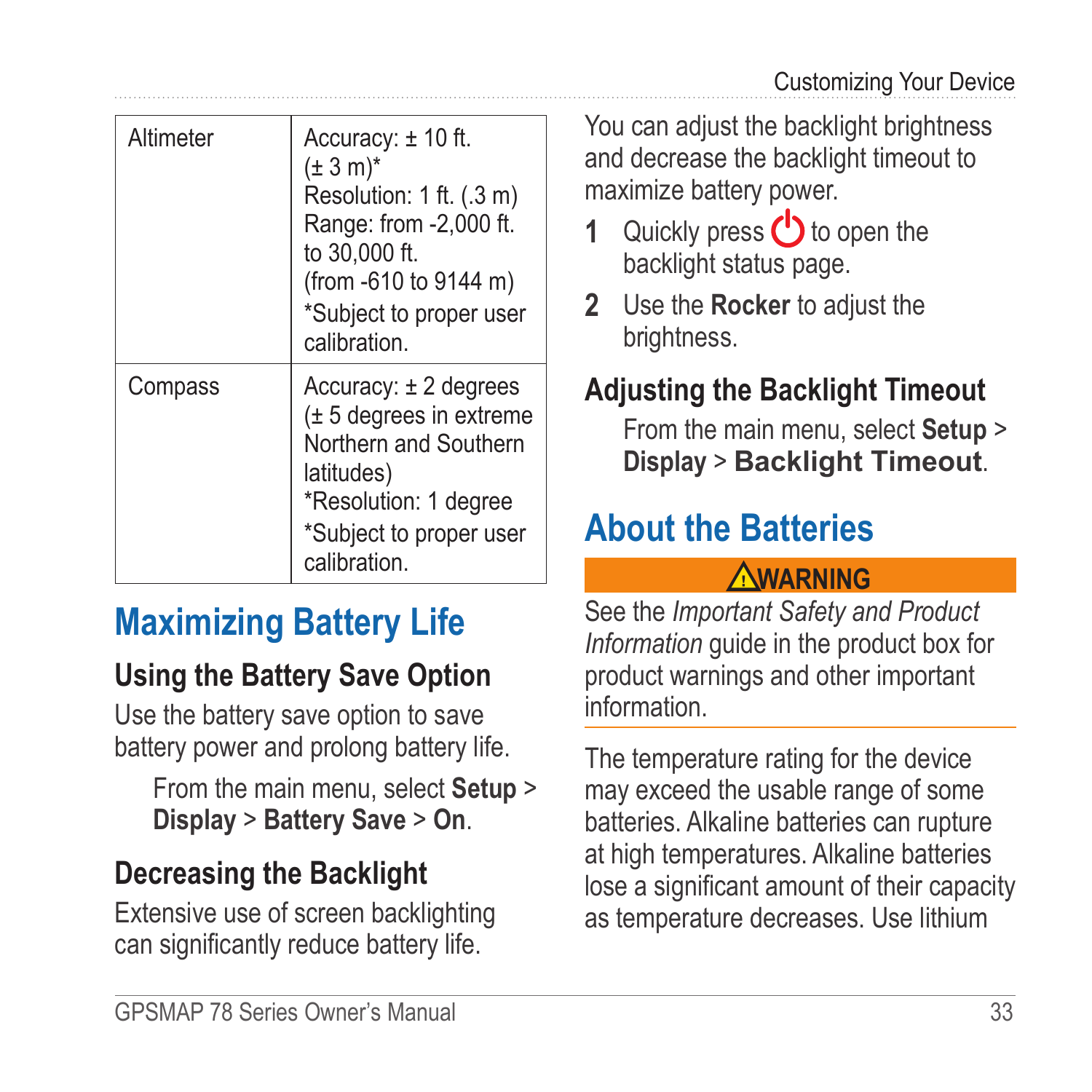<span id="page-36-0"></span>

| Altimeter | Accuracy: $\pm$ 10 ft.<br>$(\pm 3 \text{ m})^*$<br>Resolution: 1 ft. (.3 m)<br>Range: from -2,000 ft.<br>to 30,000 ft.<br>(from -610 to 9144 m)<br>*Subject to proper user<br>calibration |
|-----------|-------------------------------------------------------------------------------------------------------------------------------------------------------------------------------------------|
| Compass   | $Accuracy: \pm 2$ degrees<br>(± 5 degrees in extreme<br>Northern and Southern<br>latitudes)<br>*Resolution: 1 degree<br>*Subject to proper user<br>calibration.                           |

## **Maximizing Battery Life**

### <span id="page-36-3"></span>**Using the Battery Save Option**

Use the battery save option to save battery power and prolong battery life.

From the main menu, select **Setup** > **Display** > **Battery Save** > **On**.

### <span id="page-36-4"></span>**Decreasing the Backlight**

Extensive use of screen backlighting can significantly reduce battery life.

You can adjust the backlight brightness and decrease the backlight timeout to maximize battery power.

- **1** Quickly press (**b**) to open the backlight status page.
- **2** Use the **Rocker** to adjust the brightness.

### <span id="page-36-2"></span>**Adjusting the Backlight Timeout**

From the main menu, select **Setup** > **Display** > **Backlight Timeout**.

## <span id="page-36-1"></span>**About the Batteries**

### **warning**

See the *Important Safety and Product Information* guide in the product box for product warnings and other important information.

The temperature rating for the device may exceed the usable range of some batteries. Alkaline batteries can rupture at high temperatures. Alkaline batteries lose a significant amount of their capacity as temperature decreases. Use lithium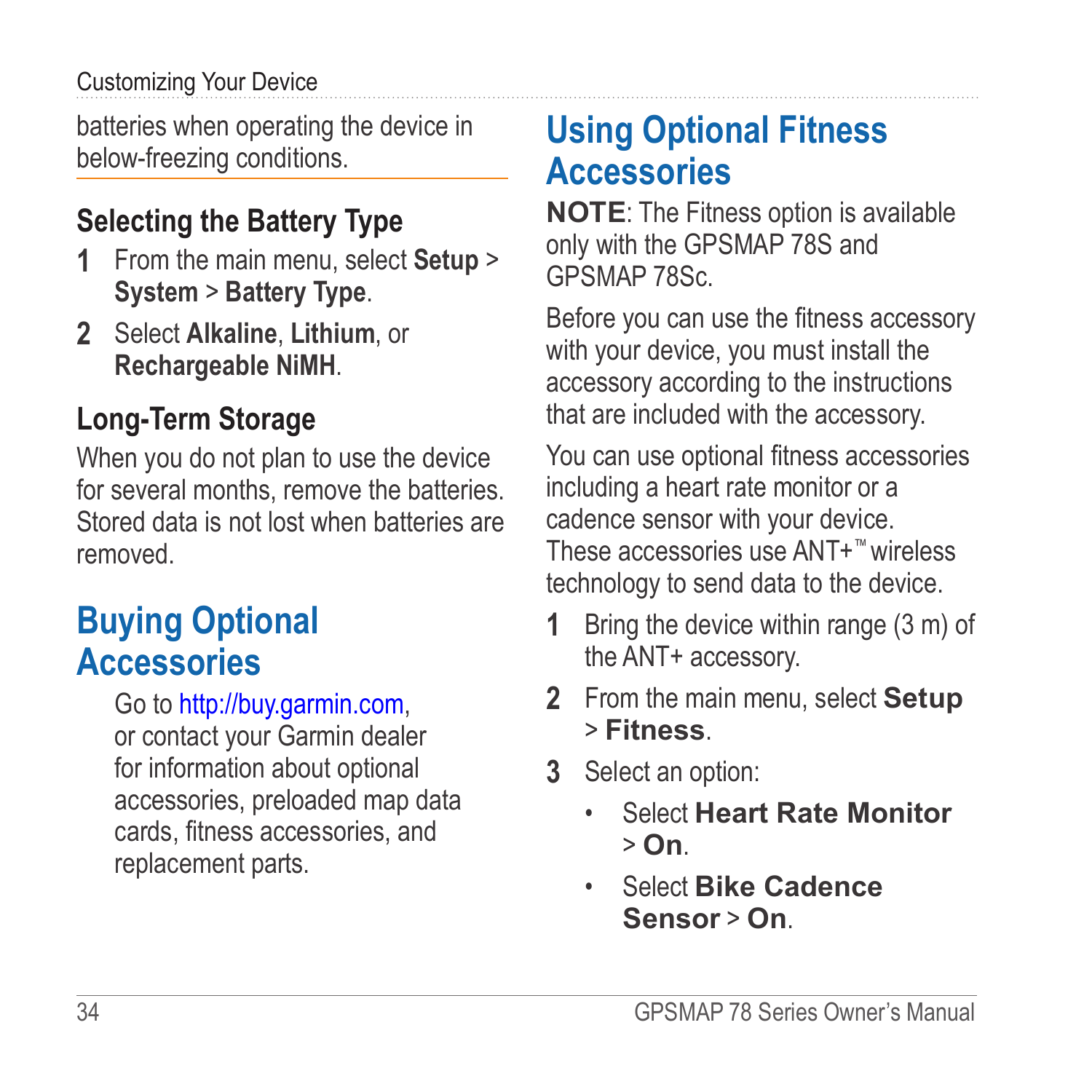#### <span id="page-37-0"></span>Customizing Your Device

batteries when operating the device in below-freezing conditions.

### <span id="page-37-1"></span>**Selecting the Battery Type**

- **1** From the main menu, select **Setup** > **System** > **Battery Type**.
- **2** Select **Alkaline**, **Lithium**, or **Rechargeable NiMH**.

### **Long-Term Storage**

When you do not plan to use the device for several months, remove the batteries. Stored data is not lost when batteries are removed.

## <span id="page-37-2"></span>**Buying Optional Accessories**

Go to [http://buy.garmin.com,](http://buy.garmin.com) or contact your Garmin dealer for information about optional accessories, preloaded map data cards, fitness accessories, and replacement parts.

## <span id="page-37-3"></span>**Using Optional Fitness Accessories**

**NOTE**: The Fitness option is available only with the GPSMAP 78S and GPSMAP 78Sc.

Before you can use the fitness accessory with your device, you must install the accessory according to the instructions that are included with the accessory.

You can use optional fitness accessories including a heart rate monitor or a cadence sensor with your device. These accessories use ANT+™ wireless technology to send data to the device.

- **1** Bring the device within range (3 m) of the ANT+ accessory.
- **2** From the main menu, select **Setup** > **Fitness**.
- **3** Select an option:
	- Select **Heart Rate Monitor** > **On**.
	- Select **Bike Cadence Sensor** > **On**.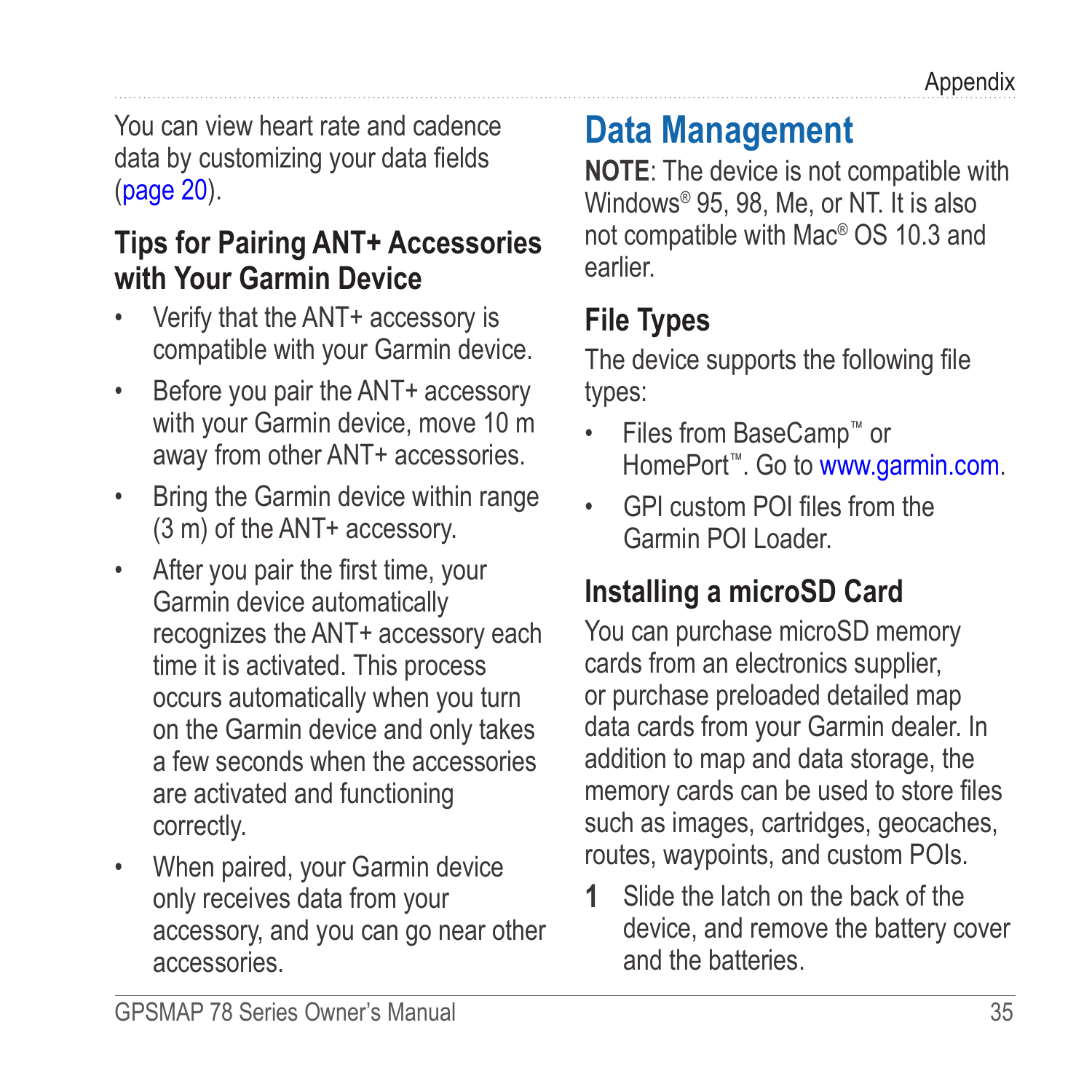<span id="page-38-0"></span>You can view heart rate and cadence data by customizing your data fields [\(page 20](#page-23-1)).

### **Tips for Pairing ANT+ Accessories with Your Garmin Device**

- Verify that the ANT+ accessory is compatible with your Garmin device.
- Before you pair the ANT+ accessory with your Garmin device, move 10 m away from other ANT+ accessories.
- Bring the Garmin device within range (3 m) of the ANT+ accessory.
- After you pair the first time, your Garmin device automatically recognizes the ANT+ accessory each time it is activated. This process occurs automatically when you turn on the Garmin device and only takes a few seconds when the accessories are activated and functioning correctly.
- When paired, your Garmin device only receives data from your accessory, and you can go near other accessories.

## <span id="page-38-1"></span>**Data Management**

**NOTE:** The device is not compatible with Windows® 95, 98, Me, or NT. It is also not compatible with Mac® OS 10.3 and earlier.

## **File Types**

The device supports the following file types:

- Files from BaseCamp™ or HomePort™. Go to <www.garmin.com>.
- GPI custom POI files from the Garmin POI Loader.

### **Installing a microSD Card**

You can purchase microSD memory cards from an electronics supplier, or purchase preloaded detailed map data cards from your Garmin dealer. In addition to map and data storage, the memory cards can be used to store files such as images, cartridges, geocaches, routes, waypoints, and custom POIs.

**1** Slide the latch on the back of the device, and remove the battery cover and the batteries.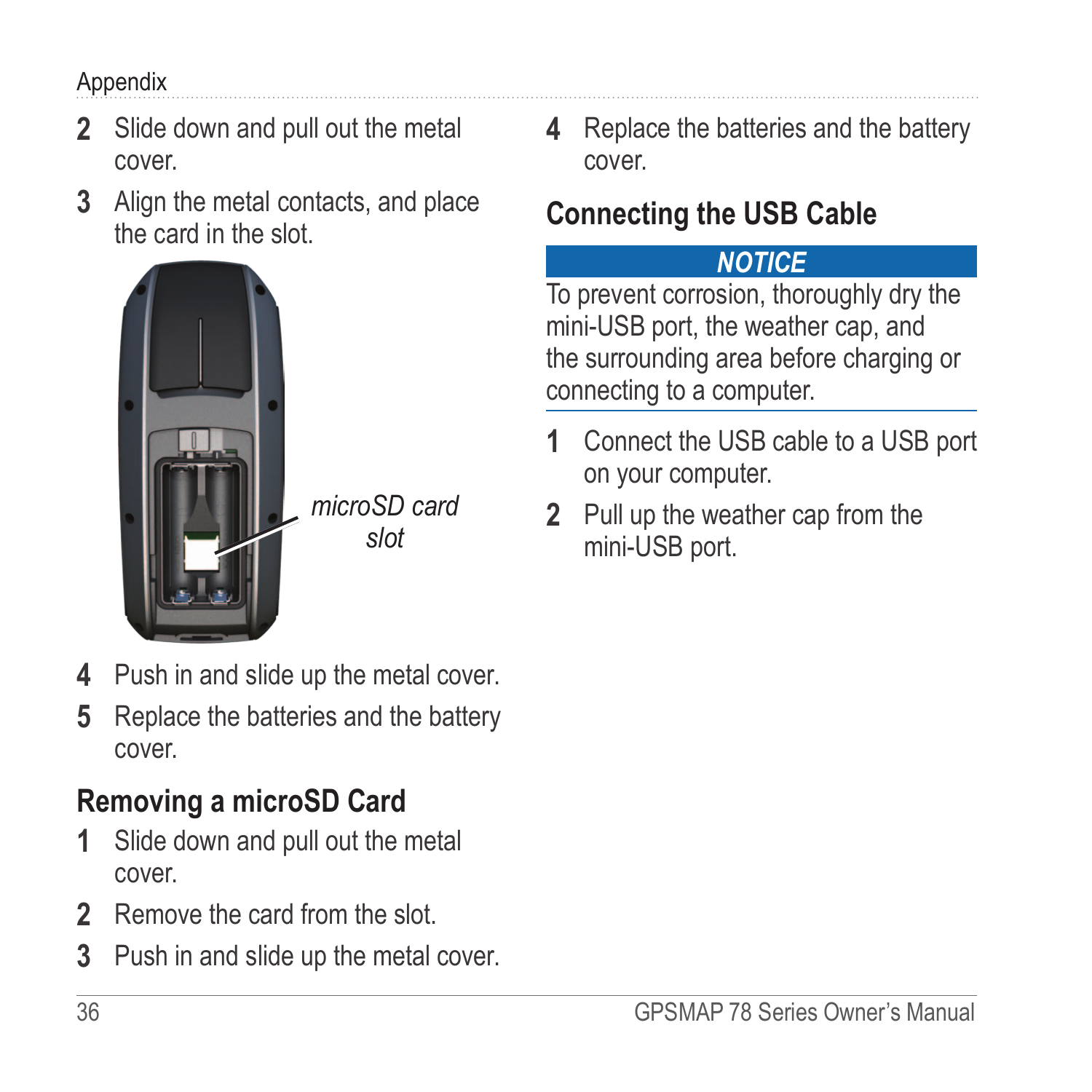#### <span id="page-39-0"></span>Appendix

- **2** Slide down and pull out the metal cover.
- **3** Align the metal contacts, and place the card in the slot.



- **4** Push in and slide up the metal cover.
- **5** Replace the batteries and the battery cover.

### **Removing a microSD Card**

- **1** Slide down and pull out the metal cover.
- **2** Remove the card from the slot.
- **3** Push in and slide up the metal cover.

**4** Replace the batteries and the battery cover.

### **Connecting the USB Cable**

#### *notice*

To prevent corrosion, thoroughly dry the mini-USB port, the weather cap, and the surrounding area before charging or connecting to a computer.

- **1** Connect the USB cable to a USB port on your computer.
- **2** Pull up the weather cap from the mini-USB port.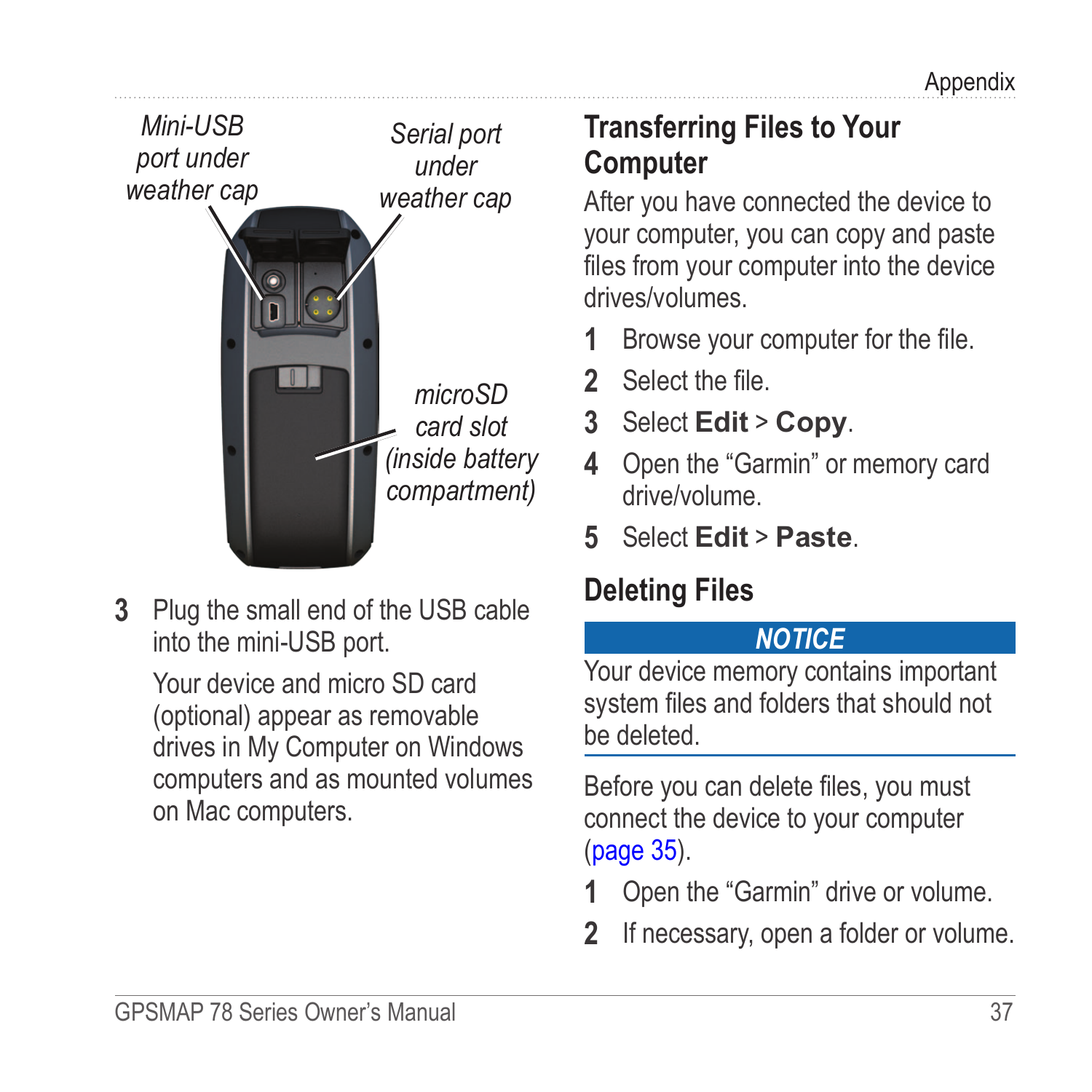<span id="page-40-0"></span>

**3** Plug the small end of the USB cable into the mini-USB port.

Your device and micro SD card (optional) appear as removable drives in My Computer on Windows computers and as mounted volumes on Mac computers.

### **Transferring Files to Your Computer**

After you have connected the device to your computer, you can copy and paste files from your computer into the device drives/volumes.

- **1** Browse your computer for the file.
- **2** Select the file.
- **3** Select **Edit** > **Copy**.
- **4** Open the "Garmin" or memory card drive/volume.
- **5** Select **Edit** > **Paste**.

### **Deleting Files**

#### *NOTICE*

Your device memory contains important system files and folders that should not be deleted.

Before you can delete files, you must connect the device to your computer [\(page 35](#page-38-1)).

- **1** Open the "Garmin" drive or volume.
- **2** If necessary, open a folder or volume.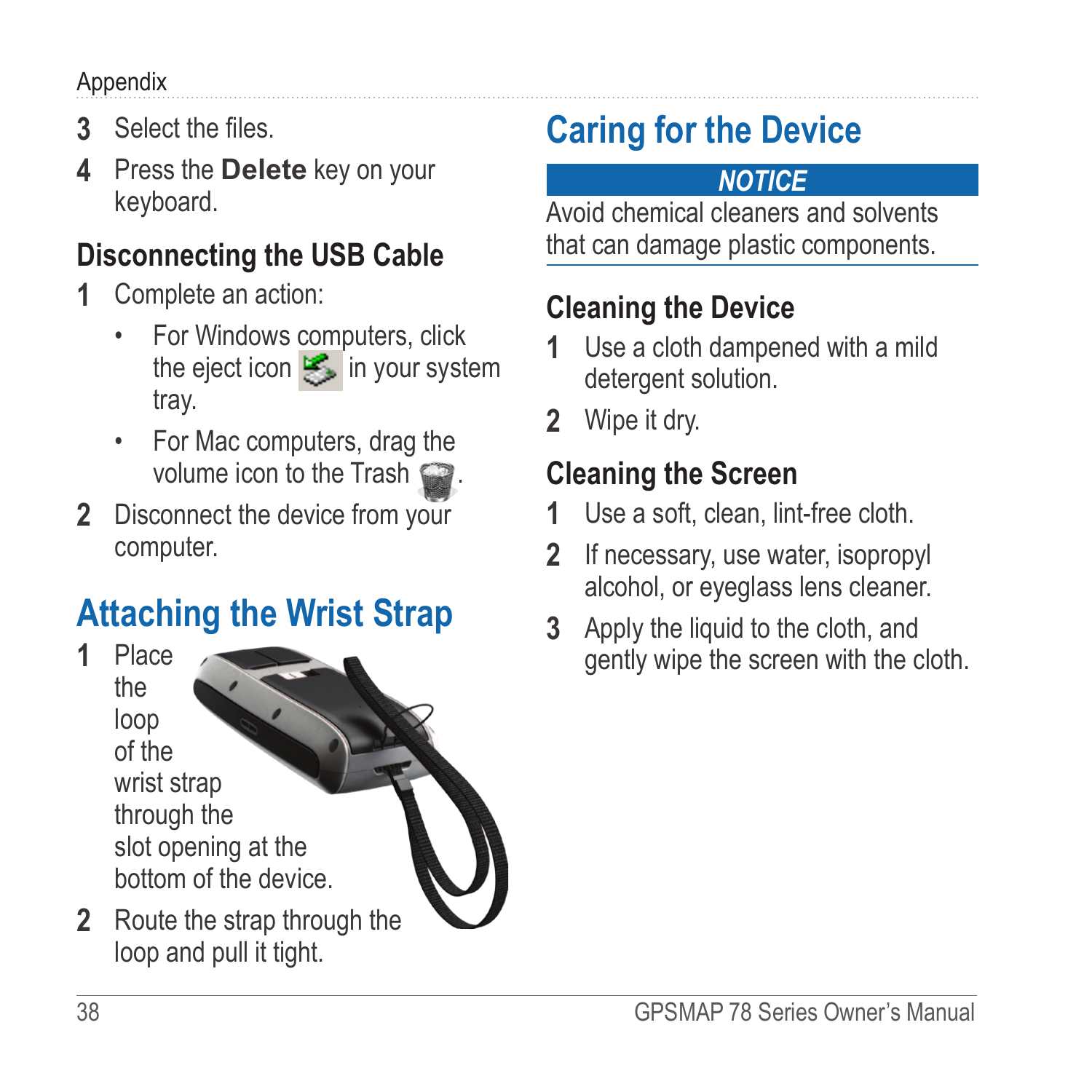#### <span id="page-41-0"></span>Appendix

- **3** Select the files.
- **4** Press the **Delete** key on your keyboard.

### **Disconnecting the USB Cable**

- **1** Complete an action:
	- For Windows computers, click the eject icon  $\leq$  in your system tray.
	- For Mac computers, drag the volume icon to the Trash
- **2** Disconnect the device from your computer.

## **Attaching the Wrist Strap**

**1** Place the loop of the wrist strap through the slot opening at the bottom of the device.

**2** Route the strap through the loop and pull it tight.

# **Caring for the Device**

### *NOTICE*

Avoid chemical cleaners and solvents that can damage plastic components.

### **Cleaning the Device**

- **1** Use a cloth dampened with a mild detergent solution.
- **2** Wipe it dry.

### **Cleaning the Screen**

- **1** Use a soft, clean, lint-free cloth.
- **2** If necessary, use water, isopropyl alcohol, or eyeglass lens cleaner.
- **3** Apply the liquid to the cloth, and gently wipe the screen with the cloth.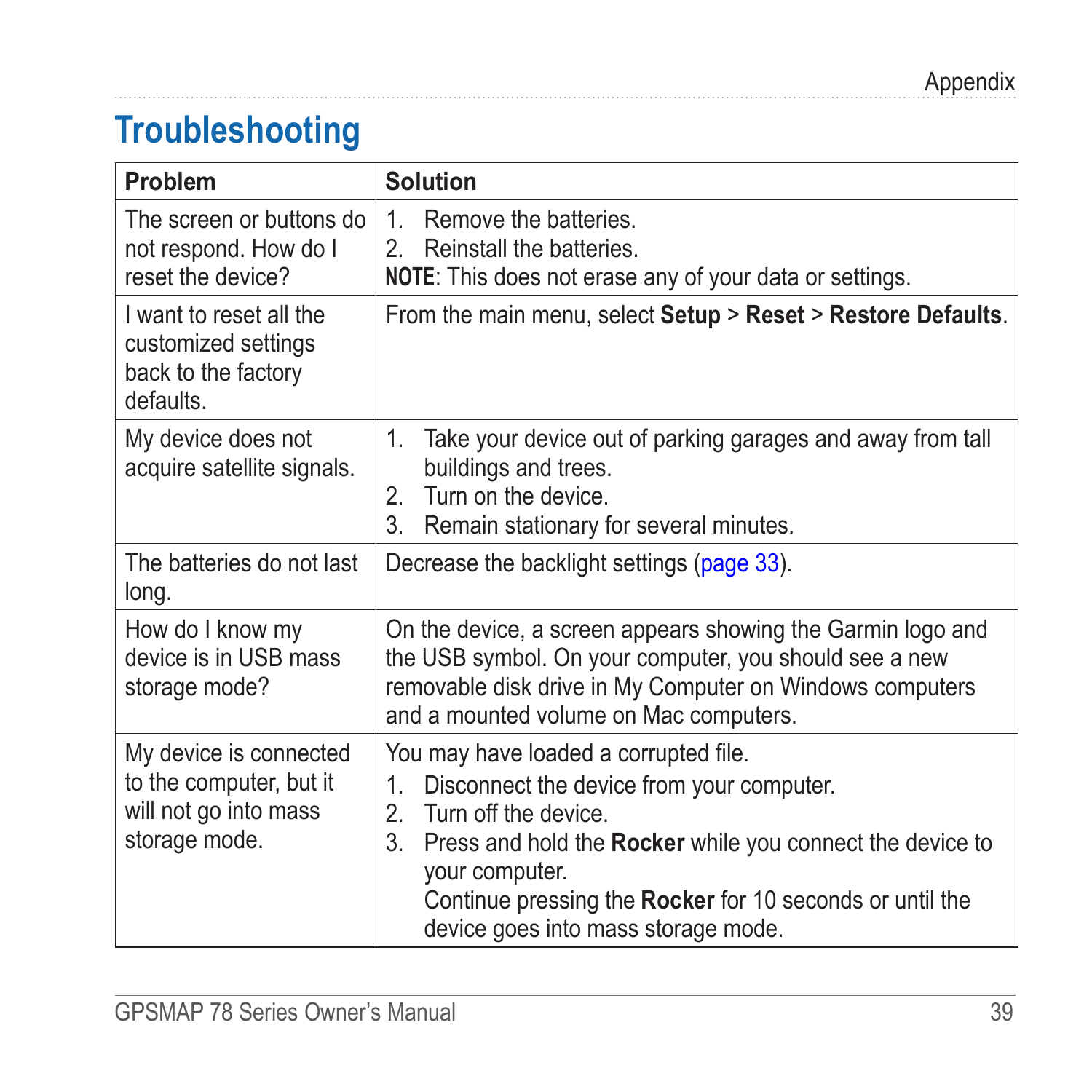## <span id="page-42-0"></span>**Troubleshooting**

| Problem                                                                                     | <b>Solution</b>                                                                                                                                                                                                                                                                                              |
|---------------------------------------------------------------------------------------------|--------------------------------------------------------------------------------------------------------------------------------------------------------------------------------------------------------------------------------------------------------------------------------------------------------------|
| The screen or buttons do<br>not respond. How do I<br>reset the device?                      | 1<br>Remove the batteries.<br>Reinstall the batteries.<br>2<br><b>NOTE:</b> This does not erase any of your data or settings.                                                                                                                                                                                |
| I want to reset all the<br>customized settings<br>back to the factory<br>defaults.          | From the main menu, select Setup > Reset > Restore Defaults.                                                                                                                                                                                                                                                 |
| My device does not<br>acquire satellite signals.                                            | $1_{-}$<br>Take your device out of parking garages and away from tall<br>buildings and trees.<br>Turn on the device.<br>2.<br>3.<br>Remain stationary for several minutes.                                                                                                                                   |
| The batteries do not last<br>long.                                                          | Decrease the backlight settings (page 33).                                                                                                                                                                                                                                                                   |
| How do I know my<br>device is in USB mass<br>storage mode?                                  | On the device, a screen appears showing the Garmin logo and<br>the USB symbol. On your computer, you should see a new<br>removable disk drive in My Computer on Windows computers<br>and a mounted volume on Mac computers.                                                                                  |
| My device is connected<br>to the computer, but it<br>will not go into mass<br>storage mode. | You may have loaded a corrupted file.<br>Disconnect the device from your computer.<br>1.<br>Turn off the device<br>2<br>3.<br>Press and hold the Rocker while you connect the device to<br>your computer.<br>Continue pressing the Rocker for 10 seconds or until the<br>device goes into mass storage mode. |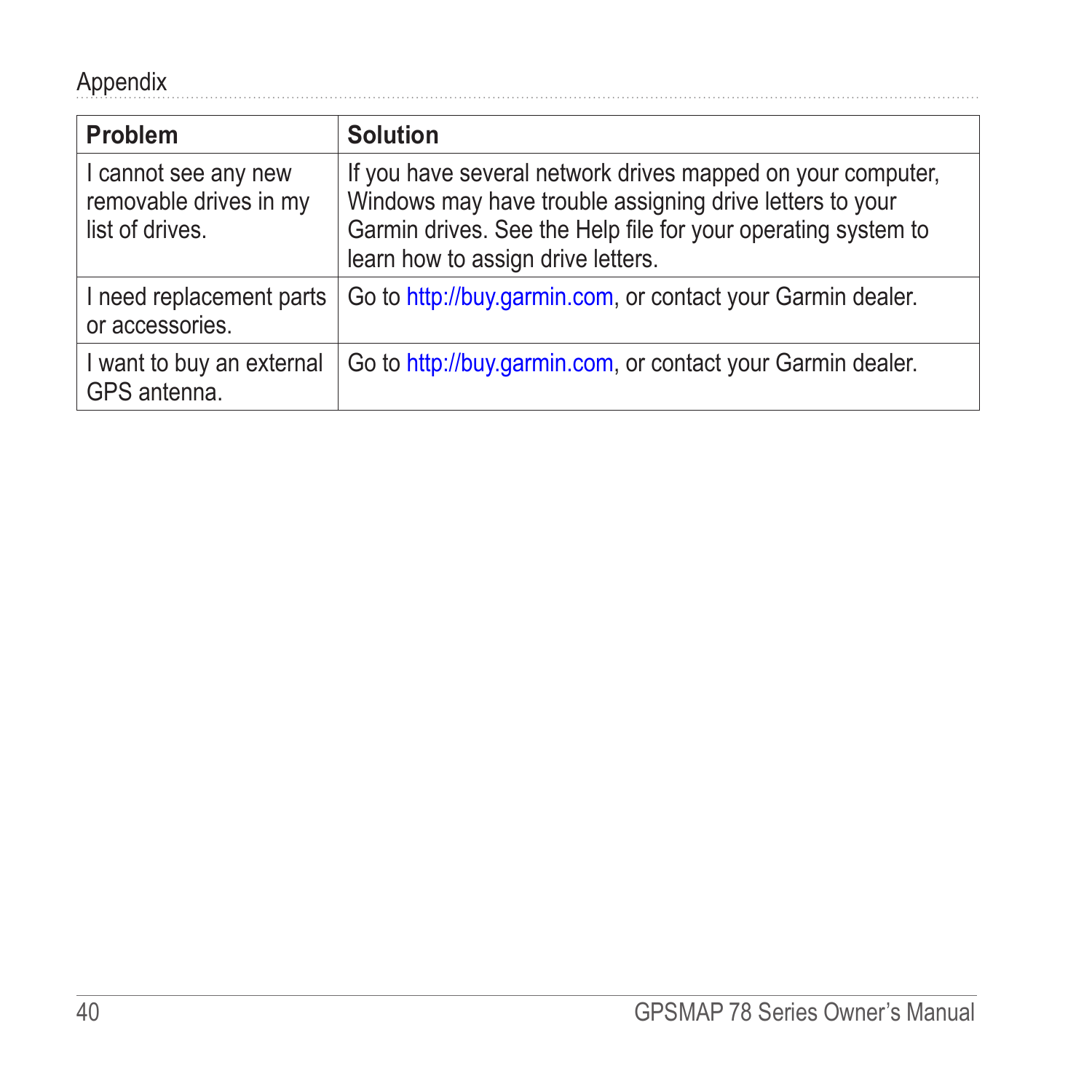<span id="page-43-0"></span>

| Problem                                                           | <b>Solution</b>                                                                                                                                                                                                                |
|-------------------------------------------------------------------|--------------------------------------------------------------------------------------------------------------------------------------------------------------------------------------------------------------------------------|
| I cannot see any new<br>removable drives in my<br>list of drives. | If you have several network drives mapped on your computer.<br>Windows may have trouble assigning drive letters to your<br>Garmin drives. See the Help file for your operating system to<br>learn how to assign drive letters. |
| I need replacement parts<br>or accessories.                       | Go to http://buy.garmin.com, or contact your Garmin dealer.                                                                                                                                                                    |
| I want to buy an external<br>GPS antenna.                         | Go to http://buy.garmin.com, or contact your Garmin dealer.                                                                                                                                                                    |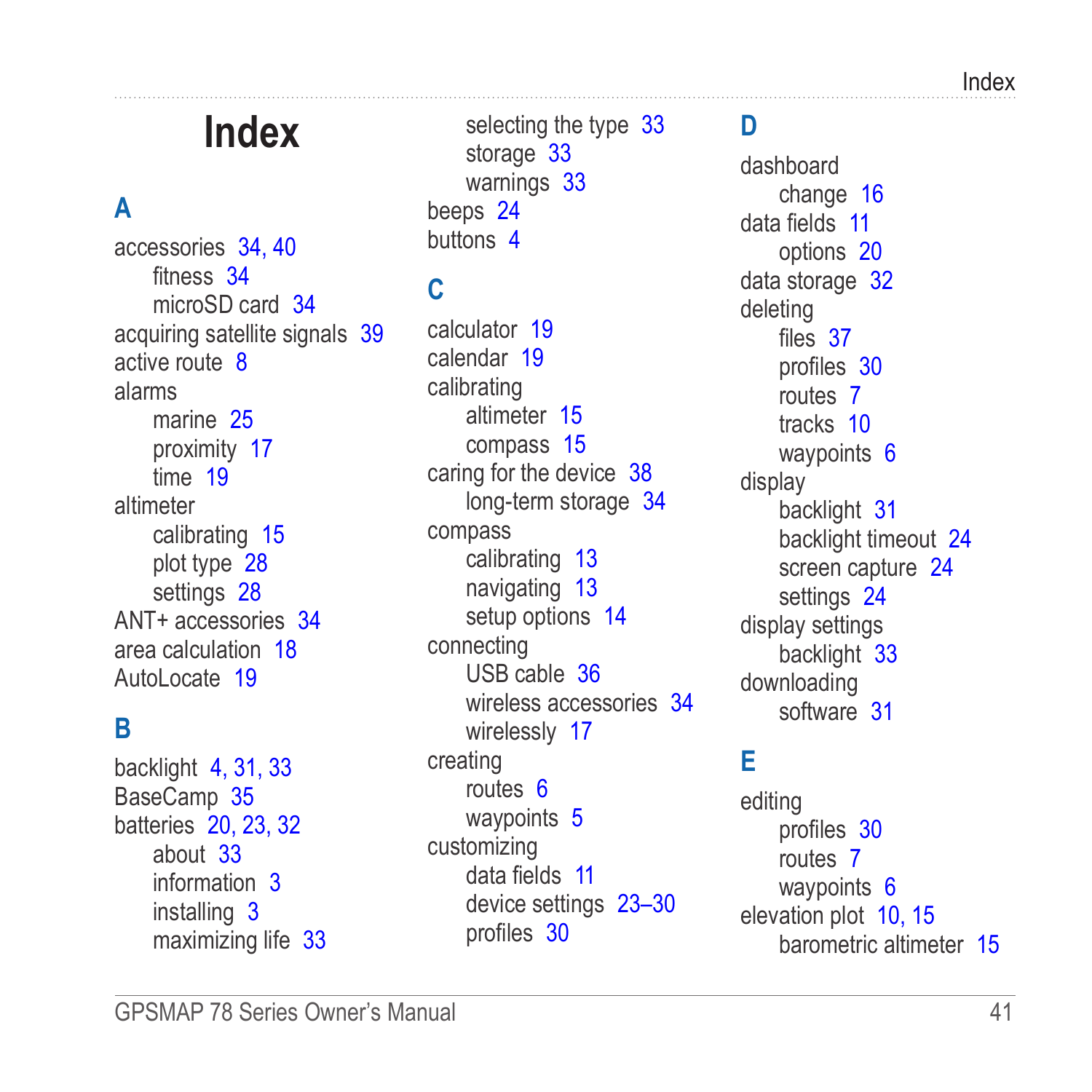# **Index**

### <span id="page-44-0"></span>**A**

accessories [34,](#page-37-0) [40](#page-43-0) fitness [34](#page-37-0) microSD card [34](#page-37-0) acquiring satellite signals [39](#page-42-0) active route [8](#page-11-0) alarms marine [25](#page-28-0) proximity [17](#page-20-0) time [19](#page-22-0) altimeter calibrating [15](#page-18-0) plot type [28](#page-31-0) settings [28](#page-31-0) ANT+ accessories [34](#page-37-0) area calculation [18](#page-21-0) Autol ocate [19](#page-22-0)

#### **B**

backlight [4,](#page-7-0) [31](#page-34-0), [33](#page-36-0) BaseCamp [35](#page-38-0) batteries [20](#page-23-0), [23](#page-26-0), [32](#page-35-0) about [33](#page-36-0) information [3](#page-6-0) installing [3](#page-6-0) maximizing life [33](#page-36-0)

selecting the type [33](#page-36-0) storage [33](#page-36-0) warnings [33](#page-36-0) beeps [24](#page-27-0) buttons [4](#page-7-0)

### **C**

calculator [19](#page-22-0) calendar [19](#page-22-0) calibrating altimeter [15](#page-18-0) compass [15](#page-18-0) caring for the device [38](#page-41-0) long-term storage [34](#page-37-0) compass calibrating [13](#page-16-0) navigating [13](#page-16-0) setup options [14](#page-17-0) connecting USB cable [36](#page-39-0) wireless accessories [34](#page-37-0) wirelessly [17](#page-20-0) creating routes [6](#page-9-0) waypoints [5](#page-8-0) customizing data fields [11](#page-14-0) device settings [23](#page-26-0)[–30](#page-33-0) profiles [30](#page-33-0)

#### **D**

dashboard change [16](#page-19-0) data fields [11](#page-14-0) options [20](#page-23-0) data storage [32](#page-35-0) deleting files [37](#page-40-0) profiles [30](#page-33-0) routes [7](#page-10-0) tracks [10](#page-13-0) waypoints [6](#page-9-0) display backlight [31](#page-34-0) backlight timeout [24](#page-27-0) screen capture [24](#page-27-0) settings [24](#page-27-0) display settings backlight [33](#page-36-0) downloading software [31](#page-34-0)

#### **E**

editing profiles [30](#page-33-0) routes [7](#page-10-0) waypoints [6](#page-9-0) elevation plot [10,](#page-13-0) [15](#page-18-0) barometric altimeter [15](#page-18-0)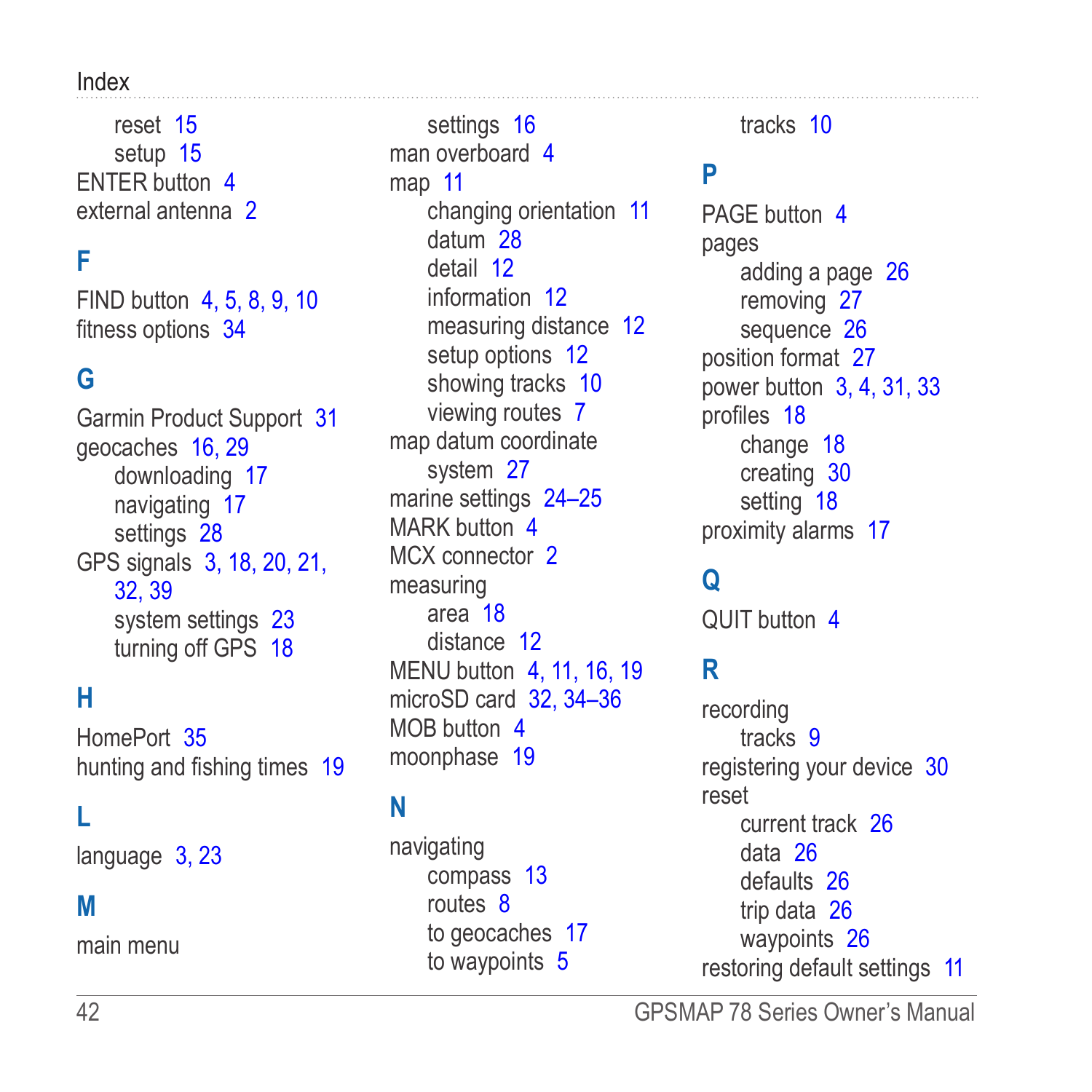#### Index

reset [15](#page-18-0) setup [15](#page-18-0) ENTER button [4](#page-7-0) external antenna [2](#page-5-0)

#### **F**

FIND button [4](#page-7-0), [5](#page-8-0), [8,](#page-11-0) [9,](#page-12-0) [10](#page-13-0) fitness options [34](#page-37-0)

#### **G**

Garmin Product Support [31](#page-34-0) geocaches [16](#page-19-0), [29](#page-32-0) downloading [17](#page-20-0) navigating [17](#page-20-0) settings [28](#page-31-0) GPS signals [3,](#page-6-0) [18,](#page-21-0) [20,](#page-23-0) [21,](#page-24-0) [32](#page-35-0), [39](#page-42-0) system settings [23](#page-26-0) turning off GPS [18](#page-21-0)

#### **H**

HomePort [35](#page-38-0) hunting and fishing times [19](#page-22-0)

#### **L**

language [3,](#page-6-0) [23](#page-26-0)

#### **M**

main menu

settings [16](#page-19-0) man overboard [4](#page-7-0) map [11](#page-14-0) changing orientation [11](#page-14-0) datum [28](#page-31-0) detail [12](#page-15-0) information [12](#page-15-0) measuring distance [12](#page-15-0) setup options [12](#page-15-0) showing tracks [10](#page-13-0) viewing routes [7](#page-10-0) map datum coordinate system [27](#page-30-0) marine settings [24](#page-27-0)-25 MARK button [4](#page-7-0) MCX connector [2](#page-5-0) measuring area [18](#page-21-0) distance [12](#page-15-0) MENU button [4](#page-7-0), [11](#page-14-0), [16](#page-19-0), [19](#page-22-0) microSD card [32](#page-35-0), [34–](#page-37-0)[36](#page-39-0) MOB button [4](#page-7-0) moonphase [19](#page-22-0)

#### **N**

navigating compass [13](#page-16-0) routes [8](#page-11-0) to geocaches [17](#page-20-0) to waypoints [5](#page-8-0)

tracks [10](#page-13-0)

#### **P**

PAGF button [4](#page-7-0) pages adding a page [26](#page-29-0) removing [27](#page-30-0) sequence [26](#page-29-0) position format [27](#page-30-0) power button [3,](#page-6-0) [4,](#page-7-0) [31,](#page-34-0) [33](#page-36-0) profiles [18](#page-21-0) change [18](#page-21-0) creating [30](#page-33-0) setting [18](#page-21-0) proximity alarms [17](#page-20-0)

#### **Q**

QUIT button [4](#page-7-0)

#### **R**

recording tracks [9](#page-12-0) registering your device [30](#page-33-0) reset current track [26](#page-29-0) data [26](#page-29-0) defaults [26](#page-29-0) trip data [26](#page-29-0) waypoints [26](#page-29-0) restoring default settings [11](#page-14-0)

42 GPSMAP 78 Series Owner's Manual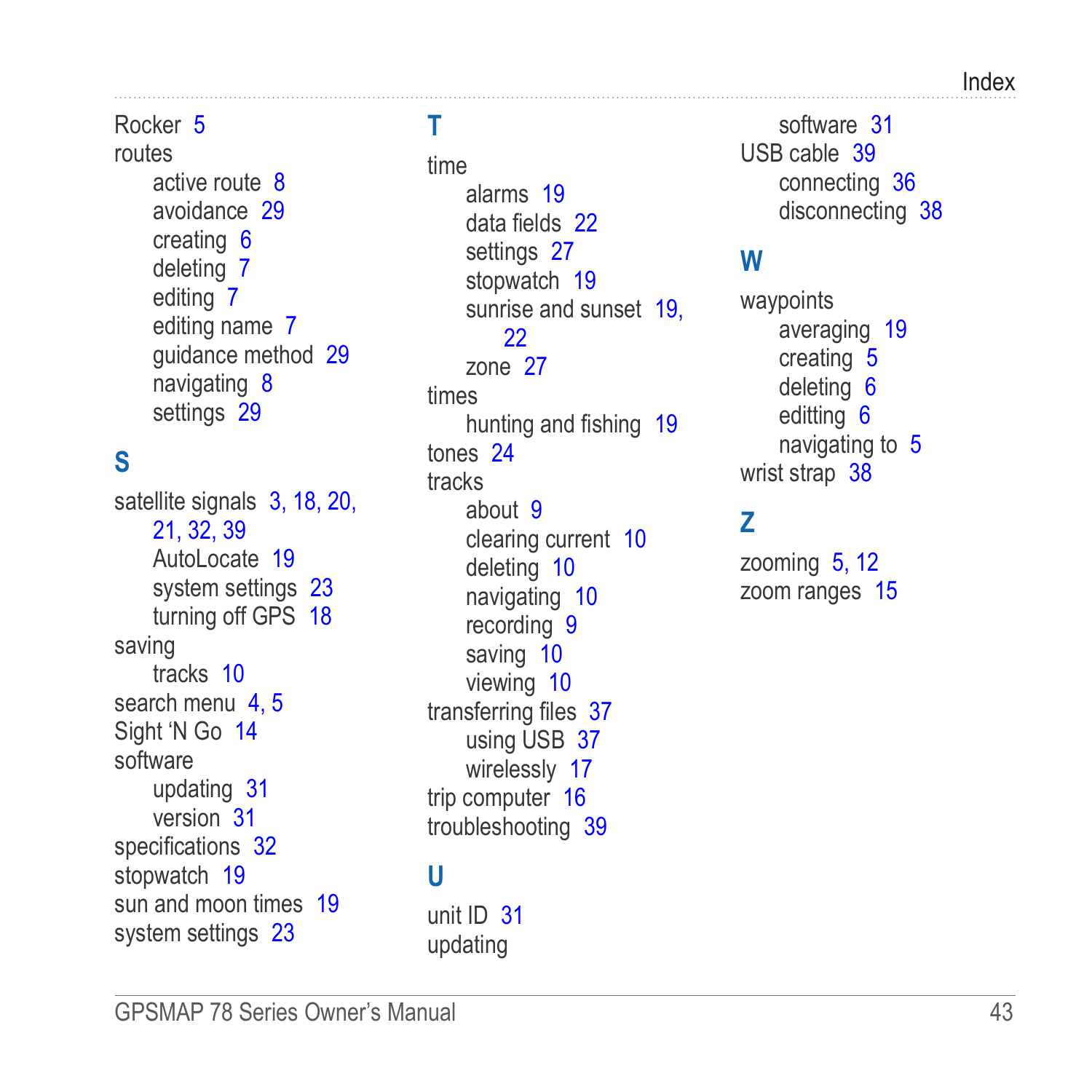#### Index

#### Rocker [5](#page-8-0)

routes active route [8](#page-11-0) avoidance [29](#page-32-0) creating [6](#page-9-0) deleting [7](#page-10-0) editing [7](#page-10-0) editing name [7](#page-10-0) guidance method [29](#page-32-0) navigating [8](#page-11-0) settings [29](#page-32-0)

### **S**

satellite signals [3](#page-6-0), [18](#page-21-0), [20](#page-23-0), [21](#page-24-0), [32](#page-35-0), [39](#page-42-0) Autol ocate [19](#page-22-0) system settings [23](#page-26-0) turning off GPS [18](#page-21-0) saving tracks [10](#page-13-0) search menu 4.5 Sight 'N Go [14](#page-17-0) software updating [31](#page-34-0) version [31](#page-34-0) specifications [32](#page-35-0) stopwatch [19](#page-22-0) sun and moon times [19](#page-22-0) system settings [23](#page-26-0)

### **T**

time alarms [19](#page-22-0) data fields [22](#page-25-0) settings [27](#page-30-0) stopwatch [19](#page-22-0) sunrise and sunset [19](#page-22-0), [22](#page-25-0) zone [27](#page-30-0) times hunting and fishing [19](#page-22-0) tones [24](#page-27-0) tracks about [9](#page-12-0) clearing current [10](#page-13-0) deleting [10](#page-13-0) navigating [10](#page-13-0) recording [9](#page-12-0) saving [10](#page-13-0) viewing [10](#page-13-0) transferring files [37](#page-40-0) using USB [37](#page-40-0) wirelessly [17](#page-20-0) trip computer [16](#page-19-0) troubleshooting [39](#page-42-0)

#### **U**

unit ID [31](#page-34-0) updating

software [31](#page-34-0) USB cable [39](#page-42-0) connecting [36](#page-39-0) disconnecting [38](#page-41-0)

#### **W**

waypoints averaging [19](#page-22-0) creating [5](#page-8-0) deleting [6](#page-9-0) editting [6](#page-9-0) navigating to [5](#page-8-0) wrist strap [38](#page-41-0)

#### **Z**

zooming [5](#page-8-0), [12](#page-15-0) zoom ranges [15](#page-18-0)